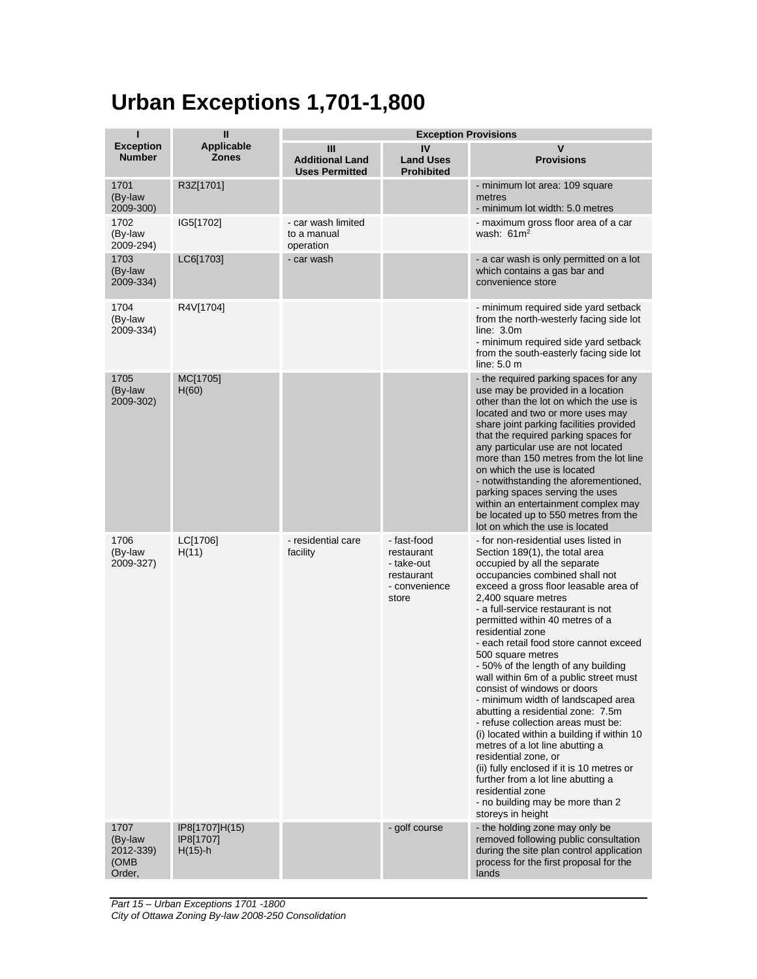## **Urban Exceptions 1,701-1,800**

| ī                                              | $\mathbf{I}$                              | <b>Exception Provisions</b>                          |                                                                                 |                                                                                                                                                                                                                                                                                                                                                                                                                                                                                                                                                                                                                                                                                                                                                                                                                                                                                |  |
|------------------------------------------------|-------------------------------------------|------------------------------------------------------|---------------------------------------------------------------------------------|--------------------------------------------------------------------------------------------------------------------------------------------------------------------------------------------------------------------------------------------------------------------------------------------------------------------------------------------------------------------------------------------------------------------------------------------------------------------------------------------------------------------------------------------------------------------------------------------------------------------------------------------------------------------------------------------------------------------------------------------------------------------------------------------------------------------------------------------------------------------------------|--|
| <b>Exception</b><br><b>Number</b>              | <b>Applicable</b><br><b>Zones</b>         | Ш<br><b>Additional Land</b><br><b>Uses Permitted</b> | IV<br><b>Land Uses</b><br><b>Prohibited</b>                                     | V<br><b>Provisions</b>                                                                                                                                                                                                                                                                                                                                                                                                                                                                                                                                                                                                                                                                                                                                                                                                                                                         |  |
| 1701<br>(By-law<br>2009-300)                   | R3Z[1701]                                 |                                                      |                                                                                 | - minimum lot area: 109 square<br>metres<br>- minimum lot width: 5.0 metres                                                                                                                                                                                                                                                                                                                                                                                                                                                                                                                                                                                                                                                                                                                                                                                                    |  |
| 1702<br>(By-law<br>2009-294)                   | IG5[1702]                                 | - car wash limited<br>to a manual<br>operation       |                                                                                 | - maximum gross floor area of a car<br>wash: $61 \text{ m}^2$                                                                                                                                                                                                                                                                                                                                                                                                                                                                                                                                                                                                                                                                                                                                                                                                                  |  |
| 1703<br>(By-law<br>2009-334)                   | LC6[1703]                                 | - car wash                                           |                                                                                 | - a car wash is only permitted on a lot<br>which contains a gas bar and<br>convenience store                                                                                                                                                                                                                                                                                                                                                                                                                                                                                                                                                                                                                                                                                                                                                                                   |  |
| 1704<br>(By-law<br>2009-334)                   | R4V[1704]                                 |                                                      |                                                                                 | - minimum required side yard setback<br>from the north-westerly facing side lot<br>line: 3.0m<br>- minimum required side yard setback<br>from the south-easterly facing side lot<br>line: $5.0 \text{ m}$                                                                                                                                                                                                                                                                                                                                                                                                                                                                                                                                                                                                                                                                      |  |
| 1705<br>(By-law<br>2009-302)                   | MC[1705]<br>H(60)                         |                                                      |                                                                                 | - the required parking spaces for any<br>use may be provided in a location<br>other than the lot on which the use is<br>located and two or more uses may<br>share joint parking facilities provided<br>that the required parking spaces for<br>any particular use are not located<br>more than 150 metres from the lot line<br>on which the use is located<br>- notwithstanding the aforementioned,<br>parking spaces serving the uses<br>within an entertainment complex may<br>be located up to 550 metres from the<br>lot on which the use is located                                                                                                                                                                                                                                                                                                                       |  |
| 1706<br>(By-law<br>2009-327)                   | LC[1706]<br>H(11)                         | - residential care<br>facility                       | - fast-food<br>restaurant<br>- take-out<br>restaurant<br>- convenience<br>store | - for non-residential uses listed in<br>Section 189(1), the total area<br>occupied by all the separate<br>occupancies combined shall not<br>exceed a gross floor leasable area of<br>2,400 square metres<br>- a full-service restaurant is not<br>permitted within 40 metres of a<br>residential zone<br>- each retail food store cannot exceed<br>500 square metres<br>- 50% of the length of any building<br>wall within 6m of a public street must<br>consist of windows or doors<br>- minimum width of landscaped area<br>abutting a residential zone: 7.5m<br>- refuse collection areas must be:<br>(i) located within a building if within 10<br>metres of a lot line abutting a<br>residential zone, or<br>(ii) fully enclosed if it is 10 metres or<br>further from a lot line abutting a<br>residential zone<br>- no building may be more than 2<br>storeys in height |  |
| 1707<br>(By-law<br>2012-339)<br>(OMB<br>Order, | IP8[1707]H(15)<br>IP8[1707]<br>$H(15)$ -h |                                                      | - golf course                                                                   | - the holding zone may only be<br>removed following public consultation<br>during the site plan control application<br>process for the first proposal for the<br>lands                                                                                                                                                                                                                                                                                                                                                                                                                                                                                                                                                                                                                                                                                                         |  |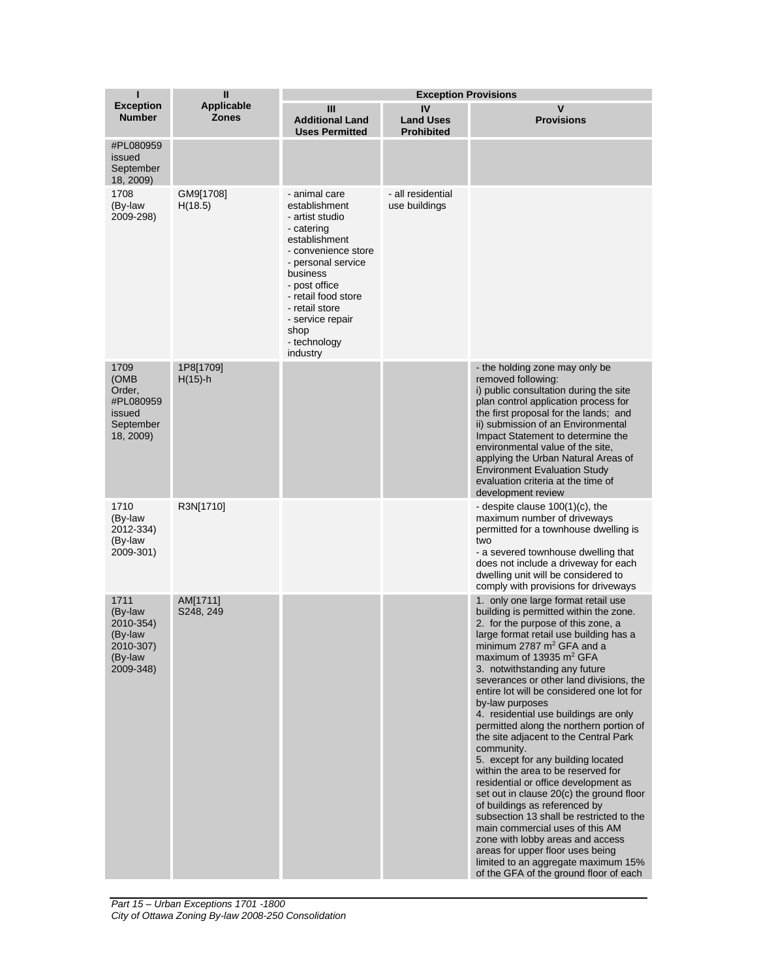| ı                                                                            | П                                 |                                                                                                                                                                                                                                                             | <b>Exception Provisions</b>                 |                                                                                                                                                                                                                                                                                                                                                                                                                                                                                                                                                                                                                                                                                                                                                                                                                                                                                                                                                                     |
|------------------------------------------------------------------------------|-----------------------------------|-------------------------------------------------------------------------------------------------------------------------------------------------------------------------------------------------------------------------------------------------------------|---------------------------------------------|---------------------------------------------------------------------------------------------------------------------------------------------------------------------------------------------------------------------------------------------------------------------------------------------------------------------------------------------------------------------------------------------------------------------------------------------------------------------------------------------------------------------------------------------------------------------------------------------------------------------------------------------------------------------------------------------------------------------------------------------------------------------------------------------------------------------------------------------------------------------------------------------------------------------------------------------------------------------|
| <b>Exception</b><br><b>Number</b>                                            | <b>Applicable</b><br><b>Zones</b> | Ш<br><b>Additional Land</b><br><b>Uses Permitted</b>                                                                                                                                                                                                        | IV<br><b>Land Uses</b><br><b>Prohibited</b> | $\mathsf{V}$<br><b>Provisions</b>                                                                                                                                                                                                                                                                                                                                                                                                                                                                                                                                                                                                                                                                                                                                                                                                                                                                                                                                   |
| #PL080959<br>issued<br>September<br>18, 2009)                                |                                   |                                                                                                                                                                                                                                                             |                                             |                                                                                                                                                                                                                                                                                                                                                                                                                                                                                                                                                                                                                                                                                                                                                                                                                                                                                                                                                                     |
| 1708<br>(By-law<br>2009-298)                                                 | GM9[1708]<br>H(18.5)              | - animal care<br>establishment<br>- artist studio<br>- catering<br>establishment<br>- convenience store<br>- personal service<br>business<br>- post office<br>- retail food store<br>- retail store<br>- service repair<br>shop<br>- technology<br>industry | - all residential<br>use buildings          |                                                                                                                                                                                                                                                                                                                                                                                                                                                                                                                                                                                                                                                                                                                                                                                                                                                                                                                                                                     |
| 1709<br>(OMB<br>Order,<br>#PL080959<br>issued<br>September<br>18, 2009)      | 1P8[1709]<br>$H(15)-h$            |                                                                                                                                                                                                                                                             |                                             | - the holding zone may only be<br>removed following:<br>i) public consultation during the site<br>plan control application process for<br>the first proposal for the lands; and<br>ii) submission of an Environmental<br>Impact Statement to determine the<br>environmental value of the site,<br>applying the Urban Natural Areas of<br><b>Environment Evaluation Study</b><br>evaluation criteria at the time of<br>development review                                                                                                                                                                                                                                                                                                                                                                                                                                                                                                                            |
| 1710<br>(By-law<br>2012-334)<br>(By-law<br>2009-301)                         | R3N[1710]                         |                                                                                                                                                                                                                                                             |                                             | - despite clause $100(1)(c)$ , the<br>maximum number of driveways<br>permitted for a townhouse dwelling is<br>two<br>- a severed townhouse dwelling that<br>does not include a driveway for each<br>dwelling unit will be considered to<br>comply with provisions for driveways                                                                                                                                                                                                                                                                                                                                                                                                                                                                                                                                                                                                                                                                                     |
| 1711<br>(By-law<br>2010-354)<br>(By-law<br>2010-307)<br>(By-law<br>2009-348) | AM[1711]<br>S248, 249             |                                                                                                                                                                                                                                                             |                                             | 1. only one large format retail use<br>building is permitted within the zone.<br>2. for the purpose of this zone, a<br>large format retail use building has a<br>minimum 2787 m <sup>2</sup> GFA and a<br>maximum of 13935 $m2$ GFA<br>3. notwithstanding any future<br>severances or other land divisions, the<br>entire lot will be considered one lot for<br>by-law purposes<br>4. residential use buildings are only<br>permitted along the northern portion of<br>the site adjacent to the Central Park<br>community.<br>5. except for any building located<br>within the area to be reserved for<br>residential or office development as<br>set out in clause 20(c) the ground floor<br>of buildings as referenced by<br>subsection 13 shall be restricted to the<br>main commercial uses of this AM<br>zone with lobby areas and access<br>areas for upper floor uses being<br>limited to an aggregate maximum 15%<br>of the GFA of the ground floor of each |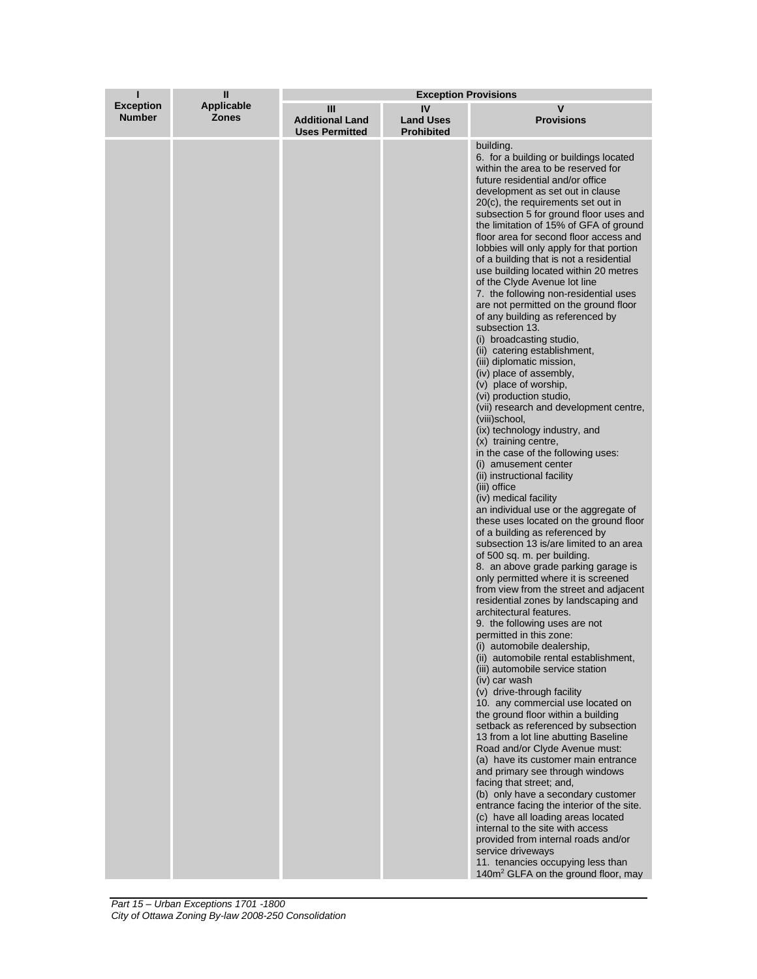| ī                                 | $\mathbf{I}$                      | <b>Exception Provisions</b>                          |                                             |                                                                                                                                                                                                                                                                                                                                                                                                                                                                                                                                                                                                                                                                                                                                                                                                                                                                                                                                                                                                                                                                                                                                                                                                                                                                                                                                                                                                                                                                                                                                                                                                                                                                                                                                                                                                                                                                                                                                                                                                                                                                                                                                                                                                                                                                                                                    |
|-----------------------------------|-----------------------------------|------------------------------------------------------|---------------------------------------------|--------------------------------------------------------------------------------------------------------------------------------------------------------------------------------------------------------------------------------------------------------------------------------------------------------------------------------------------------------------------------------------------------------------------------------------------------------------------------------------------------------------------------------------------------------------------------------------------------------------------------------------------------------------------------------------------------------------------------------------------------------------------------------------------------------------------------------------------------------------------------------------------------------------------------------------------------------------------------------------------------------------------------------------------------------------------------------------------------------------------------------------------------------------------------------------------------------------------------------------------------------------------------------------------------------------------------------------------------------------------------------------------------------------------------------------------------------------------------------------------------------------------------------------------------------------------------------------------------------------------------------------------------------------------------------------------------------------------------------------------------------------------------------------------------------------------------------------------------------------------------------------------------------------------------------------------------------------------------------------------------------------------------------------------------------------------------------------------------------------------------------------------------------------------------------------------------------------------------------------------------------------------------------------------------------------------|
| <b>Exception</b><br><b>Number</b> | <b>Applicable</b><br><b>Zones</b> | Ш<br><b>Additional Land</b><br><b>Uses Permitted</b> | IV<br><b>Land Uses</b><br><b>Prohibited</b> | v<br><b>Provisions</b>                                                                                                                                                                                                                                                                                                                                                                                                                                                                                                                                                                                                                                                                                                                                                                                                                                                                                                                                                                                                                                                                                                                                                                                                                                                                                                                                                                                                                                                                                                                                                                                                                                                                                                                                                                                                                                                                                                                                                                                                                                                                                                                                                                                                                                                                                             |
|                                   |                                   |                                                      |                                             | building.<br>6. for a building or buildings located<br>within the area to be reserved for<br>future residential and/or office<br>development as set out in clause<br>20(c), the requirements set out in<br>subsection 5 for ground floor uses and<br>the limitation of 15% of GFA of ground<br>floor area for second floor access and<br>lobbies will only apply for that portion<br>of a building that is not a residential<br>use building located within 20 metres<br>of the Clyde Avenue lot line<br>7. the following non-residential uses<br>are not permitted on the ground floor<br>of any building as referenced by<br>subsection 13.<br>(i) broadcasting studio,<br>(ii) catering establishment,<br>(iii) diplomatic mission,<br>(iv) place of assembly,<br>(v) place of worship,<br>(vi) production studio,<br>(vii) research and development centre,<br>(viii)school,<br>(ix) technology industry, and<br>(x) training centre,<br>in the case of the following uses:<br>(i) amusement center<br>(ii) instructional facility<br>(iii) office<br>(iv) medical facility<br>an individual use or the aggregate of<br>these uses located on the ground floor<br>of a building as referenced by<br>subsection 13 is/are limited to an area<br>of 500 sq. m. per building.<br>8. an above grade parking garage is<br>only permitted where it is screened<br>from view from the street and adjacent<br>residential zones by landscaping and<br>architectural features.<br>9. the following uses are not<br>permitted in this zone:<br>(i) automobile dealership,<br>(ii) automobile rental establishment,<br>(iii) automobile service station<br>(iv) car wash<br>(v) drive-through facility<br>10. any commercial use located on<br>the ground floor within a building<br>setback as referenced by subsection<br>13 from a lot line abutting Baseline<br>Road and/or Clyde Avenue must:<br>(a) have its customer main entrance<br>and primary see through windows<br>facing that street; and,<br>(b) only have a secondary customer<br>entrance facing the interior of the site.<br>(c) have all loading areas located<br>internal to the site with access<br>provided from internal roads and/or<br>service driveways<br>11. tenancies occupying less than<br>140m <sup>2</sup> GLFA on the ground floor, may |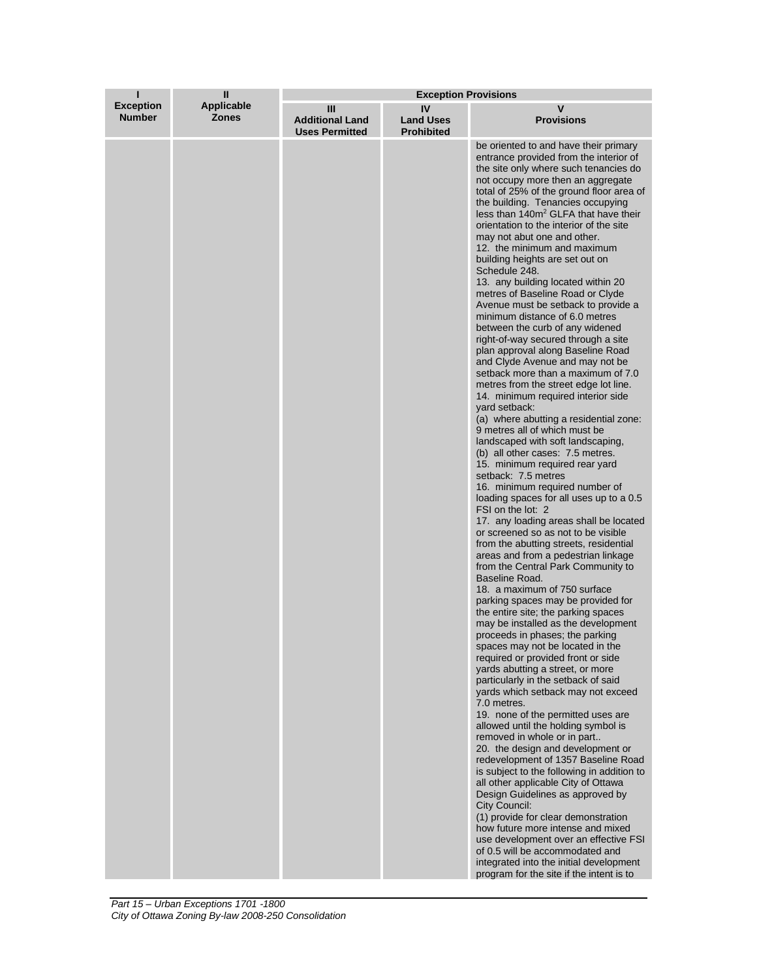| ı                                 | $\mathbf{I}$               | <b>Exception Provisions</b>                          |                                             |                                                                                                                                                                                                                                                                                                                                                                                                                                                                                                                                                                                                                                                                                                                                                                                                                                                                                                                                                                                                                                                                                                                                                                                                                                                                                                                                                                                                                                                                                                                                                                                                                                                                                                                                                                                                                                                                                                                                                                                                                                                                                                                                                                                                                                                                                                                                                                                                                                       |  |
|-----------------------------------|----------------------------|------------------------------------------------------|---------------------------------------------|---------------------------------------------------------------------------------------------------------------------------------------------------------------------------------------------------------------------------------------------------------------------------------------------------------------------------------------------------------------------------------------------------------------------------------------------------------------------------------------------------------------------------------------------------------------------------------------------------------------------------------------------------------------------------------------------------------------------------------------------------------------------------------------------------------------------------------------------------------------------------------------------------------------------------------------------------------------------------------------------------------------------------------------------------------------------------------------------------------------------------------------------------------------------------------------------------------------------------------------------------------------------------------------------------------------------------------------------------------------------------------------------------------------------------------------------------------------------------------------------------------------------------------------------------------------------------------------------------------------------------------------------------------------------------------------------------------------------------------------------------------------------------------------------------------------------------------------------------------------------------------------------------------------------------------------------------------------------------------------------------------------------------------------------------------------------------------------------------------------------------------------------------------------------------------------------------------------------------------------------------------------------------------------------------------------------------------------------------------------------------------------------------------------------------------------|--|
| <b>Exception</b><br><b>Number</b> | Applicable<br><b>Zones</b> | Ш<br><b>Additional Land</b><br><b>Uses Permitted</b> | IV<br><b>Land Uses</b><br><b>Prohibited</b> | v<br><b>Provisions</b>                                                                                                                                                                                                                                                                                                                                                                                                                                                                                                                                                                                                                                                                                                                                                                                                                                                                                                                                                                                                                                                                                                                                                                                                                                                                                                                                                                                                                                                                                                                                                                                                                                                                                                                                                                                                                                                                                                                                                                                                                                                                                                                                                                                                                                                                                                                                                                                                                |  |
|                                   |                            |                                                      |                                             | be oriented to and have their primary<br>entrance provided from the interior of<br>the site only where such tenancies do<br>not occupy more then an aggregate<br>total of 25% of the ground floor area of<br>the building. Tenancies occupying<br>less than 140m <sup>2</sup> GLFA that have their<br>orientation to the interior of the site<br>may not abut one and other.<br>12. the minimum and maximum<br>building heights are set out on<br>Schedule 248.<br>13. any building located within 20<br>metres of Baseline Road or Clyde<br>Avenue must be setback to provide a<br>minimum distance of 6.0 metres<br>between the curb of any widened<br>right-of-way secured through a site<br>plan approval along Baseline Road<br>and Clyde Avenue and may not be<br>setback more than a maximum of 7.0<br>metres from the street edge lot line.<br>14. minimum required interior side<br>vard setback:<br>(a) where abutting a residential zone:<br>9 metres all of which must be<br>landscaped with soft landscaping,<br>(b) all other cases: 7.5 metres.<br>15. minimum required rear yard<br>setback: 7.5 metres<br>16. minimum required number of<br>loading spaces for all uses up to a 0.5<br>FSI on the lot: 2<br>17. any loading areas shall be located<br>or screened so as not to be visible<br>from the abutting streets, residential<br>areas and from a pedestrian linkage<br>from the Central Park Community to<br>Baseline Road.<br>18. a maximum of 750 surface<br>parking spaces may be provided for<br>the entire site; the parking spaces<br>may be installed as the development<br>proceeds in phases; the parking<br>spaces may not be located in the<br>required or provided front or side<br>yards abutting a street, or more<br>particularly in the setback of said<br>yards which setback may not exceed<br>7.0 metres.<br>19. none of the permitted uses are<br>allowed until the holding symbol is<br>removed in whole or in part<br>20. the design and development or<br>redevelopment of 1357 Baseline Road<br>is subject to the following in addition to<br>all other applicable City of Ottawa<br>Design Guidelines as approved by<br>City Council:<br>(1) provide for clear demonstration<br>how future more intense and mixed<br>use development over an effective FSI<br>of 0.5 will be accommodated and<br>integrated into the initial development<br>program for the site if the intent is to |  |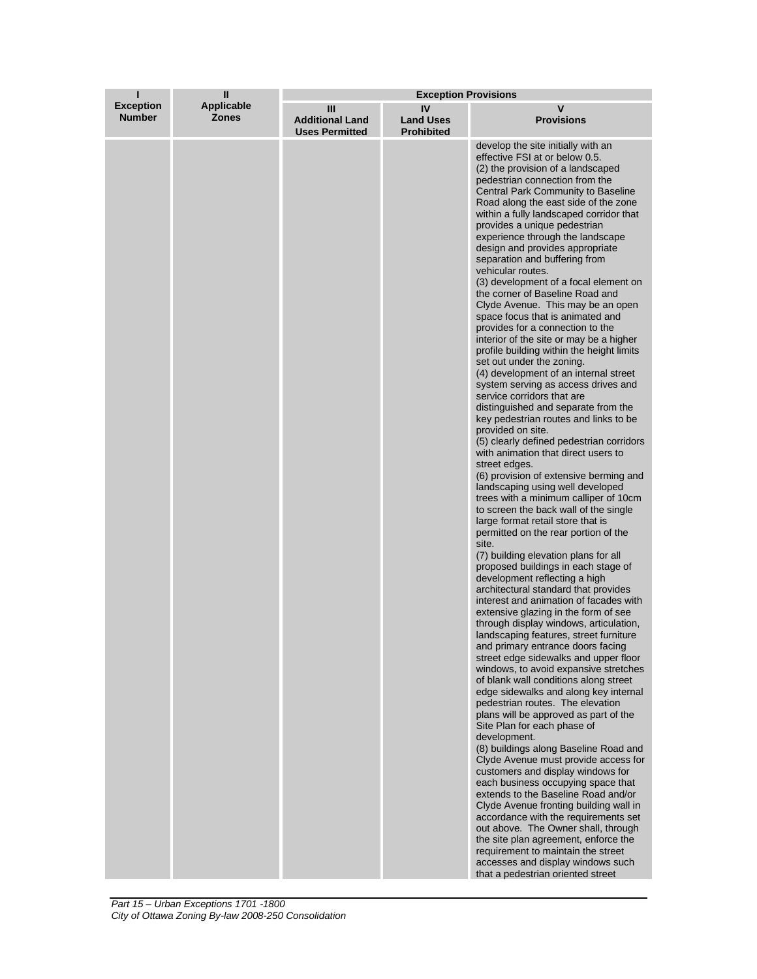| ı                                 | $\mathbf{I}$               | <b>Exception Provisions</b>                          |                                             |                                                                                                                                                                                                                                                                                                                                                                                                                                                                                                                                                                                                                                                                                                                                                                                                                                                                                                                                                                                                                                                                                                                                                                                                                                                                                                                                                                                                                                                                                                                                                                                                                                                                                                                                                                                                                                                                                                                                                                                                                                                                                                                                                                                                                                                                                                                                                                                                                                                                                     |
|-----------------------------------|----------------------------|------------------------------------------------------|---------------------------------------------|-------------------------------------------------------------------------------------------------------------------------------------------------------------------------------------------------------------------------------------------------------------------------------------------------------------------------------------------------------------------------------------------------------------------------------------------------------------------------------------------------------------------------------------------------------------------------------------------------------------------------------------------------------------------------------------------------------------------------------------------------------------------------------------------------------------------------------------------------------------------------------------------------------------------------------------------------------------------------------------------------------------------------------------------------------------------------------------------------------------------------------------------------------------------------------------------------------------------------------------------------------------------------------------------------------------------------------------------------------------------------------------------------------------------------------------------------------------------------------------------------------------------------------------------------------------------------------------------------------------------------------------------------------------------------------------------------------------------------------------------------------------------------------------------------------------------------------------------------------------------------------------------------------------------------------------------------------------------------------------------------------------------------------------------------------------------------------------------------------------------------------------------------------------------------------------------------------------------------------------------------------------------------------------------------------------------------------------------------------------------------------------------------------------------------------------------------------------------------------------|
| <b>Exception</b><br><b>Number</b> | Applicable<br><b>Zones</b> | Ш<br><b>Additional Land</b><br><b>Uses Permitted</b> | IV<br><b>Land Uses</b><br><b>Prohibited</b> | v<br><b>Provisions</b>                                                                                                                                                                                                                                                                                                                                                                                                                                                                                                                                                                                                                                                                                                                                                                                                                                                                                                                                                                                                                                                                                                                                                                                                                                                                                                                                                                                                                                                                                                                                                                                                                                                                                                                                                                                                                                                                                                                                                                                                                                                                                                                                                                                                                                                                                                                                                                                                                                                              |
|                                   |                            |                                                      |                                             | develop the site initially with an<br>effective FSI at or below 0.5.<br>(2) the provision of a landscaped<br>pedestrian connection from the<br>Central Park Community to Baseline<br>Road along the east side of the zone<br>within a fully landscaped corridor that<br>provides a unique pedestrian<br>experience through the landscape<br>design and provides appropriate<br>separation and buffering from<br>vehicular routes.<br>(3) development of a focal element on<br>the corner of Baseline Road and<br>Clyde Avenue. This may be an open<br>space focus that is animated and<br>provides for a connection to the<br>interior of the site or may be a higher<br>profile building within the height limits<br>set out under the zoning.<br>(4) development of an internal street<br>system serving as access drives and<br>service corridors that are<br>distinguished and separate from the<br>key pedestrian routes and links to be<br>provided on site.<br>(5) clearly defined pedestrian corridors<br>with animation that direct users to<br>street edges.<br>(6) provision of extensive berming and<br>landscaping using well developed<br>trees with a minimum calliper of 10cm<br>to screen the back wall of the single<br>large format retail store that is<br>permitted on the rear portion of the<br>site.<br>(7) building elevation plans for all<br>proposed buildings in each stage of<br>development reflecting a high<br>architectural standard that provides<br>interest and animation of facades with<br>extensive glazing in the form of see<br>through display windows, articulation,<br>landscaping features, street furniture<br>and primary entrance doors facing<br>street edge sidewalks and upper floor<br>windows, to avoid expansive stretches<br>of blank wall conditions along street<br>edge sidewalks and along key internal<br>pedestrian routes. The elevation<br>plans will be approved as part of the<br>Site Plan for each phase of<br>development.<br>(8) buildings along Baseline Road and<br>Clyde Avenue must provide access for<br>customers and display windows for<br>each business occupying space that<br>extends to the Baseline Road and/or<br>Clyde Avenue fronting building wall in<br>accordance with the requirements set<br>out above. The Owner shall, through<br>the site plan agreement, enforce the<br>requirement to maintain the street<br>accesses and display windows such<br>that a pedestrian oriented street |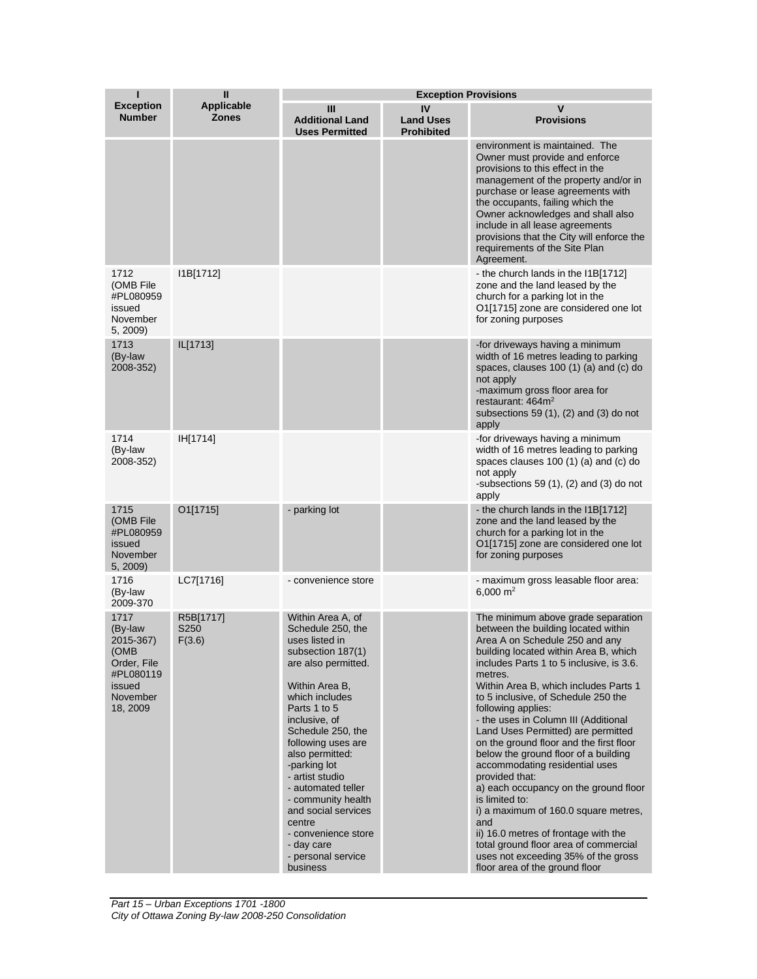| ı                                                                                                  | $\mathbf{I}$                      |                                                                                                                                                                                                                                                                                                                                                                                                                                | <b>Exception Provisions</b>                 |                                                                                                                                                                                                                                                                                                                                                                                                                                                                                                                                                                                                                                                                                                                                                                                                            |
|----------------------------------------------------------------------------------------------------|-----------------------------------|--------------------------------------------------------------------------------------------------------------------------------------------------------------------------------------------------------------------------------------------------------------------------------------------------------------------------------------------------------------------------------------------------------------------------------|---------------------------------------------|------------------------------------------------------------------------------------------------------------------------------------------------------------------------------------------------------------------------------------------------------------------------------------------------------------------------------------------------------------------------------------------------------------------------------------------------------------------------------------------------------------------------------------------------------------------------------------------------------------------------------------------------------------------------------------------------------------------------------------------------------------------------------------------------------------|
| <b>Exception</b><br><b>Number</b>                                                                  | <b>Applicable</b><br><b>Zones</b> | Ш<br><b>Additional Land</b><br><b>Uses Permitted</b>                                                                                                                                                                                                                                                                                                                                                                           | IV<br><b>Land Uses</b><br><b>Prohibited</b> | v<br><b>Provisions</b>                                                                                                                                                                                                                                                                                                                                                                                                                                                                                                                                                                                                                                                                                                                                                                                     |
|                                                                                                    |                                   |                                                                                                                                                                                                                                                                                                                                                                                                                                |                                             | environment is maintained. The<br>Owner must provide and enforce<br>provisions to this effect in the<br>management of the property and/or in<br>purchase or lease agreements with<br>the occupants, failing which the<br>Owner acknowledges and shall also<br>include in all lease agreements<br>provisions that the City will enforce the<br>requirements of the Site Plan<br>Agreement.                                                                                                                                                                                                                                                                                                                                                                                                                  |
| 1712<br>(OMB File<br>#PL080959<br>issued<br>November<br>5, 2009)                                   | I1B[1712]                         |                                                                                                                                                                                                                                                                                                                                                                                                                                |                                             | the church lands in the I1B[1712]<br>zone and the land leased by the<br>church for a parking lot in the<br>O1[1715] zone are considered one lot<br>for zoning purposes                                                                                                                                                                                                                                                                                                                                                                                                                                                                                                                                                                                                                                     |
| 1713<br>(By-law<br>2008-352)                                                                       | IL[1713]                          |                                                                                                                                                                                                                                                                                                                                                                                                                                |                                             | -for driveways having a minimum<br>width of 16 metres leading to parking<br>spaces, clauses 100 (1) (a) and (c) do<br>not apply<br>-maximum gross floor area for<br>restaurant: $464m2$<br>subsections 59 $(1)$ , $(2)$ and $(3)$ do not<br>apply                                                                                                                                                                                                                                                                                                                                                                                                                                                                                                                                                          |
| 1714<br>(By-law<br>2008-352)                                                                       | IH[1714]                          |                                                                                                                                                                                                                                                                                                                                                                                                                                |                                             | -for driveways having a minimum<br>width of 16 metres leading to parking<br>spaces clauses 100 (1) (a) and (c) do<br>not apply<br>-subsections 59 $(1)$ , $(2)$ and $(3)$ do not<br>apply                                                                                                                                                                                                                                                                                                                                                                                                                                                                                                                                                                                                                  |
| 1715<br>(OMB File<br>#PL080959<br>issued<br>November<br>5, 2009)                                   | O1[1715]                          | - parking lot                                                                                                                                                                                                                                                                                                                                                                                                                  |                                             | - the church lands in the I1B[1712]<br>zone and the land leased by the<br>church for a parking lot in the<br>O1[1715] zone are considered one lot<br>for zoning purposes                                                                                                                                                                                                                                                                                                                                                                                                                                                                                                                                                                                                                                   |
| 1716<br>(By-law<br>2009-370                                                                        | LC7[1716]                         | - convenience store                                                                                                                                                                                                                                                                                                                                                                                                            |                                             | - maximum gross leasable floor area:<br>6,000 $m2$                                                                                                                                                                                                                                                                                                                                                                                                                                                                                                                                                                                                                                                                                                                                                         |
| 1717<br>(By-law<br>2015-367)<br>(OMB<br>Order, File<br>#PL080119<br>issued<br>November<br>18, 2009 | R5B[1717]<br>S250<br>F(3.6)       | Within Area A, of<br>Schedule 250, the<br>uses listed in<br>subsection 187(1)<br>are also permitted.<br>Within Area B,<br>which includes<br>Parts 1 to 5<br>inclusive, of<br>Schedule 250, the<br>following uses are<br>also permitted:<br>-parking lot<br>- artist studio<br>- automated teller<br>- community health<br>and social services<br>centre<br>- convenience store<br>- day care<br>- personal service<br>business |                                             | The minimum above grade separation<br>between the building located within<br>Area A on Schedule 250 and any<br>building located within Area B, which<br>includes Parts 1 to 5 inclusive, is 3.6.<br>metres.<br>Within Area B, which includes Parts 1<br>to 5 inclusive, of Schedule 250 the<br>following applies:<br>- the uses in Column III (Additional<br>Land Uses Permitted) are permitted<br>on the ground floor and the first floor<br>below the ground floor of a building<br>accommodating residential uses<br>provided that:<br>a) each occupancy on the ground floor<br>is limited to:<br>i) a maximum of 160.0 square metres,<br>and<br>ii) 16.0 metres of frontage with the<br>total ground floor area of commercial<br>uses not exceeding 35% of the gross<br>floor area of the ground floor |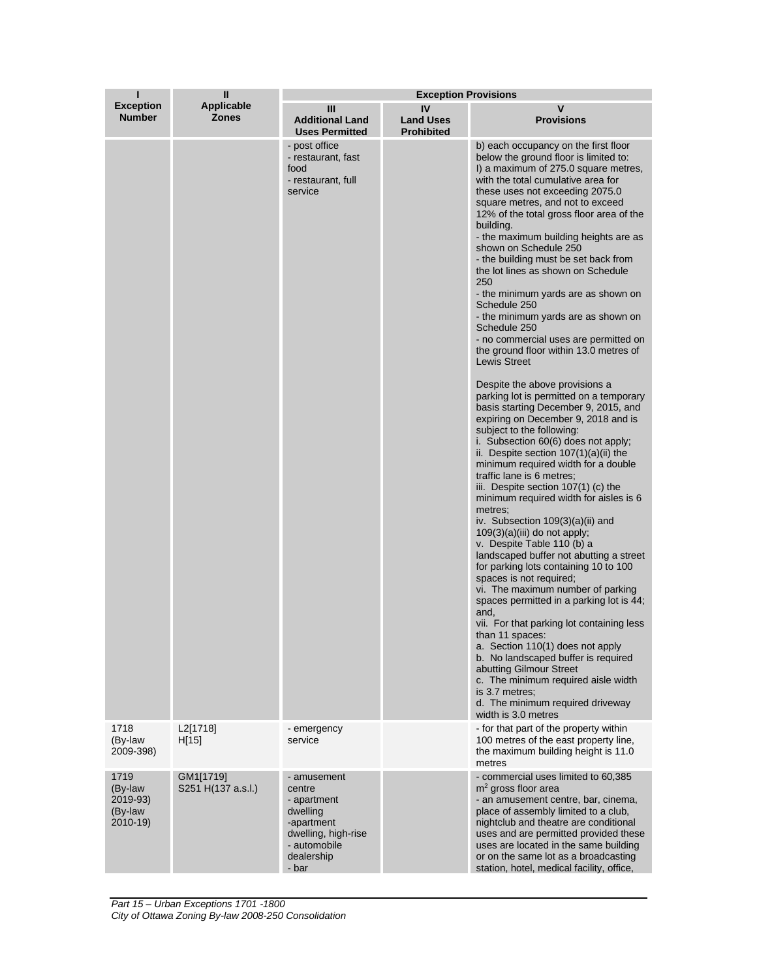| ı                                                      | $\mathbf{I}$                      | <b>Exception Provisions</b>                                                                                                  |                                             |                                                                                                                                                                                                                                                                                                                                                                                                                                                                                                                                                                                                                                                                                                                                                                                                                                                                                                                                                                                                                                                                                                                                                                                                                                                                                                                                                                                                                                                                                                                                                                                                                                                                                                                             |  |
|--------------------------------------------------------|-----------------------------------|------------------------------------------------------------------------------------------------------------------------------|---------------------------------------------|-----------------------------------------------------------------------------------------------------------------------------------------------------------------------------------------------------------------------------------------------------------------------------------------------------------------------------------------------------------------------------------------------------------------------------------------------------------------------------------------------------------------------------------------------------------------------------------------------------------------------------------------------------------------------------------------------------------------------------------------------------------------------------------------------------------------------------------------------------------------------------------------------------------------------------------------------------------------------------------------------------------------------------------------------------------------------------------------------------------------------------------------------------------------------------------------------------------------------------------------------------------------------------------------------------------------------------------------------------------------------------------------------------------------------------------------------------------------------------------------------------------------------------------------------------------------------------------------------------------------------------------------------------------------------------------------------------------------------------|--|
| <b>Exception</b><br><b>Number</b>                      | <b>Applicable</b><br><b>Zones</b> | Ш<br><b>Additional Land</b><br><b>Uses Permitted</b>                                                                         | IV<br><b>Land Uses</b><br><b>Prohibited</b> | v<br><b>Provisions</b>                                                                                                                                                                                                                                                                                                                                                                                                                                                                                                                                                                                                                                                                                                                                                                                                                                                                                                                                                                                                                                                                                                                                                                                                                                                                                                                                                                                                                                                                                                                                                                                                                                                                                                      |  |
|                                                        |                                   | - post office<br>- restaurant, fast<br>food<br>- restaurant, full<br>service                                                 |                                             | b) each occupancy on the first floor<br>below the ground floor is limited to:<br>I) a maximum of 275.0 square metres,<br>with the total cumulative area for<br>these uses not exceeding 2075.0<br>square metres, and not to exceed<br>12% of the total gross floor area of the<br>building.<br>- the maximum building heights are as<br>shown on Schedule 250<br>- the building must be set back from<br>the lot lines as shown on Schedule<br>250<br>- the minimum yards are as shown on<br>Schedule 250<br>- the minimum yards are as shown on<br>Schedule 250<br>- no commercial uses are permitted on<br>the ground floor within 13.0 metres of<br><b>Lewis Street</b><br>Despite the above provisions a<br>parking lot is permitted on a temporary<br>basis starting December 9, 2015, and<br>expiring on December 9, 2018 and is<br>subject to the following:<br>i. Subsection 60(6) does not apply;<br>ii. Despite section $107(1)(a)(ii)$ the<br>minimum required width for a double<br>traffic lane is 6 metres;<br>iii. Despite section 107(1) (c) the<br>minimum required width for aisles is 6<br>metres;<br>iv. Subsection 109(3)(a)(ii) and<br>$109(3)(a)(iii)$ do not apply;<br>v. Despite Table 110 (b) a<br>landscaped buffer not abutting a street<br>for parking lots containing 10 to 100<br>spaces is not required;<br>vi. The maximum number of parking<br>spaces permitted in a parking lot is 44;<br>and,<br>vii. For that parking lot containing less<br>than 11 spaces:<br>a. Section 110(1) does not apply<br>b. No landscaped buffer is required<br>abutting Gilmour Street<br>c. The minimum required aisle width<br>is 3.7 metres;<br>d. The minimum required driveway<br>width is 3.0 metres |  |
| 1718<br>(By-law<br>2009-398)                           | L2[1718]<br>H[15]                 | - emergency<br>service                                                                                                       |                                             | - for that part of the property within<br>100 metres of the east property line,<br>the maximum building height is 11.0<br>metres                                                                                                                                                                                                                                                                                                                                                                                                                                                                                                                                                                                                                                                                                                                                                                                                                                                                                                                                                                                                                                                                                                                                                                                                                                                                                                                                                                                                                                                                                                                                                                                            |  |
| 1719<br>(By-law)<br>2019-93)<br>(By-law<br>$2010 - 19$ | GM1[1719]<br>S251 H(137 a.s.l.)   | - amusement<br>centre<br>- apartment<br>dwelling<br>-apartment<br>dwelling, high-rise<br>- automobile<br>dealership<br>- bar |                                             | - commercial uses limited to 60,385<br>$m2$ gross floor area<br>- an amusement centre, bar, cinema,<br>place of assembly limited to a club,<br>nightclub and theatre are conditional<br>uses and are permitted provided these<br>uses are located in the same building<br>or on the same lot as a broadcasting<br>station, hotel, medical facility, office,                                                                                                                                                                                                                                                                                                                                                                                                                                                                                                                                                                                                                                                                                                                                                                                                                                                                                                                                                                                                                                                                                                                                                                                                                                                                                                                                                                 |  |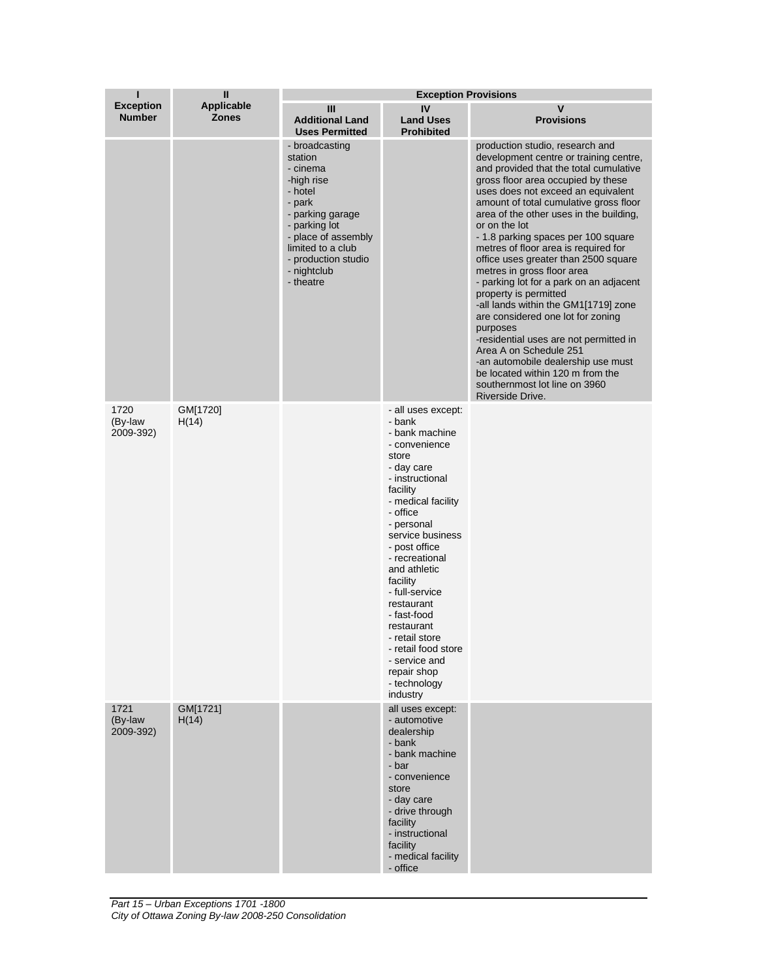| ı                                 | $\mathbf{I}$               | <b>Exception Provisions</b>                                                                                                                                                                                  |                                                                                                                                                                                                                                                                                                                                                                                                                            |                                                                                                                                                                                                                                                                                                                                                                                                                                                                                                                                                                                                                                                                                                                                                                                                                            |  |
|-----------------------------------|----------------------------|--------------------------------------------------------------------------------------------------------------------------------------------------------------------------------------------------------------|----------------------------------------------------------------------------------------------------------------------------------------------------------------------------------------------------------------------------------------------------------------------------------------------------------------------------------------------------------------------------------------------------------------------------|----------------------------------------------------------------------------------------------------------------------------------------------------------------------------------------------------------------------------------------------------------------------------------------------------------------------------------------------------------------------------------------------------------------------------------------------------------------------------------------------------------------------------------------------------------------------------------------------------------------------------------------------------------------------------------------------------------------------------------------------------------------------------------------------------------------------------|--|
| <b>Exception</b><br><b>Number</b> | Applicable<br><b>Zones</b> | Ш<br><b>Additional Land</b><br><b>Uses Permitted</b>                                                                                                                                                         | IV<br><b>Land Uses</b><br><b>Prohibited</b>                                                                                                                                                                                                                                                                                                                                                                                | $\mathsf{v}$<br><b>Provisions</b>                                                                                                                                                                                                                                                                                                                                                                                                                                                                                                                                                                                                                                                                                                                                                                                          |  |
|                                   |                            | - broadcasting<br>station<br>- cinema<br>-high rise<br>- hotel<br>- park<br>- parking garage<br>- parking lot<br>- place of assembly<br>limited to a club<br>- production studio<br>- nightclub<br>- theatre |                                                                                                                                                                                                                                                                                                                                                                                                                            | production studio, research and<br>development centre or training centre,<br>and provided that the total cumulative<br>gross floor area occupied by these<br>uses does not exceed an equivalent<br>amount of total cumulative gross floor<br>area of the other uses in the building,<br>or on the lot<br>- 1.8 parking spaces per 100 square<br>metres of floor area is required for<br>office uses greater than 2500 square<br>metres in gross floor area<br>- parking lot for a park on an adjacent<br>property is permitted<br>-all lands within the GM1[1719] zone<br>are considered one lot for zoning<br>purposes<br>-residential uses are not permitted in<br>Area A on Schedule 251<br>-an automobile dealership use must<br>be located within 120 m from the<br>southernmost lot line on 3960<br>Riverside Drive. |  |
| 1720<br>(By-law<br>2009-392)      | GM[1720]<br>H(14)          |                                                                                                                                                                                                              | - all uses except:<br>- bank<br>- bank machine<br>- convenience<br>store<br>- day care<br>- instructional<br>facility<br>- medical facility<br>- office<br>- personal<br>service business<br>- post office<br>- recreational<br>and athletic<br>facility<br>- full-service<br>restaurant<br>- fast-food<br>restaurant<br>- retail store<br>- retail food store<br>- service and<br>repair shop<br>- technology<br>industry |                                                                                                                                                                                                                                                                                                                                                                                                                                                                                                                                                                                                                                                                                                                                                                                                                            |  |
| 1721<br>(By-law<br>2009-392)      | GM[1721]<br>H(14)          |                                                                                                                                                                                                              | all uses except:<br>- automotive<br>dealership<br>- bank<br>- bank machine<br>- bar<br>- convenience<br>store<br>- day care<br>- drive through<br>facility<br>- instructional<br>facility<br>- medical facility<br>- office                                                                                                                                                                                                |                                                                                                                                                                                                                                                                                                                                                                                                                                                                                                                                                                                                                                                                                                                                                                                                                            |  |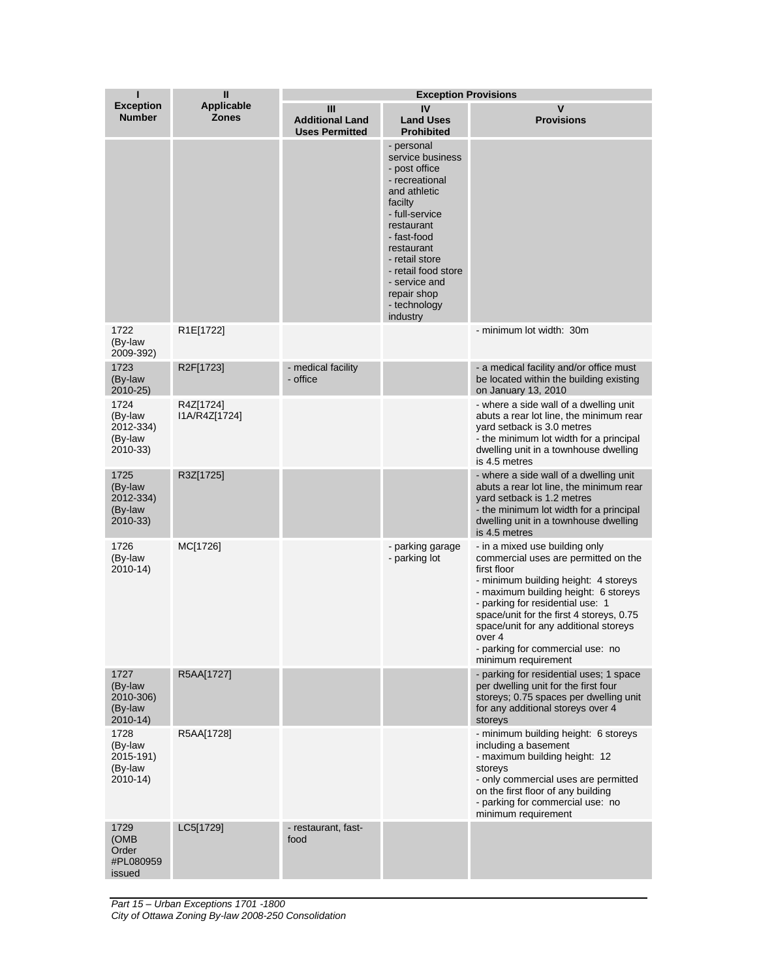| П                                                      | $\mathbf{I}$                      | <b>Exception Provisions</b>                          |                                                                                                                                                                                                                                                                |                                                                                                                                                                                                                                                                                                                                                                     |  |
|--------------------------------------------------------|-----------------------------------|------------------------------------------------------|----------------------------------------------------------------------------------------------------------------------------------------------------------------------------------------------------------------------------------------------------------------|---------------------------------------------------------------------------------------------------------------------------------------------------------------------------------------------------------------------------------------------------------------------------------------------------------------------------------------------------------------------|--|
| <b>Exception</b><br><b>Number</b>                      | <b>Applicable</b><br><b>Zones</b> | Ш<br><b>Additional Land</b><br><b>Uses Permitted</b> | IV<br><b>Land Uses</b><br><b>Prohibited</b>                                                                                                                                                                                                                    | V<br><b>Provisions</b>                                                                                                                                                                                                                                                                                                                                              |  |
|                                                        |                                   |                                                      | - personal<br>service business<br>- post office<br>- recreational<br>and athletic<br>facilty<br>- full-service<br>restaurant<br>- fast-food<br>restaurant<br>- retail store<br>- retail food store<br>- service and<br>repair shop<br>- technology<br>industry |                                                                                                                                                                                                                                                                                                                                                                     |  |
| 1722<br>(By-law<br>2009-392)                           | R1E[1722]                         |                                                      |                                                                                                                                                                                                                                                                | - minimum lot width: 30m                                                                                                                                                                                                                                                                                                                                            |  |
| 1723<br>(By-law<br>2010-25)                            | R2F[1723]                         | - medical facility<br>- office                       |                                                                                                                                                                                                                                                                | - a medical facility and/or office must<br>be located within the building existing<br>on January 13, 2010                                                                                                                                                                                                                                                           |  |
| 1724<br>(By-law<br>2012-334)<br>(By-law<br>2010-33)    | R4Z[1724]<br>I1A/R4Z[1724]        |                                                      |                                                                                                                                                                                                                                                                | - where a side wall of a dwelling unit<br>abuts a rear lot line, the minimum rear<br>yard setback is 3.0 metres<br>- the minimum lot width for a principal<br>dwelling unit in a townhouse dwelling<br>is 4.5 metres                                                                                                                                                |  |
| 1725<br>(By-law<br>2012-334)<br>(By-law<br>2010-33)    | R3Z[1725]                         |                                                      |                                                                                                                                                                                                                                                                | - where a side wall of a dwelling unit<br>abuts a rear lot line, the minimum rear<br>yard setback is 1.2 metres<br>- the minimum lot width for a principal<br>dwelling unit in a townhouse dwelling<br>is 4.5 metres                                                                                                                                                |  |
| 1726<br>(By-law<br>2010-14)                            | MC[1726]                          |                                                      | - parking garage<br>- parking lot                                                                                                                                                                                                                              | - in a mixed use building only<br>commercial uses are permitted on the<br>first floor<br>- minimum building height: 4 storeys<br>- maximum building height: 6 storeys<br>- parking for residential use: 1<br>space/unit for the first 4 storeys, 0.75<br>space/unit for any additional storeys<br>over 4<br>- parking for commercial use: no<br>minimum requirement |  |
| 1727<br>(By-law<br>2010-306)<br>(By-law<br>$2010 - 14$ | R5AA[1727]                        |                                                      |                                                                                                                                                                                                                                                                | - parking for residential uses; 1 space<br>per dwelling unit for the first four<br>storeys; 0.75 spaces per dwelling unit<br>for any additional storeys over 4<br>storeys                                                                                                                                                                                           |  |
| 1728<br>(By-law<br>2015-191)<br>(By-law<br>2010-14)    | R5AA[1728]                        |                                                      |                                                                                                                                                                                                                                                                | - minimum building height: 6 storeys<br>including a basement<br>- maximum building height: 12<br>storeys<br>- only commercial uses are permitted<br>on the first floor of any building<br>- parking for commercial use: no<br>minimum requirement                                                                                                                   |  |
| 1729<br>(OMB)<br>Order<br>#PL080959<br>issued          | LC5[1729]                         | - restaurant, fast-<br>food                          |                                                                                                                                                                                                                                                                |                                                                                                                                                                                                                                                                                                                                                                     |  |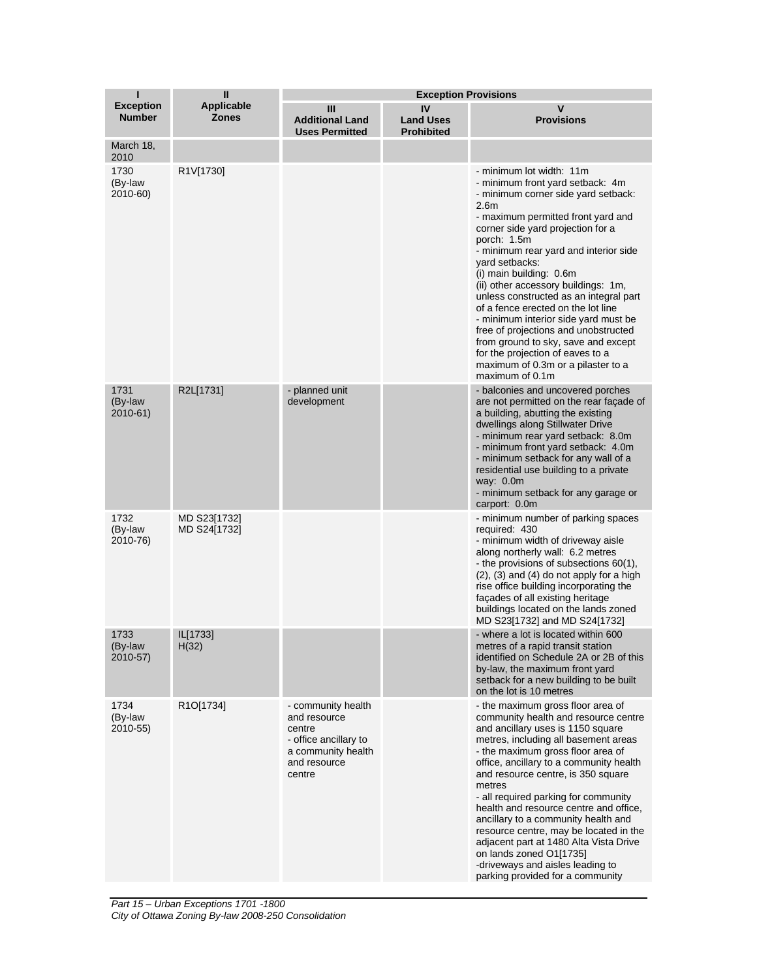| ī                                 | $\mathbf{I}$                      | <b>Exception Provisions</b>                                                                                           |                                             |                                                                                                                                                                                                                                                                                                                                                                                                                                                                                                                                                                                                                                                    |  |
|-----------------------------------|-----------------------------------|-----------------------------------------------------------------------------------------------------------------------|---------------------------------------------|----------------------------------------------------------------------------------------------------------------------------------------------------------------------------------------------------------------------------------------------------------------------------------------------------------------------------------------------------------------------------------------------------------------------------------------------------------------------------------------------------------------------------------------------------------------------------------------------------------------------------------------------------|--|
| <b>Exception</b><br><b>Number</b> | <b>Applicable</b><br><b>Zones</b> | Ш<br><b>Additional Land</b><br><b>Uses Permitted</b>                                                                  | IV<br><b>Land Uses</b><br><b>Prohibited</b> | V<br><b>Provisions</b>                                                                                                                                                                                                                                                                                                                                                                                                                                                                                                                                                                                                                             |  |
| March 18,<br>2010                 |                                   |                                                                                                                       |                                             |                                                                                                                                                                                                                                                                                                                                                                                                                                                                                                                                                                                                                                                    |  |
| 1730<br>(By-law<br>2010-60)       | R1V[1730]                         |                                                                                                                       |                                             | - minimum lot width: 11m<br>- minimum front yard setback: 4m<br>- minimum corner side yard setback:<br>2.6 <sub>m</sub><br>- maximum permitted front yard and<br>corner side yard projection for a<br>porch: 1.5m<br>- minimum rear yard and interior side<br>yard setbacks:<br>(i) main building: 0.6m<br>(ii) other accessory buildings: 1m,<br>unless constructed as an integral part<br>of a fence erected on the lot line<br>- minimum interior side yard must be<br>free of projections and unobstructed<br>from ground to sky, save and except<br>for the projection of eaves to a<br>maximum of 0.3m or a pilaster to a<br>maximum of 0.1m |  |
| 1731<br>(By-law<br>2010-61)       | R2L[1731]                         | - planned unit<br>development                                                                                         |                                             | - balconies and uncovered porches<br>are not permitted on the rear facade of<br>a building, abutting the existing<br>dwellings along Stillwater Drive<br>- minimum rear yard setback: 8.0m<br>- minimum front yard setback: 4.0m<br>- minimum setback for any wall of a<br>residential use building to a private<br>way: 0.0m<br>- minimum setback for any garage or<br>carport: 0.0m                                                                                                                                                                                                                                                              |  |
| 1732<br>(By-law<br>2010-76)       | MD S23[1732]<br>MD S24[1732]      |                                                                                                                       |                                             | - minimum number of parking spaces<br>required: 430<br>- minimum width of driveway aisle<br>along northerly wall: 6.2 metres<br>- the provisions of subsections 60(1),<br>$(2)$ , $(3)$ and $(4)$ do not apply for a high<br>rise office building incorporating the<br>facades of all existing heritage<br>buildings located on the lands zoned<br>MD S23[1732] and MD S24[1732]                                                                                                                                                                                                                                                                   |  |
| 1733<br>(By-law<br>2010-57)       | IL[1733]<br>H(32)                 |                                                                                                                       |                                             | - where a lot is located within 600<br>metres of a rapid transit station<br>identified on Schedule 2A or 2B of this<br>by-law, the maximum front yard<br>setback for a new building to be built<br>on the lot is 10 metres                                                                                                                                                                                                                                                                                                                                                                                                                         |  |
| 1734<br>(By-law<br>2010-55)       | R1O[1734]                         | - community health<br>and resource<br>centre<br>- office ancillary to<br>a community health<br>and resource<br>centre |                                             | - the maximum gross floor area of<br>community health and resource centre<br>and ancillary uses is 1150 square<br>metres, including all basement areas<br>- the maximum gross floor area of<br>office, ancillary to a community health<br>and resource centre, is 350 square<br>metres<br>- all required parking for community<br>health and resource centre and office,<br>ancillary to a community health and<br>resource centre, may be located in the<br>adjacent part at 1480 Alta Vista Drive<br>on lands zoned O1[1735]<br>-driveways and aisles leading to<br>parking provided for a community                                             |  |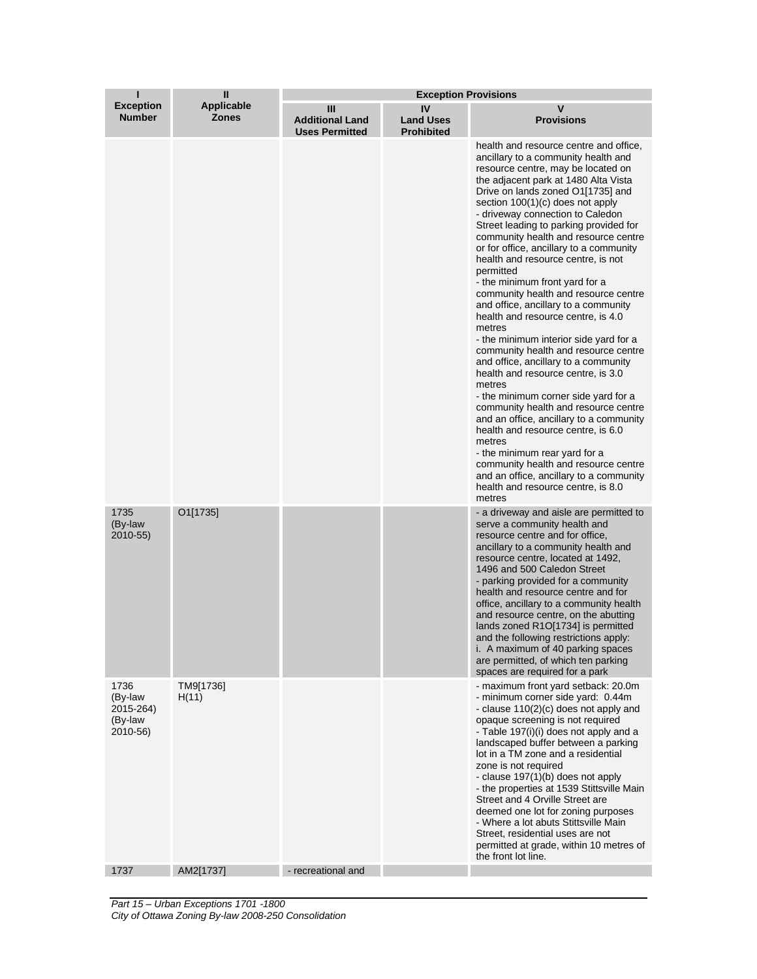| ı                                                   | Ш                                 | <b>Exception Provisions</b>                          |                                             |                                                                                                                                                                                                                                                                                                                                                                                                                                                                                                                                                                                                                                                                                                                                                                                                                                                                                                                                                                                                                                                                                                                                                       |  |
|-----------------------------------------------------|-----------------------------------|------------------------------------------------------|---------------------------------------------|-------------------------------------------------------------------------------------------------------------------------------------------------------------------------------------------------------------------------------------------------------------------------------------------------------------------------------------------------------------------------------------------------------------------------------------------------------------------------------------------------------------------------------------------------------------------------------------------------------------------------------------------------------------------------------------------------------------------------------------------------------------------------------------------------------------------------------------------------------------------------------------------------------------------------------------------------------------------------------------------------------------------------------------------------------------------------------------------------------------------------------------------------------|--|
| <b>Exception</b><br><b>Number</b>                   | <b>Applicable</b><br><b>Zones</b> | Ш<br><b>Additional Land</b><br><b>Uses Permitted</b> | IV<br><b>Land Uses</b><br><b>Prohibited</b> | V<br><b>Provisions</b>                                                                                                                                                                                                                                                                                                                                                                                                                                                                                                                                                                                                                                                                                                                                                                                                                                                                                                                                                                                                                                                                                                                                |  |
|                                                     |                                   |                                                      |                                             | health and resource centre and office,<br>ancillary to a community health and<br>resource centre, may be located on<br>the adjacent park at 1480 Alta Vista<br>Drive on lands zoned O1[1735] and<br>section $100(1)(c)$ does not apply<br>- driveway connection to Caledon<br>Street leading to parking provided for<br>community health and resource centre<br>or for office, ancillary to a community<br>health and resource centre, is not<br>permitted<br>- the minimum front yard for a<br>community health and resource centre<br>and office, ancillary to a community<br>health and resource centre, is 4.0<br>metres<br>- the minimum interior side yard for a<br>community health and resource centre<br>and office, ancillary to a community<br>health and resource centre, is 3.0<br>metres<br>- the minimum corner side yard for a<br>community health and resource centre<br>and an office, ancillary to a community<br>health and resource centre, is 6.0<br>metres<br>- the minimum rear yard for a<br>community health and resource centre<br>and an office, ancillary to a community<br>health and resource centre, is 8.0<br>metres |  |
| 1735<br>(By-law<br>2010-55)                         | O1[1735]                          |                                                      |                                             | - a driveway and aisle are permitted to<br>serve a community health and<br>resource centre and for office,<br>ancillary to a community health and<br>resource centre, located at 1492,<br>1496 and 500 Caledon Street<br>- parking provided for a community<br>health and resource centre and for<br>office, ancillary to a community health<br>and resource centre, on the abutting<br>lands zoned R1O[1734] is permitted<br>and the following restrictions apply:<br>i. A maximum of 40 parking spaces<br>are permitted, of which ten parking<br>spaces are required for a park                                                                                                                                                                                                                                                                                                                                                                                                                                                                                                                                                                     |  |
| 1736<br>(By-law<br>2015-264)<br>(By-law<br>2010-56) | TM9[1736]<br>H(11)                |                                                      |                                             | - maximum front yard setback: 20.0m<br>- minimum corner side yard: 0.44m<br>- clause 110(2)(c) does not apply and<br>opaque screening is not required<br>- Table 197(i)(i) does not apply and a<br>landscaped buffer between a parking<br>lot in a TM zone and a residential<br>zone is not required<br>- clause 197(1)(b) does not apply<br>- the properties at 1539 Stittsville Main<br>Street and 4 Orville Street are<br>deemed one lot for zoning purposes<br>- Where a lot abuts Stittsville Main<br>Street, residential uses are not<br>permitted at grade, within 10 metres of<br>the front lot line.                                                                                                                                                                                                                                                                                                                                                                                                                                                                                                                                         |  |
| 1737                                                | AM2[1737]                         | - recreational and                                   |                                             |                                                                                                                                                                                                                                                                                                                                                                                                                                                                                                                                                                                                                                                                                                                                                                                                                                                                                                                                                                                                                                                                                                                                                       |  |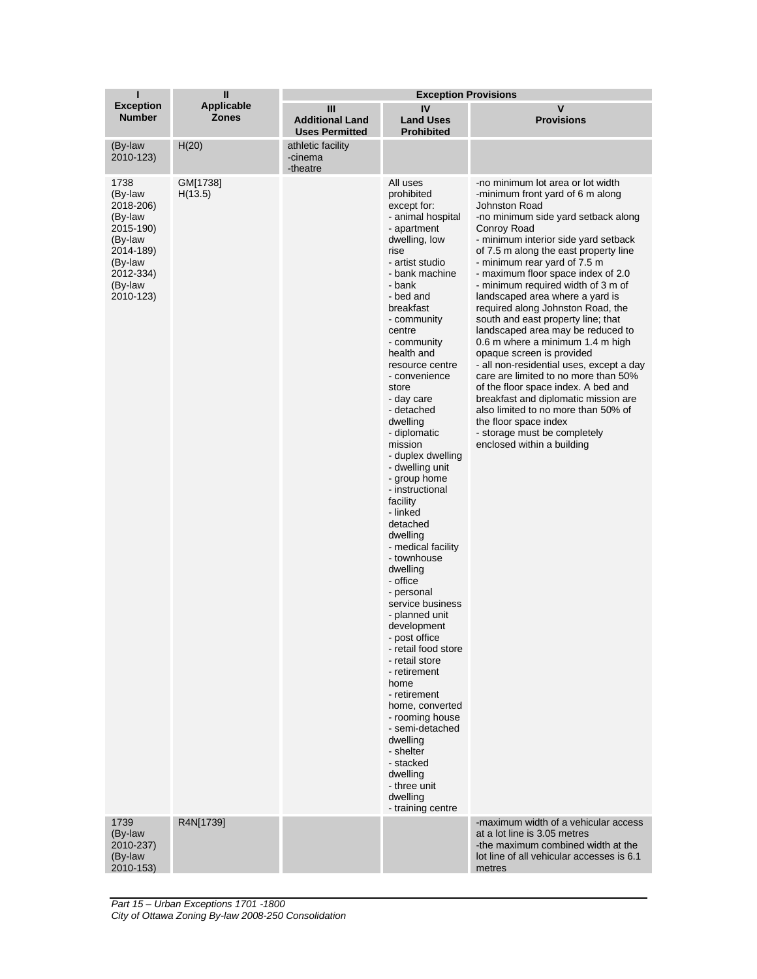| ı                                                                                                                            | $\mathbf{I}$                      | <b>Exception Provisions</b>                          |                                                                                                                                                                                                                                                                                                                                                                                                                                                                                                                                                                                                                                                                                                                                                                                                                                                                            |                                                                                                                                                                                                                                                                                                                                                                                                                                                                                                                                                                                                                                                                                                                                                                                                                                                                       |  |
|------------------------------------------------------------------------------------------------------------------------------|-----------------------------------|------------------------------------------------------|----------------------------------------------------------------------------------------------------------------------------------------------------------------------------------------------------------------------------------------------------------------------------------------------------------------------------------------------------------------------------------------------------------------------------------------------------------------------------------------------------------------------------------------------------------------------------------------------------------------------------------------------------------------------------------------------------------------------------------------------------------------------------------------------------------------------------------------------------------------------------|-----------------------------------------------------------------------------------------------------------------------------------------------------------------------------------------------------------------------------------------------------------------------------------------------------------------------------------------------------------------------------------------------------------------------------------------------------------------------------------------------------------------------------------------------------------------------------------------------------------------------------------------------------------------------------------------------------------------------------------------------------------------------------------------------------------------------------------------------------------------------|--|
| <b>Exception</b><br><b>Number</b>                                                                                            | <b>Applicable</b><br><b>Zones</b> | Ш<br><b>Additional Land</b><br><b>Uses Permitted</b> | IV<br><b>Land Uses</b><br><b>Prohibited</b>                                                                                                                                                                                                                                                                                                                                                                                                                                                                                                                                                                                                                                                                                                                                                                                                                                | v<br><b>Provisions</b>                                                                                                                                                                                                                                                                                                                                                                                                                                                                                                                                                                                                                                                                                                                                                                                                                                                |  |
| (By-law<br>2010-123)                                                                                                         | H(20)                             | athletic facility<br>-cinema<br>-theatre             |                                                                                                                                                                                                                                                                                                                                                                                                                                                                                                                                                                                                                                                                                                                                                                                                                                                                            |                                                                                                                                                                                                                                                                                                                                                                                                                                                                                                                                                                                                                                                                                                                                                                                                                                                                       |  |
| 1738<br>(By-law<br>2018-206)<br>(By-law<br>2015-190)<br>(By-law<br>2014-189)<br>(By-law<br>2012-334)<br>(By-law<br>2010-123) | GM[1738]<br>H(13.5)               |                                                      | All uses<br>prohibited<br>except for:<br>- animal hospital<br>- apartment<br>dwelling, low<br>rise<br>- artist studio<br>- bank machine<br>- bank<br>- bed and<br>breakfast<br>- community<br>centre<br>- community<br>health and<br>resource centre<br>- convenience<br>store<br>- day care<br>- detached<br>dwelling<br>- diplomatic<br>mission<br>- duplex dwelling<br>- dwelling unit<br>- group home<br>- instructional<br>facility<br>- linked<br>detached<br>dwelling<br>- medical facility<br>- townhouse<br>dwelling<br>- office<br>- personal<br>service business<br>- planned unit<br>development<br>- post office<br>- retail food store<br>- retail store<br>- retirement<br>home<br>- retirement<br>home, converted<br>- rooming house<br>- semi-detached<br>dwelling<br>- shelter<br>- stacked<br>dwelling<br>- three unit<br>dwelling<br>- training centre | -no minimum lot area or lot width<br>-minimum front yard of 6 m along<br><b>Johnston Road</b><br>-no minimum side yard setback along<br>Conroy Road<br>- minimum interior side yard setback<br>of 7.5 m along the east property line<br>- minimum rear yard of 7.5 m<br>- maximum floor space index of 2.0<br>- minimum required width of 3 m of<br>landscaped area where a yard is<br>required along Johnston Road, the<br>south and east property line; that<br>landscaped area may be reduced to<br>0.6 m where a minimum 1.4 m high<br>opaque screen is provided<br>- all non-residential uses, except a day<br>care are limited to no more than 50%<br>of the floor space index. A bed and<br>breakfast and diplomatic mission are<br>also limited to no more than 50% of<br>the floor space index<br>- storage must be completely<br>enclosed within a building |  |
| 1739<br>(By-law<br>2010-237)<br>(By-law<br>2010-153)                                                                         | R4N[1739]                         |                                                      |                                                                                                                                                                                                                                                                                                                                                                                                                                                                                                                                                                                                                                                                                                                                                                                                                                                                            | -maximum width of a vehicular access<br>at a lot line is 3.05 metres<br>-the maximum combined width at the<br>lot line of all vehicular accesses is 6.1<br>metres                                                                                                                                                                                                                                                                                                                                                                                                                                                                                                                                                                                                                                                                                                     |  |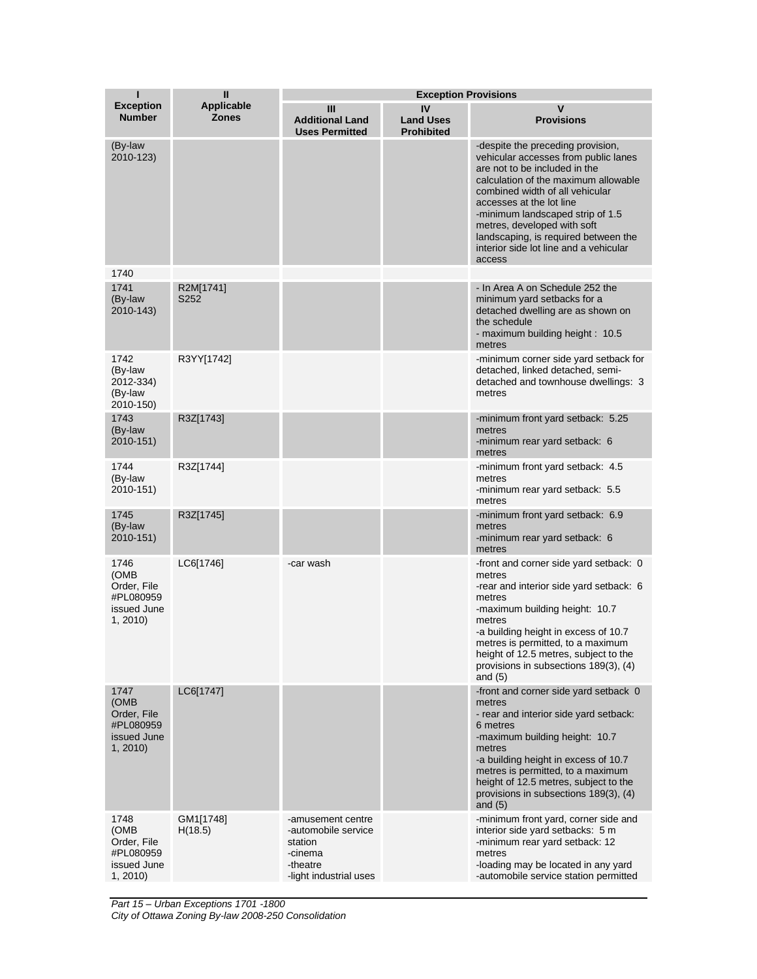| ī                                                                   | $\mathbf{I}$                      | <b>Exception Provisions</b>                                                                          |                                             |                                                                                                                                                                                                                                                                                                                                                                                  |  |
|---------------------------------------------------------------------|-----------------------------------|------------------------------------------------------------------------------------------------------|---------------------------------------------|----------------------------------------------------------------------------------------------------------------------------------------------------------------------------------------------------------------------------------------------------------------------------------------------------------------------------------------------------------------------------------|--|
| <b>Exception</b><br><b>Number</b>                                   | <b>Applicable</b><br><b>Zones</b> | Ш<br><b>Additional Land</b><br><b>Uses Permitted</b>                                                 | IV<br><b>Land Uses</b><br><b>Prohibited</b> | V<br><b>Provisions</b>                                                                                                                                                                                                                                                                                                                                                           |  |
| (By-law<br>2010-123)                                                |                                   |                                                                                                      |                                             | -despite the preceding provision,<br>vehicular accesses from public lanes<br>are not to be included in the<br>calculation of the maximum allowable<br>combined width of all vehicular<br>accesses at the lot line<br>-minimum landscaped strip of 1.5<br>metres, developed with soft<br>landscaping, is required between the<br>interior side lot line and a vehicular<br>access |  |
| 1740                                                                |                                   |                                                                                                      |                                             |                                                                                                                                                                                                                                                                                                                                                                                  |  |
| 1741<br>(By-law<br>2010-143)                                        | R2M[1741]<br>S252                 |                                                                                                      |                                             | - In Area A on Schedule 252 the<br>minimum yard setbacks for a<br>detached dwelling are as shown on<br>the schedule<br>- maximum building height: 10.5<br>metres                                                                                                                                                                                                                 |  |
| 1742<br>(By-law<br>2012-334)<br>(By-law<br>2010-150)                | R3YY[1742]                        |                                                                                                      |                                             | -minimum corner side yard setback for<br>detached, linked detached, semi-<br>detached and townhouse dwellings: 3<br>metres                                                                                                                                                                                                                                                       |  |
| 1743<br>(By-law<br>2010-151)                                        | R3Z[1743]                         |                                                                                                      |                                             | -minimum front yard setback: 5.25<br>metres<br>-minimum rear yard setback: 6<br>metres                                                                                                                                                                                                                                                                                           |  |
| 1744<br>(By-law<br>2010-151)                                        | R3Z[1744]                         |                                                                                                      |                                             | -minimum front yard setback: 4.5<br>metres<br>-minimum rear yard setback: 5.5<br>metres                                                                                                                                                                                                                                                                                          |  |
| 1745<br>(By-law<br>2010-151)                                        | R3Z[1745]                         |                                                                                                      |                                             | -minimum front yard setback: 6.9<br>metres<br>-minimum rear yard setback: 6<br>metres                                                                                                                                                                                                                                                                                            |  |
| 1746<br>(OMB<br>Order, File<br>#PL080959<br>issued June<br>1, 2010) | LC6[1746]                         | -car wash                                                                                            |                                             | -front and corner side yard setback: 0<br>metres<br>-rear and interior side yard setback: 6<br>metres<br>-maximum building height: 10.7<br>metres<br>-a building height in excess of 10.7<br>metres is permitted, to a maximum<br>height of 12.5 metres, subject to the<br>provisions in subsections 189(3), (4)<br>and $(5)$                                                    |  |
| 1747<br>(OMB<br>Order, File<br>#PL080959<br>issued June<br>1, 2010  | LC6[1747]                         |                                                                                                      |                                             | -front and corner side yard setback 0<br>metres<br>- rear and interior side yard setback:<br>6 metres<br>-maximum building height: 10.7<br>metres<br>-a building height in excess of 10.7<br>metres is permitted, to a maximum<br>height of 12.5 metres, subject to the<br>provisions in subsections 189(3), (4)<br>and $(5)$                                                    |  |
| 1748<br>(OMB<br>Order, File<br>#PL080959<br>issued June<br>1, 2010  | GM1[1748]<br>H(18.5)              | -amusement centre<br>-automobile service<br>station<br>-cinema<br>-theatre<br>-light industrial uses |                                             | -minimum front yard, corner side and<br>interior side yard setbacks: 5 m<br>-minimum rear yard setback: 12<br>metres<br>-loading may be located in any yard<br>-automobile service station permitted                                                                                                                                                                             |  |

*Part 15 – Urban Exceptions 1701 -1800 City of Ottawa Zoning By-law 2008-250 Consolidation*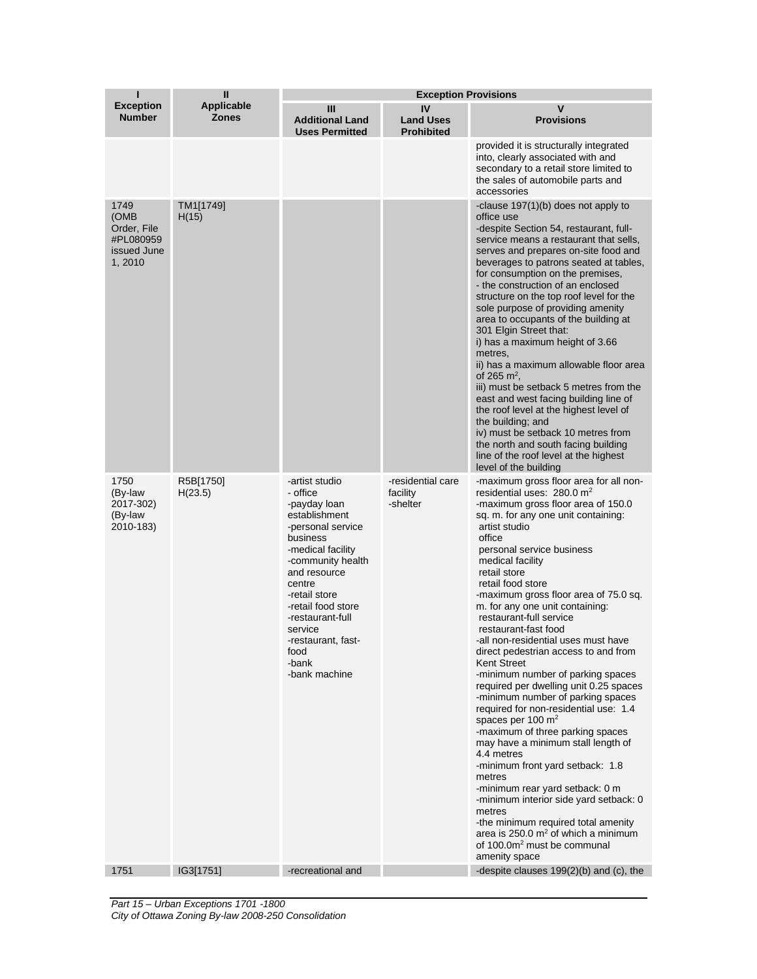| ī                                                                  | Ш                                 | <b>Exception Provisions</b>                                                                                                                                                                                                                                                                    |                                             |                                                                                                                                                                                                                                                                                                                                                                                                                                                                                                                                                                                                                                                                                                                                                                                                                                                                                                                                                                                                                                                                                   |
|--------------------------------------------------------------------|-----------------------------------|------------------------------------------------------------------------------------------------------------------------------------------------------------------------------------------------------------------------------------------------------------------------------------------------|---------------------------------------------|-----------------------------------------------------------------------------------------------------------------------------------------------------------------------------------------------------------------------------------------------------------------------------------------------------------------------------------------------------------------------------------------------------------------------------------------------------------------------------------------------------------------------------------------------------------------------------------------------------------------------------------------------------------------------------------------------------------------------------------------------------------------------------------------------------------------------------------------------------------------------------------------------------------------------------------------------------------------------------------------------------------------------------------------------------------------------------------|
| <b>Exception</b><br><b>Number</b>                                  | <b>Applicable</b><br><b>Zones</b> | Ш<br><b>Additional Land</b><br><b>Uses Permitted</b>                                                                                                                                                                                                                                           | IV<br><b>Land Uses</b><br><b>Prohibited</b> | V<br><b>Provisions</b>                                                                                                                                                                                                                                                                                                                                                                                                                                                                                                                                                                                                                                                                                                                                                                                                                                                                                                                                                                                                                                                            |
|                                                                    |                                   |                                                                                                                                                                                                                                                                                                |                                             | provided it is structurally integrated<br>into, clearly associated with and<br>secondary to a retail store limited to<br>the sales of automobile parts and<br>accessories                                                                                                                                                                                                                                                                                                                                                                                                                                                                                                                                                                                                                                                                                                                                                                                                                                                                                                         |
| 1749<br>(OMB<br>Order, File<br>#PL080959<br>issued June<br>1, 2010 | TM1[1749]<br>H(15)                |                                                                                                                                                                                                                                                                                                |                                             | -clause 197(1)(b) does not apply to<br>office use<br>-despite Section 54, restaurant, full-<br>service means a restaurant that sells,<br>serves and prepares on-site food and<br>beverages to patrons seated at tables,<br>for consumption on the premises,<br>- the construction of an enclosed<br>structure on the top roof level for the<br>sole purpose of providing amenity<br>area to occupants of the building at<br>301 Elgin Street that:<br>i) has a maximum height of 3.66<br>metres,<br>ii) has a maximum allowable floor area<br>of 265 $\rm m^2$ .<br>iii) must be setback 5 metres from the<br>east and west facing building line of<br>the roof level at the highest level of<br>the building; and<br>iv) must be setback 10 metres from<br>the north and south facing building<br>line of the roof level at the highest<br>level of the building                                                                                                                                                                                                                 |
| 1750<br>(By-law<br>2017-302)<br>(By-law<br>2010-183)               | R5B[1750]<br>H(23.5)              | -artist studio<br>- office<br>-payday loan<br>establishment<br>-personal service<br>business<br>-medical facility<br>-community health<br>and resource<br>centre<br>-retail store<br>-retail food store<br>-restaurant-full<br>service<br>-restaurant, fast-<br>food<br>-bank<br>-bank machine | -residential care<br>facility<br>-shelter   | -maximum gross floor area for all non-<br>residential uses: 280.0 m <sup>2</sup><br>-maximum gross floor area of 150.0<br>sq. m. for any one unit containing:<br>artist studio<br>office<br>personal service business<br>medical facility<br>retail store<br>retail food store<br>-maximum gross floor area of 75.0 sq.<br>m. for any one unit containing:<br>restaurant-full service<br>restaurant-fast food<br>-all non-residential uses must have<br>direct pedestrian access to and from<br>Kent Street<br>-minimum number of parking spaces<br>required per dwelling unit 0.25 spaces<br>-minimum number of parking spaces<br>required for non-residential use: 1.4<br>spaces per 100 $m2$<br>-maximum of three parking spaces<br>may have a minimum stall length of<br>4.4 metres<br>-minimum front yard setback: 1.8<br>metres<br>-minimum rear yard setback: 0 m<br>-minimum interior side yard setback: 0<br>metres<br>-the minimum required total amenity<br>area is $250.0 \text{ m}^2$ of which a minimum<br>of 100.0m <sup>2</sup> must be communal<br>amenity space |
| 1751                                                               | IG3[1751]                         | -recreational and                                                                                                                                                                                                                                                                              |                                             | -despite clauses 199(2)(b) and (c), the                                                                                                                                                                                                                                                                                                                                                                                                                                                                                                                                                                                                                                                                                                                                                                                                                                                                                                                                                                                                                                           |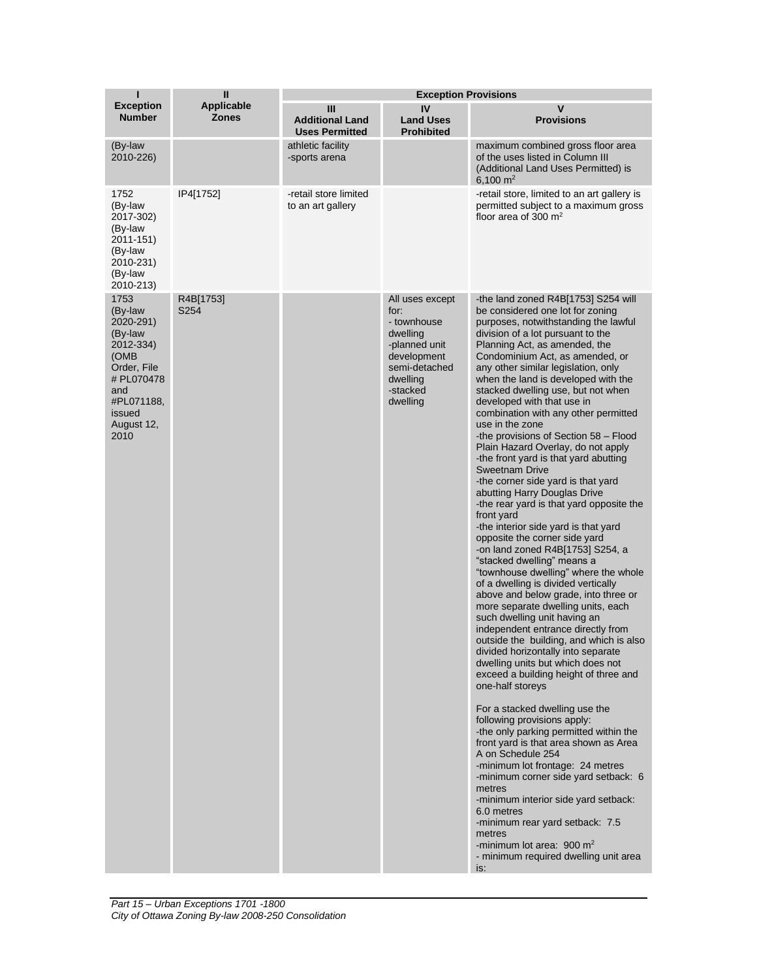| ı                                                                                                                                              | $\mathbf{I}$                      | <b>Exception Provisions</b>                          |                                                                                                                                         |                                                                                                                                                                                                                                                                                                                                                                                                                                                                                                                                                                                                                                                                                                                                                                                                                                                                                                                                                                                                                                                                                                                                                                                                                                                                                                                                                                                                                                                                                                                                                                                                                                                                                                                                            |  |
|------------------------------------------------------------------------------------------------------------------------------------------------|-----------------------------------|------------------------------------------------------|-----------------------------------------------------------------------------------------------------------------------------------------|--------------------------------------------------------------------------------------------------------------------------------------------------------------------------------------------------------------------------------------------------------------------------------------------------------------------------------------------------------------------------------------------------------------------------------------------------------------------------------------------------------------------------------------------------------------------------------------------------------------------------------------------------------------------------------------------------------------------------------------------------------------------------------------------------------------------------------------------------------------------------------------------------------------------------------------------------------------------------------------------------------------------------------------------------------------------------------------------------------------------------------------------------------------------------------------------------------------------------------------------------------------------------------------------------------------------------------------------------------------------------------------------------------------------------------------------------------------------------------------------------------------------------------------------------------------------------------------------------------------------------------------------------------------------------------------------------------------------------------------------|--|
| <b>Exception</b><br><b>Number</b>                                                                                                              | <b>Applicable</b><br><b>Zones</b> | Ш<br><b>Additional Land</b><br><b>Uses Permitted</b> | IV<br><b>Land Uses</b><br><b>Prohibited</b>                                                                                             | V<br><b>Provisions</b>                                                                                                                                                                                                                                                                                                                                                                                                                                                                                                                                                                                                                                                                                                                                                                                                                                                                                                                                                                                                                                                                                                                                                                                                                                                                                                                                                                                                                                                                                                                                                                                                                                                                                                                     |  |
| (By-law<br>2010-226)                                                                                                                           |                                   | athletic facility<br>-sports arena                   |                                                                                                                                         | maximum combined gross floor area<br>of the uses listed in Column III<br>(Additional Land Uses Permitted) is<br>6,100 $m2$                                                                                                                                                                                                                                                                                                                                                                                                                                                                                                                                                                                                                                                                                                                                                                                                                                                                                                                                                                                                                                                                                                                                                                                                                                                                                                                                                                                                                                                                                                                                                                                                                 |  |
| 1752<br>(By-law<br>2017-302)<br>(By-law<br>2011-151)<br>(By-law<br>2010-231)<br>(By-law<br>2010-213)                                           | IP4[1752]                         | -retail store limited<br>to an art gallery           |                                                                                                                                         | -retail store, limited to an art gallery is<br>permitted subject to a maximum gross<br>floor area of 300 $m2$                                                                                                                                                                                                                                                                                                                                                                                                                                                                                                                                                                                                                                                                                                                                                                                                                                                                                                                                                                                                                                                                                                                                                                                                                                                                                                                                                                                                                                                                                                                                                                                                                              |  |
| 1753<br>(By-law<br>2020-291)<br>(By-law<br>2012-334)<br>(OMB<br>Order, File<br># PL070478<br>and<br>#PL071188,<br>issued<br>August 12,<br>2010 | R4B[1753]<br>S254                 |                                                      | All uses except<br>for:<br>- townhouse<br>dwelling<br>-planned unit<br>development<br>semi-detached<br>dwelling<br>-stacked<br>dwelling | -the land zoned R4B[1753] S254 will<br>be considered one lot for zoning<br>purposes, notwithstanding the lawful<br>division of a lot pursuant to the<br>Planning Act, as amended, the<br>Condominium Act, as amended, or<br>any other similar legislation, only<br>when the land is developed with the<br>stacked dwelling use, but not when<br>developed with that use in<br>combination with any other permitted<br>use in the zone<br>-the provisions of Section 58 - Flood<br>Plain Hazard Overlay, do not apply<br>-the front yard is that yard abutting<br><b>Sweetnam Drive</b><br>-the corner side yard is that yard<br>abutting Harry Douglas Drive<br>-the rear yard is that yard opposite the<br>front yard<br>-the interior side yard is that yard<br>opposite the corner side yard<br>-on land zoned $R4B[1753]$ S254, a<br>"stacked dwelling" means a<br>"townhouse dwelling" where the whole<br>of a dwelling is divided vertically<br>above and below grade, into three or<br>more separate dwelling units, each<br>such dwelling unit having an<br>independent entrance directly from<br>outside the building, and which is also<br>divided horizontally into separate<br>dwelling units but which does not<br>exceed a building height of three and<br>one-half storeys<br>For a stacked dwelling use the<br>following provisions apply:<br>-the only parking permitted within the<br>front yard is that area shown as Area<br>A on Schedule 254<br>-minimum lot frontage: 24 metres<br>-minimum corner side yard setback: 6<br>metres<br>-minimum interior side yard setback:<br>6.0 metres<br>-minimum rear yard setback: 7.5<br>metres<br>-minimum lot area: 900 $m2$<br>- minimum required dwelling unit area<br>is: |  |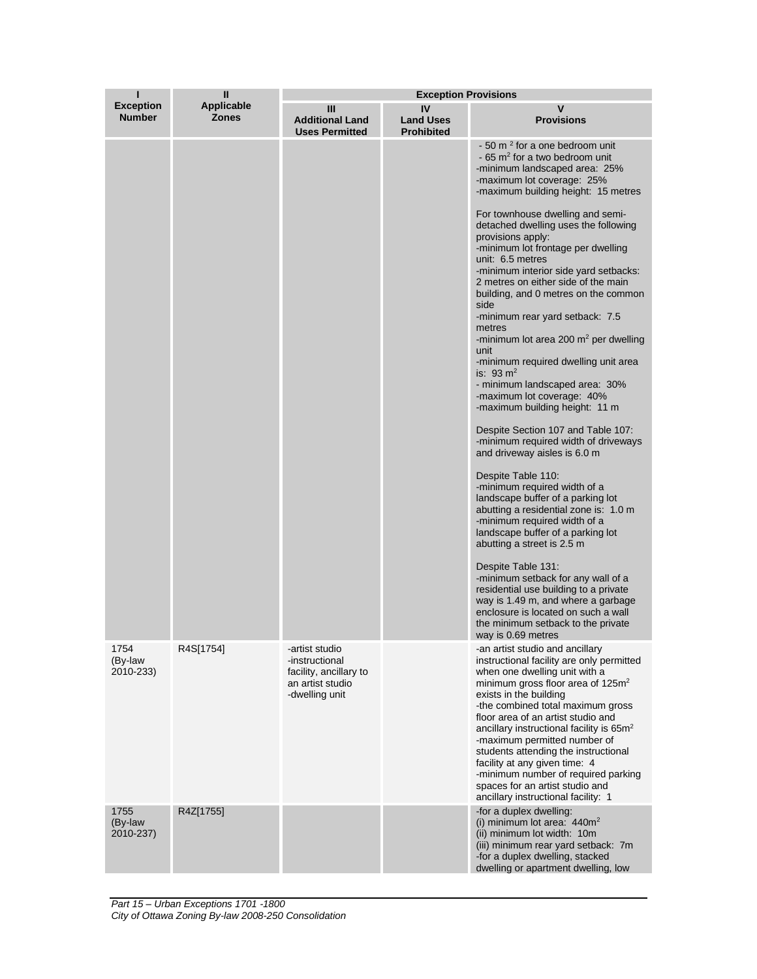|                                   | П                                 | <b>Exception Provisions</b>                                                                      |                                             |                                                                                                                                                                                                                                                                                                                                                                                                                                                                                                                                                                                                                                                                                                                                                                                                                                                                                                                                                                                                                                                                                                                                                                                                                                                                                                                                                        |  |
|-----------------------------------|-----------------------------------|--------------------------------------------------------------------------------------------------|---------------------------------------------|--------------------------------------------------------------------------------------------------------------------------------------------------------------------------------------------------------------------------------------------------------------------------------------------------------------------------------------------------------------------------------------------------------------------------------------------------------------------------------------------------------------------------------------------------------------------------------------------------------------------------------------------------------------------------------------------------------------------------------------------------------------------------------------------------------------------------------------------------------------------------------------------------------------------------------------------------------------------------------------------------------------------------------------------------------------------------------------------------------------------------------------------------------------------------------------------------------------------------------------------------------------------------------------------------------------------------------------------------------|--|
| <b>Exception</b><br><b>Number</b> | <b>Applicable</b><br><b>Zones</b> | Ш<br><b>Additional Land</b><br><b>Uses Permitted</b>                                             | IV<br><b>Land Uses</b><br><b>Prohibited</b> | ۷<br><b>Provisions</b>                                                                                                                                                                                                                                                                                                                                                                                                                                                                                                                                                                                                                                                                                                                                                                                                                                                                                                                                                                                                                                                                                                                                                                                                                                                                                                                                 |  |
|                                   |                                   |                                                                                                  |                                             | - 50 m <sup>2</sup> for a one bedroom unit<br>$-65$ m <sup>2</sup> for a two bedroom unit<br>-minimum landscaped area: 25%<br>-maximum lot coverage: 25%<br>-maximum building height: 15 metres<br>For townhouse dwelling and semi-<br>detached dwelling uses the following<br>provisions apply:<br>-minimum lot frontage per dwelling<br>unit: 6.5 metres<br>-minimum interior side yard setbacks:<br>2 metres on either side of the main<br>building, and 0 metres on the common<br>side<br>-minimum rear yard setback: 7.5<br>metres<br>-minimum lot area 200 $m2$ per dwelling<br>unit<br>-minimum required dwelling unit area<br>is: 93 $m2$<br>- minimum landscaped area: 30%<br>-maximum lot coverage: 40%<br>-maximum building height: 11 m<br>Despite Section 107 and Table 107:<br>-minimum required width of driveways<br>and driveway aisles is 6.0 m<br>Despite Table 110:<br>-minimum required width of a<br>landscape buffer of a parking lot<br>abutting a residential zone is: 1.0 m<br>-minimum required width of a<br>landscape buffer of a parking lot<br>abutting a street is 2.5 m<br>Despite Table 131:<br>-minimum setback for any wall of a<br>residential use building to a private<br>way is 1.49 m, and where a garbage<br>enclosure is located on such a wall<br>the minimum setback to the private<br>way is 0.69 metres |  |
| 1754<br>(By-law<br>2010-233)      | R4S[1754]                         | -artist studio<br>-instructional<br>facility, ancillary to<br>an artist studio<br>-dwelling unit |                                             | -an artist studio and ancillary<br>instructional facility are only permitted<br>when one dwelling unit with a<br>minimum gross floor area of 125m <sup>2</sup><br>exists in the building<br>-the combined total maximum gross<br>floor area of an artist studio and<br>ancillary instructional facility is 65m <sup>2</sup><br>-maximum permitted number of<br>students attending the instructional<br>facility at any given time: 4<br>-minimum number of required parking<br>spaces for an artist studio and<br>ancillary instructional facility: 1                                                                                                                                                                                                                                                                                                                                                                                                                                                                                                                                                                                                                                                                                                                                                                                                  |  |
| 1755<br>(By-law<br>2010-237)      | R4Z[1755]                         |                                                                                                  |                                             | -for a duplex dwelling:<br>(i) minimum lot area: $440m^2$<br>(ii) minimum lot width: 10m<br>(iii) minimum rear yard setback: 7m<br>-for a duplex dwelling, stacked<br>dwelling or apartment dwelling, low                                                                                                                                                                                                                                                                                                                                                                                                                                                                                                                                                                                                                                                                                                                                                                                                                                                                                                                                                                                                                                                                                                                                              |  |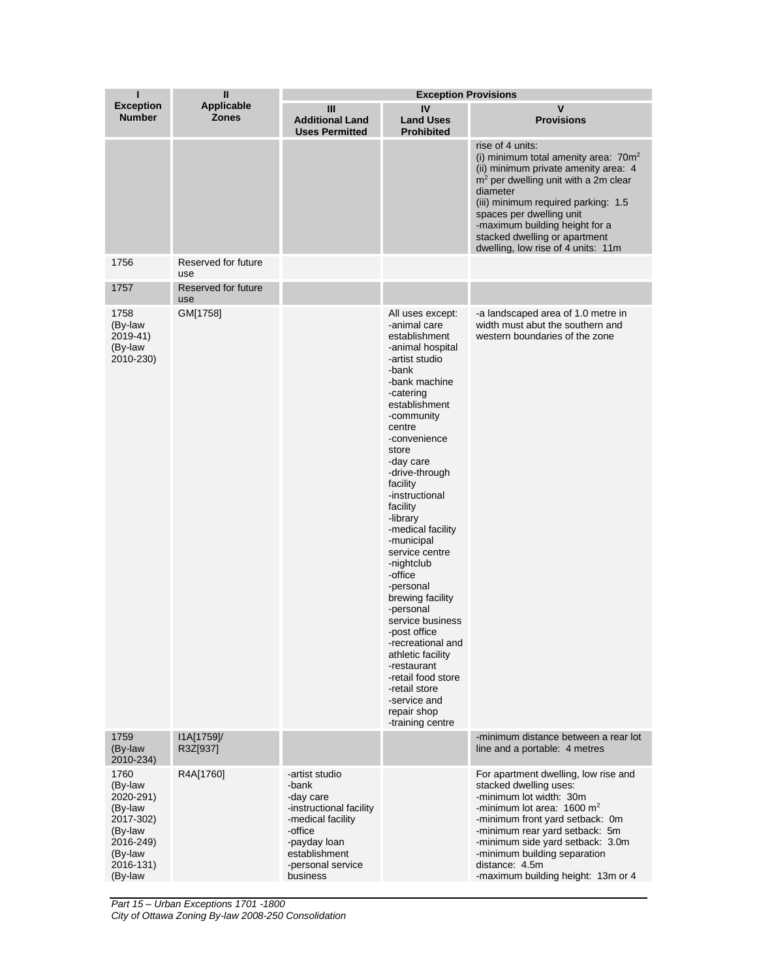| ı                                                                                                               | Ш                          | <b>Exception Provisions</b>                                                                                                                                       |                                                                                                                                                                                                                                                                                                                                                                                                                                                                                                                                                                                                          |                                                                                                                                                                                                                                                                                                                                                |  |
|-----------------------------------------------------------------------------------------------------------------|----------------------------|-------------------------------------------------------------------------------------------------------------------------------------------------------------------|----------------------------------------------------------------------------------------------------------------------------------------------------------------------------------------------------------------------------------------------------------------------------------------------------------------------------------------------------------------------------------------------------------------------------------------------------------------------------------------------------------------------------------------------------------------------------------------------------------|------------------------------------------------------------------------------------------------------------------------------------------------------------------------------------------------------------------------------------------------------------------------------------------------------------------------------------------------|--|
| <b>Exception</b><br><b>Number</b>                                                                               | Applicable<br><b>Zones</b> | Ш<br><b>Additional Land</b><br><b>Uses Permitted</b>                                                                                                              | IV<br><b>Land Uses</b><br><b>Prohibited</b>                                                                                                                                                                                                                                                                                                                                                                                                                                                                                                                                                              | $\mathsf{v}$<br><b>Provisions</b>                                                                                                                                                                                                                                                                                                              |  |
|                                                                                                                 |                            |                                                                                                                                                                   |                                                                                                                                                                                                                                                                                                                                                                                                                                                                                                                                                                                                          | rise of 4 units:<br>(i) minimum total amenity area: 70m <sup>2</sup><br>(ii) minimum private amenity area: 4<br>$m2$ per dwelling unit with a 2m clear<br>diameter<br>(iii) minimum required parking: 1.5<br>spaces per dwelling unit<br>-maximum building height for a<br>stacked dwelling or apartment<br>dwelling, low rise of 4 units: 11m |  |
| 1756                                                                                                            | Reserved for future<br>use |                                                                                                                                                                   |                                                                                                                                                                                                                                                                                                                                                                                                                                                                                                                                                                                                          |                                                                                                                                                                                                                                                                                                                                                |  |
| 1757                                                                                                            | Reserved for future<br>use |                                                                                                                                                                   |                                                                                                                                                                                                                                                                                                                                                                                                                                                                                                                                                                                                          |                                                                                                                                                                                                                                                                                                                                                |  |
| 1758<br>(By-law<br>2019-41)<br>(By-law<br>2010-230)                                                             | GM[1758]                   |                                                                                                                                                                   | All uses except:<br>-animal care<br>establishment<br>-animal hospital<br>-artist studio<br>-bank<br>-bank machine<br>-catering<br>establishment<br>-community<br>centre<br>-convenience<br>store<br>-day care<br>-drive-through<br>facility<br>-instructional<br>facility<br>-library<br>-medical facility<br>-municipal<br>service centre<br>-nightclub<br>-office<br>-personal<br>brewing facility<br>-personal<br>service business<br>-post office<br>-recreational and<br>athletic facility<br>-restaurant<br>-retail food store<br>-retail store<br>-service and<br>repair shop<br>-training centre | -a landscaped area of 1.0 metre in<br>width must abut the southern and<br>western boundaries of the zone                                                                                                                                                                                                                                       |  |
| 1759<br>(By-law<br>2010-234)                                                                                    | I1A[1759]/<br>R3Z[937]     |                                                                                                                                                                   |                                                                                                                                                                                                                                                                                                                                                                                                                                                                                                                                                                                                          | -minimum distance between a rear lot<br>line and a portable: 4 metres                                                                                                                                                                                                                                                                          |  |
| 1760<br>(By-law<br>2020-291)<br>(By-law<br>2017-302)<br>(By-law<br>2016-249)<br>(By-law<br>2016-131)<br>(By-law | R4A[1760]                  | -artist studio<br>-bank<br>-day care<br>-instructional facility<br>-medical facility<br>-office<br>-payday loan<br>establishment<br>-personal service<br>business |                                                                                                                                                                                                                                                                                                                                                                                                                                                                                                                                                                                                          | For apartment dwelling, low rise and<br>stacked dwelling uses:<br>-minimum lot width: 30m<br>-minimum lot area: $1600 \text{ m}^2$<br>-minimum front yard setback: 0m<br>-minimum rear yard setback: 5m<br>-minimum side yard setback: 3.0m<br>-minimum building separation<br>distance: 4.5m<br>-maximum building height: 13m or 4            |  |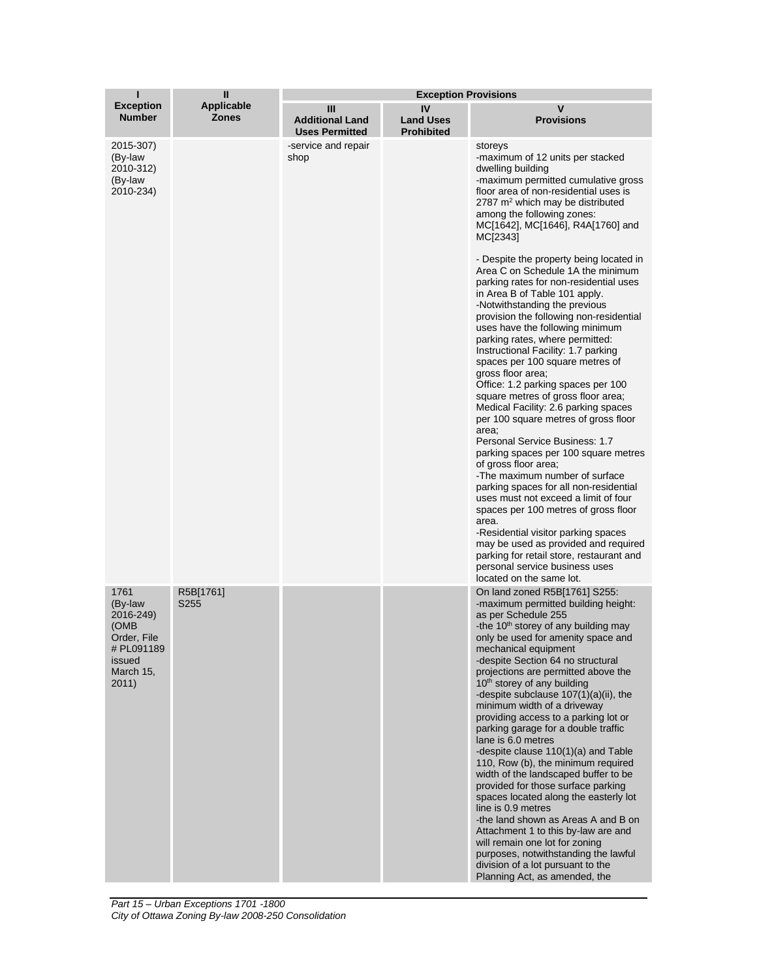| ı                                                                                                 | $\mathbf{I}$                      | <b>Exception Provisions</b>                          |                                             |                                                                                                                                                                                                                                                                                                                                                                                                                                                                                                                                                                                                                                                                                                                                                                                                                                                                                                                                                                                                                                                                                                                                                                                                                                                                                                                        |  |
|---------------------------------------------------------------------------------------------------|-----------------------------------|------------------------------------------------------|---------------------------------------------|------------------------------------------------------------------------------------------------------------------------------------------------------------------------------------------------------------------------------------------------------------------------------------------------------------------------------------------------------------------------------------------------------------------------------------------------------------------------------------------------------------------------------------------------------------------------------------------------------------------------------------------------------------------------------------------------------------------------------------------------------------------------------------------------------------------------------------------------------------------------------------------------------------------------------------------------------------------------------------------------------------------------------------------------------------------------------------------------------------------------------------------------------------------------------------------------------------------------------------------------------------------------------------------------------------------------|--|
| <b>Exception</b><br><b>Number</b>                                                                 | <b>Applicable</b><br><b>Zones</b> | Ш<br><b>Additional Land</b><br><b>Uses Permitted</b> | IV<br><b>Land Uses</b><br><b>Prohibited</b> | ٧<br><b>Provisions</b>                                                                                                                                                                                                                                                                                                                                                                                                                                                                                                                                                                                                                                                                                                                                                                                                                                                                                                                                                                                                                                                                                                                                                                                                                                                                                                 |  |
| 2015-307)<br>(By-law<br>2010-312)<br>(By-law<br>2010-234)                                         |                                   | -service and repair<br>shop                          |                                             | storeys<br>-maximum of 12 units per stacked<br>dwelling building<br>-maximum permitted cumulative gross<br>floor area of non-residential uses is<br>2787 $m2$ which may be distributed<br>among the following zones:<br>MC[1642], MC[1646], R4A[1760] and<br>MC[2343]<br>- Despite the property being located in<br>Area C on Schedule 1A the minimum<br>parking rates for non-residential uses<br>in Area B of Table 101 apply.<br>-Notwithstanding the previous<br>provision the following non-residential<br>uses have the following minimum<br>parking rates, where permitted:<br>Instructional Facility: 1.7 parking<br>spaces per 100 square metres of<br>gross floor area;<br>Office: 1.2 parking spaces per 100<br>square metres of gross floor area;<br>Medical Facility: 2.6 parking spaces<br>per 100 square metres of gross floor<br>area;<br>Personal Service Business: 1.7<br>parking spaces per 100 square metres<br>of gross floor area;<br>-The maximum number of surface<br>parking spaces for all non-residential<br>uses must not exceed a limit of four<br>spaces per 100 metres of gross floor<br>area.<br>-Residential visitor parking spaces<br>may be used as provided and required<br>parking for retail store, restaurant and<br>personal service business uses<br>located on the same lot. |  |
| 1761<br>(By-law<br>2016-249)<br>(OMB<br>Order, File<br># PL091189<br>issued<br>March 15,<br>2011) | R5B[1761]<br>S <sub>255</sub>     |                                                      |                                             | On land zoned R5B[1761] S255:<br>-maximum permitted building height:<br>as per Schedule 255<br>-the 10 <sup>th</sup> storey of any building may<br>only be used for amenity space and<br>mechanical equipment<br>-despite Section 64 no structural<br>projections are permitted above the<br>10 <sup>th</sup> storey of any building<br>-despite subclause 107(1)(a)(ii), the<br>minimum width of a driveway<br>providing access to a parking lot or<br>parking garage for a double traffic<br>lane is 6.0 metres<br>-despite clause 110(1)(a) and Table<br>110, Row (b), the minimum required<br>width of the landscaped buffer to be<br>provided for those surface parking<br>spaces located along the easterly lot<br>line is 0.9 metres<br>-the land shown as Areas A and B on<br>Attachment 1 to this by-law are and<br>will remain one lot for zoning<br>purposes, notwithstanding the lawful<br>division of a lot pursuant to the<br>Planning Act, as amended, the                                                                                                                                                                                                                                                                                                                                              |  |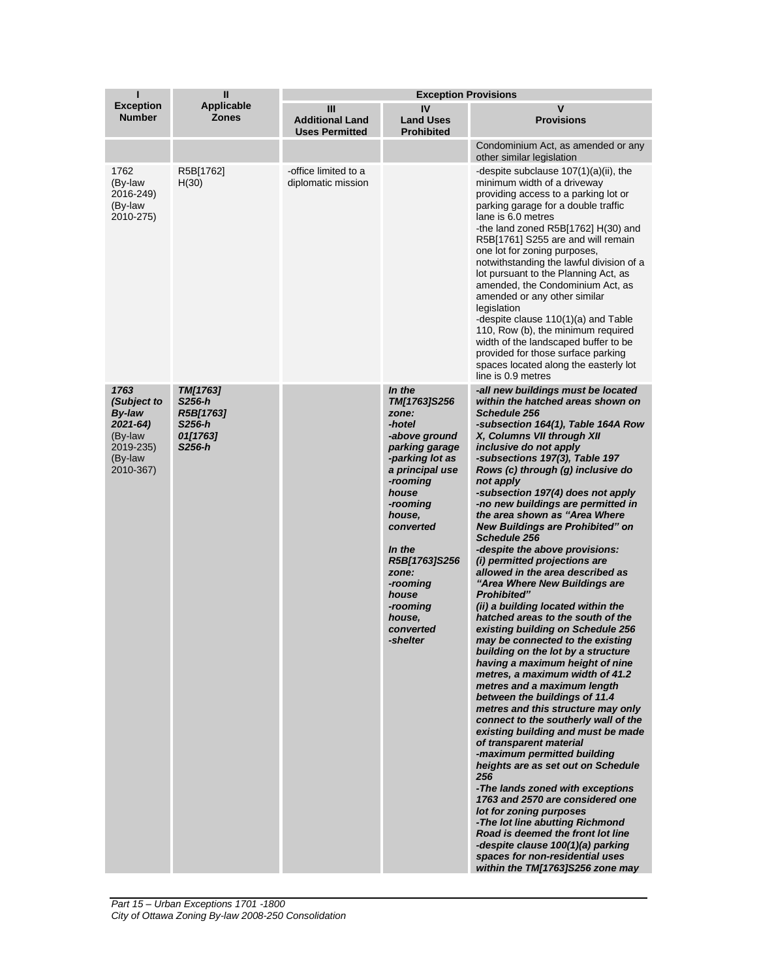| П                                                                                                   | $\mathbf{I}$                                                    | <b>Exception Provisions</b>                          |                                                                                                                                                                                                                                                                                    |                                                                                                                                                                                                                                                                                                                                                                                                                                                                                                                                                                                                                                                                                                                                                                                                                                                                                                                                                                                                                                                                                                                                                                                                                                                                                                                                                                                                                                                    |
|-----------------------------------------------------------------------------------------------------|-----------------------------------------------------------------|------------------------------------------------------|------------------------------------------------------------------------------------------------------------------------------------------------------------------------------------------------------------------------------------------------------------------------------------|----------------------------------------------------------------------------------------------------------------------------------------------------------------------------------------------------------------------------------------------------------------------------------------------------------------------------------------------------------------------------------------------------------------------------------------------------------------------------------------------------------------------------------------------------------------------------------------------------------------------------------------------------------------------------------------------------------------------------------------------------------------------------------------------------------------------------------------------------------------------------------------------------------------------------------------------------------------------------------------------------------------------------------------------------------------------------------------------------------------------------------------------------------------------------------------------------------------------------------------------------------------------------------------------------------------------------------------------------------------------------------------------------------------------------------------------------|
| <b>Exception</b><br><b>Number</b>                                                                   | <b>Applicable</b><br><b>Zones</b>                               | Ш<br><b>Additional Land</b><br><b>Uses Permitted</b> | IV<br><b>Land Uses</b><br><b>Prohibited</b>                                                                                                                                                                                                                                        | V<br><b>Provisions</b>                                                                                                                                                                                                                                                                                                                                                                                                                                                                                                                                                                                                                                                                                                                                                                                                                                                                                                                                                                                                                                                                                                                                                                                                                                                                                                                                                                                                                             |
|                                                                                                     |                                                                 |                                                      |                                                                                                                                                                                                                                                                                    | Condominium Act, as amended or any<br>other similar legislation                                                                                                                                                                                                                                                                                                                                                                                                                                                                                                                                                                                                                                                                                                                                                                                                                                                                                                                                                                                                                                                                                                                                                                                                                                                                                                                                                                                    |
| 1762<br>(By-law<br>2016-249)<br>(By-law<br>2010-275)                                                | R5B[1762]<br>H(30)                                              | -office limited to a<br>diplomatic mission           |                                                                                                                                                                                                                                                                                    | -despite subclause $107(1)(a)(ii)$ , the<br>minimum width of a driveway<br>providing access to a parking lot or<br>parking garage for a double traffic<br>lane is 6.0 metres<br>-the land zoned R5B[1762] H(30) and<br>R5B[1761] S255 are and will remain<br>one lot for zoning purposes,<br>notwithstanding the lawful division of a<br>lot pursuant to the Planning Act, as<br>amended, the Condominium Act, as<br>amended or any other similar<br>legislation<br>-despite clause 110(1)(a) and Table<br>110, Row (b), the minimum required<br>width of the landscaped buffer to be<br>provided for those surface parking<br>spaces located along the easterly lot<br>line is 0.9 metres                                                                                                                                                                                                                                                                                                                                                                                                                                                                                                                                                                                                                                                                                                                                                         |
| 1763<br>(Subject to<br><b>By-law</b><br>$2021 - 64$<br>(By-law<br>2019-235)<br>(By-law<br>2010-367) | TM[1763]<br>S256-h<br>R5B[1763]<br>S256-h<br>01[1763]<br>S256-h |                                                      | In the<br>TM[1763]S256<br>zone:<br>-hotel<br>-above ground<br>parking garage<br>-parking lot as<br>a principal use<br>-rooming<br>house<br>-rooming<br>house,<br>converted<br>In the<br>R5B[1763]S256<br>zone:<br>-rooming<br>house<br>-rooming<br>house,<br>converted<br>-shelter | -all new buildings must be located<br>within the hatched areas shown on<br>Schedule 256<br>-subsection 164(1), Table 164A Row<br>X, Columns VII through XII<br>inclusive do not apply<br>-subsections 197(3), Table 197<br>Rows (c) through (g) inclusive do<br>not apply<br>-subsection 197(4) does not apply<br>-no new buildings are permitted in<br>the area shown as "Area Where<br>New Buildings are Prohibited" on<br>Schedule 256<br>-despite the above provisions:<br>(i) permitted projections are<br>allowed in the area described as<br>"Area Where New Buildings are<br>Prohibited"<br>(ii) a building located within the<br>hatched areas to the south of the<br>existing building on Schedule 256<br>may be connected to the existing<br>building on the lot by a structure<br>having a maximum height of nine<br>metres, a maximum width of 41.2<br>metres and a maximum length<br>between the buildings of 11.4<br>metres and this structure may only<br>connect to the southerly wall of the<br>existing building and must be made<br>of transparent material<br>-maximum permitted building<br>heights are as set out on Schedule<br>256<br>-The lands zoned with exceptions<br>1763 and 2570 are considered one<br>lot for zoning purposes<br>-The lot line abutting Richmond<br>Road is deemed the front lot line<br>-despite clause 100(1)(a) parking<br>spaces for non-residential uses<br>within the TM[1763]S256 zone may |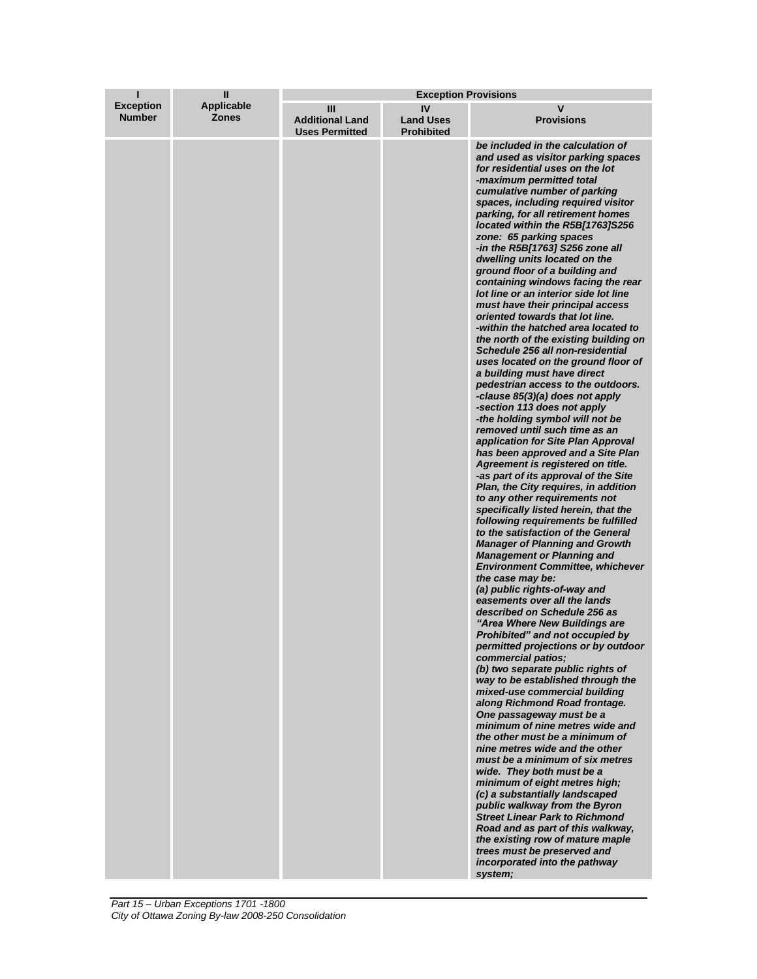| ı                                 | Ш                                 | <b>Exception Provisions</b>                          |                                             |                                                                                                                                                                                                                                                                                                                                                                                                                                                                                                                                                                                                                                                                                                                                                                                                                                                                                                                                                                                                                                                                                                                                                                                                                                                                                                                                                                                                                                                                                                                                                                                                                                                                                                                                                                                                                                                                                                                                                                                                                                                                                                                                                                                                                                                                                                                                        |
|-----------------------------------|-----------------------------------|------------------------------------------------------|---------------------------------------------|----------------------------------------------------------------------------------------------------------------------------------------------------------------------------------------------------------------------------------------------------------------------------------------------------------------------------------------------------------------------------------------------------------------------------------------------------------------------------------------------------------------------------------------------------------------------------------------------------------------------------------------------------------------------------------------------------------------------------------------------------------------------------------------------------------------------------------------------------------------------------------------------------------------------------------------------------------------------------------------------------------------------------------------------------------------------------------------------------------------------------------------------------------------------------------------------------------------------------------------------------------------------------------------------------------------------------------------------------------------------------------------------------------------------------------------------------------------------------------------------------------------------------------------------------------------------------------------------------------------------------------------------------------------------------------------------------------------------------------------------------------------------------------------------------------------------------------------------------------------------------------------------------------------------------------------------------------------------------------------------------------------------------------------------------------------------------------------------------------------------------------------------------------------------------------------------------------------------------------------------------------------------------------------------------------------------------------------|
| <b>Exception</b><br><b>Number</b> | <b>Applicable</b><br><b>Zones</b> | Ш<br><b>Additional Land</b><br><b>Uses Permitted</b> | IV<br><b>Land Uses</b><br><b>Prohibited</b> | v<br><b>Provisions</b>                                                                                                                                                                                                                                                                                                                                                                                                                                                                                                                                                                                                                                                                                                                                                                                                                                                                                                                                                                                                                                                                                                                                                                                                                                                                                                                                                                                                                                                                                                                                                                                                                                                                                                                                                                                                                                                                                                                                                                                                                                                                                                                                                                                                                                                                                                                 |
|                                   |                                   |                                                      |                                             | be included in the calculation of<br>and used as visitor parking spaces<br>for residential uses on the lot<br>-maximum permitted total<br>cumulative number of parking<br>spaces, including required visitor<br>parking, for all retirement homes<br>located within the R5B[1763]S256<br>zone: 65 parking spaces<br>-in the R5B[1763] S256 zone all<br>dwelling units located on the<br>ground floor of a building and<br>containing windows facing the rear<br>lot line or an interior side lot line<br>must have their principal access<br>oriented towards that lot line.<br>-within the hatched area located to<br>the north of the existing building on<br>Schedule 256 all non-residential<br>uses located on the ground floor of<br>a building must have direct<br>pedestrian access to the outdoors.<br>-clause 85(3)(a) does not apply<br>-section 113 does not apply<br>-the holding symbol will not be<br>removed until such time as an<br>application for Site Plan Approval<br>has been approved and a Site Plan<br>Agreement is registered on title.<br>-as part of its approval of the Site<br>Plan, the City requires, in addition<br>to any other requirements not<br>specifically listed herein, that the<br>following requirements be fulfilled<br>to the satisfaction of the General<br><b>Manager of Planning and Growth</b><br><b>Management or Planning and</b><br><b>Environment Committee, whichever</b><br>the case may be:<br>(a) public rights-of-way and<br>easements over all the lands<br>described on Schedule 256 as<br>"Area Where New Buildings are<br>Prohibited" and not occupied by<br>permitted projections or by outdoor<br>commercial patios;<br>(b) two separate public rights of<br>way to be established through the<br>mixed-use commercial building<br>along Richmond Road frontage.<br>One passageway must be a<br>minimum of nine metres wide and<br>the other must be a minimum of<br>nine metres wide and the other<br>must be a minimum of six metres<br>wide. They both must be a<br>minimum of eight metres high;<br>(c) a substantially landscaped<br>public walkway from the Byron<br><b>Street Linear Park to Richmond</b><br>Road and as part of this walkway.<br>the existing row of mature maple<br>trees must be preserved and<br>incorporated into the pathway<br>system; |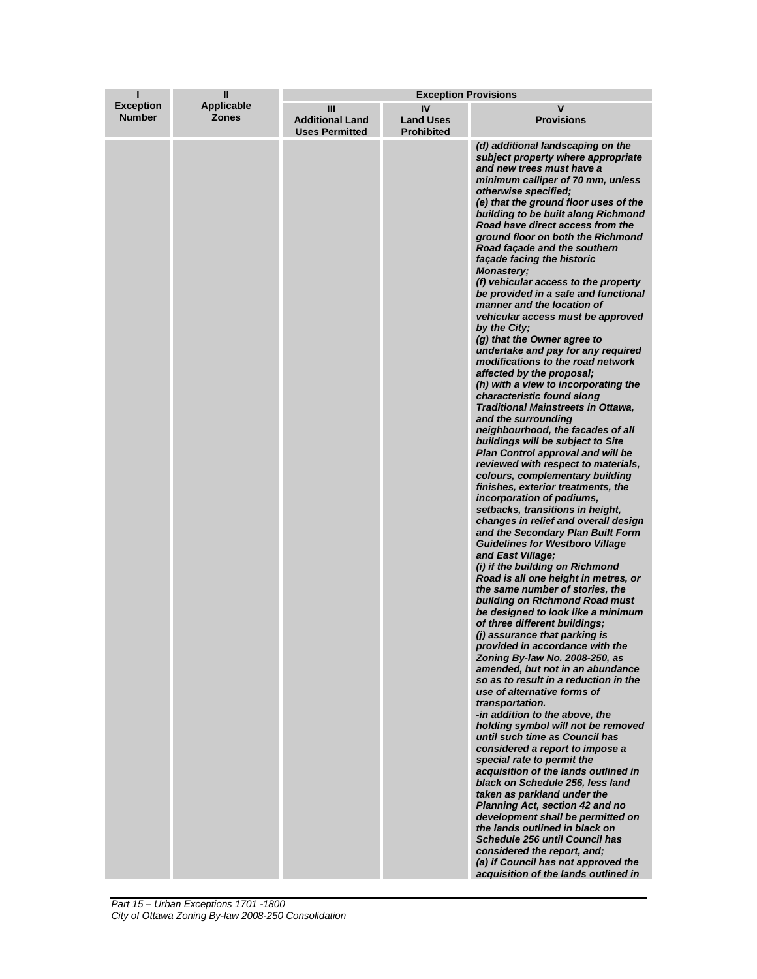| п                                 | Ш                                 | <b>Exception Provisions</b>                          |                                             |                                                                                                                                                                                                                                                                                                                                                                                                                                                                                                                                                                                                                                                                                                                                                                                                                                                                                                                                                                                                                                                                                                                                                                                                                                                                                                                                                                                                                                                                                                                                                                                                                                                                                                                                                                                                                                                                                                                                                                                                                                                                                                                                                                                                                                                                                                                                         |
|-----------------------------------|-----------------------------------|------------------------------------------------------|---------------------------------------------|-----------------------------------------------------------------------------------------------------------------------------------------------------------------------------------------------------------------------------------------------------------------------------------------------------------------------------------------------------------------------------------------------------------------------------------------------------------------------------------------------------------------------------------------------------------------------------------------------------------------------------------------------------------------------------------------------------------------------------------------------------------------------------------------------------------------------------------------------------------------------------------------------------------------------------------------------------------------------------------------------------------------------------------------------------------------------------------------------------------------------------------------------------------------------------------------------------------------------------------------------------------------------------------------------------------------------------------------------------------------------------------------------------------------------------------------------------------------------------------------------------------------------------------------------------------------------------------------------------------------------------------------------------------------------------------------------------------------------------------------------------------------------------------------------------------------------------------------------------------------------------------------------------------------------------------------------------------------------------------------------------------------------------------------------------------------------------------------------------------------------------------------------------------------------------------------------------------------------------------------------------------------------------------------------------------------------------------------|
| <b>Exception</b><br><b>Number</b> | <b>Applicable</b><br><b>Zones</b> | Ш<br><b>Additional Land</b><br><b>Uses Permitted</b> | IV<br><b>Land Uses</b><br><b>Prohibited</b> | v<br><b>Provisions</b>                                                                                                                                                                                                                                                                                                                                                                                                                                                                                                                                                                                                                                                                                                                                                                                                                                                                                                                                                                                                                                                                                                                                                                                                                                                                                                                                                                                                                                                                                                                                                                                                                                                                                                                                                                                                                                                                                                                                                                                                                                                                                                                                                                                                                                                                                                                  |
|                                   |                                   |                                                      |                                             | (d) additional landscaping on the<br>subject property where appropriate<br>and new trees must have a<br>minimum calliper of 70 mm, unless<br>otherwise specified;<br>(e) that the ground floor uses of the<br>building to be built along Richmond<br>Road have direct access from the<br>ground floor on both the Richmond<br>Road façade and the southern<br>façade facing the historic<br><b>Monastery;</b><br>(f) vehicular access to the property<br>be provided in a safe and functional<br>manner and the location of<br>vehicular access must be approved<br>by the City;<br>(g) that the Owner agree to<br>undertake and pay for any required<br>modifications to the road network<br>affected by the proposal;<br>(h) with a view to incorporating the<br>characteristic found along<br><b>Traditional Mainstreets in Ottawa,</b><br>and the surrounding<br>neighbourhood, the facades of all<br>buildings will be subject to Site<br><b>Plan Control approval and will be</b><br>reviewed with respect to materials,<br>colours, complementary building<br>finishes, exterior treatments, the<br>incorporation of podiums,<br>setbacks, transitions in height,<br>changes in relief and overall design<br>and the Secondary Plan Built Form<br><b>Guidelines for Westboro Village</b><br>and East Village;<br>(i) if the building on Richmond<br>Road is all one height in metres, or<br>the same number of stories, the<br>building on Richmond Road must<br>be designed to look like a minimum<br>of three different buildings;<br>(j) assurance that parking is<br>provided in accordance with the<br>Zoning By-law No. 2008-250, as<br>amended, but not in an abundance<br>so as to result in a reduction in the<br>use of alternative forms of<br>transportation.<br>-in addition to the above, the<br>holding symbol will not be removed<br>until such time as Council has<br>considered a report to impose a<br>special rate to permit the<br>acquisition of the lands outlined in<br>black on Schedule 256, less land<br>taken as parkland under the<br>Planning Act, section 42 and no<br>development shall be permitted on<br>the lands outlined in black on<br><b>Schedule 256 until Council has</b><br>considered the report, and;<br>(a) if Council has not approved the<br>acquisition of the lands outlined in |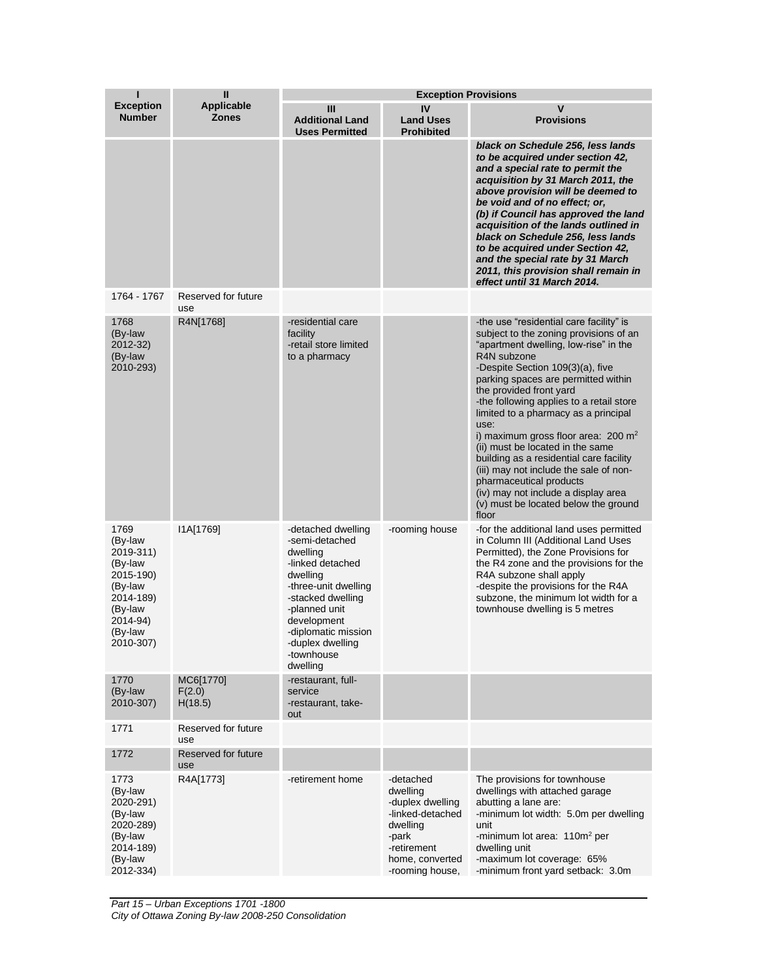| ı                                                                                                                           | Ш                                 | <b>Exception Provisions</b>                                                                                                                                                                                                        |                                                                                                                                         |                                                                                                                                                                                                                                                                                                                                                                                                                                                                                                                                                                                                                                            |  |
|-----------------------------------------------------------------------------------------------------------------------------|-----------------------------------|------------------------------------------------------------------------------------------------------------------------------------------------------------------------------------------------------------------------------------|-----------------------------------------------------------------------------------------------------------------------------------------|--------------------------------------------------------------------------------------------------------------------------------------------------------------------------------------------------------------------------------------------------------------------------------------------------------------------------------------------------------------------------------------------------------------------------------------------------------------------------------------------------------------------------------------------------------------------------------------------------------------------------------------------|--|
| <b>Exception</b><br><b>Number</b>                                                                                           | <b>Applicable</b><br><b>Zones</b> | Ш<br><b>Additional Land</b><br><b>Uses Permitted</b>                                                                                                                                                                               | IV<br><b>Land Uses</b><br><b>Prohibited</b>                                                                                             | $\mathsf{v}$<br><b>Provisions</b>                                                                                                                                                                                                                                                                                                                                                                                                                                                                                                                                                                                                          |  |
|                                                                                                                             |                                   |                                                                                                                                                                                                                                    |                                                                                                                                         | black on Schedule 256, less lands<br>to be acquired under section 42,<br>and a special rate to permit the<br>acquisition by 31 March 2011, the<br>above provision will be deemed to<br>be void and of no effect; or,<br>(b) if Council has approved the land<br>acquisition of the lands outlined in<br>black on Schedule 256, less lands<br>to be acquired under Section 42,<br>and the special rate by 31 March<br>2011, this provision shall remain in<br>effect until 31 March 2014.                                                                                                                                                   |  |
| 1764 - 1767                                                                                                                 | Reserved for future<br>use        |                                                                                                                                                                                                                                    |                                                                                                                                         |                                                                                                                                                                                                                                                                                                                                                                                                                                                                                                                                                                                                                                            |  |
| 1768<br>(By-law<br>2012-32)<br>(By-law<br>2010-293)                                                                         | R4N[1768]                         | -residential care<br>facility<br>-retail store limited<br>to a pharmacy                                                                                                                                                            |                                                                                                                                         | -the use "residential care facility" is<br>subject to the zoning provisions of an<br>"apartment dwelling, low-rise" in the<br>R4N subzone<br>-Despite Section 109(3)(a), five<br>parking spaces are permitted within<br>the provided front yard<br>-the following applies to a retail store<br>limited to a pharmacy as a principal<br>use:<br>i) maximum gross floor area: 200 m <sup>2</sup><br>(ii) must be located in the same<br>building as a residential care facility<br>(iii) may not include the sale of non-<br>pharmaceutical products<br>(iv) may not include a display area<br>(v) must be located below the ground<br>floor |  |
| 1769<br>(By-law<br>2019-311)<br>(By-law<br>2015-190)<br>(By-law<br>2014-189)<br>(By-law<br>2014-94)<br>(By-law<br>2010-307) | I1A[1769]                         | -detached dwelling<br>-semi-detached<br>dwelling<br>-linked detached<br>dwelling<br>-three-unit dwelling<br>-stacked dwelling<br>-planned unit<br>development<br>-diplomatic mission<br>-duplex dwelling<br>-townhouse<br>dwelling | -rooming house                                                                                                                          | -for the additional land uses permitted<br>in Column III (Additional Land Uses<br>Permitted), the Zone Provisions for<br>the R4 zone and the provisions for the<br>R4A subzone shall apply<br>-despite the provisions for the R4A<br>subzone, the minimum lot width for a<br>townhouse dwelling is 5 metres                                                                                                                                                                                                                                                                                                                                |  |
| 1770<br>(By-law<br>2010-307)                                                                                                | MC6[1770]<br>F(2.0)<br>H(18.5)    | -restaurant, full-<br>service<br>-restaurant, take-<br>out                                                                                                                                                                         |                                                                                                                                         |                                                                                                                                                                                                                                                                                                                                                                                                                                                                                                                                                                                                                                            |  |
| 1771                                                                                                                        | Reserved for future<br>use        |                                                                                                                                                                                                                                    |                                                                                                                                         |                                                                                                                                                                                                                                                                                                                                                                                                                                                                                                                                                                                                                                            |  |
| 1772                                                                                                                        | Reserved for future<br>use        |                                                                                                                                                                                                                                    |                                                                                                                                         |                                                                                                                                                                                                                                                                                                                                                                                                                                                                                                                                                                                                                                            |  |
| 1773<br>(By-law<br>2020-291)<br>(By-law<br>2020-289)<br>(By-law<br>2014-189)<br>(By-law<br>2012-334)                        | R4A[1773]                         | -retirement home                                                                                                                                                                                                                   | -detached<br>dwelling<br>-duplex dwelling<br>-linked-detached<br>dwelling<br>-park<br>-retirement<br>home, converted<br>-rooming house, | The provisions for townhouse<br>dwellings with attached garage<br>abutting a lane are:<br>-minimum lot width: 5.0m per dwelling<br>unit<br>-minimum lot area: 110m <sup>2</sup> per<br>dwelling unit<br>-maximum lot coverage: 65%<br>-minimum front yard setback: 3.0m                                                                                                                                                                                                                                                                                                                                                                    |  |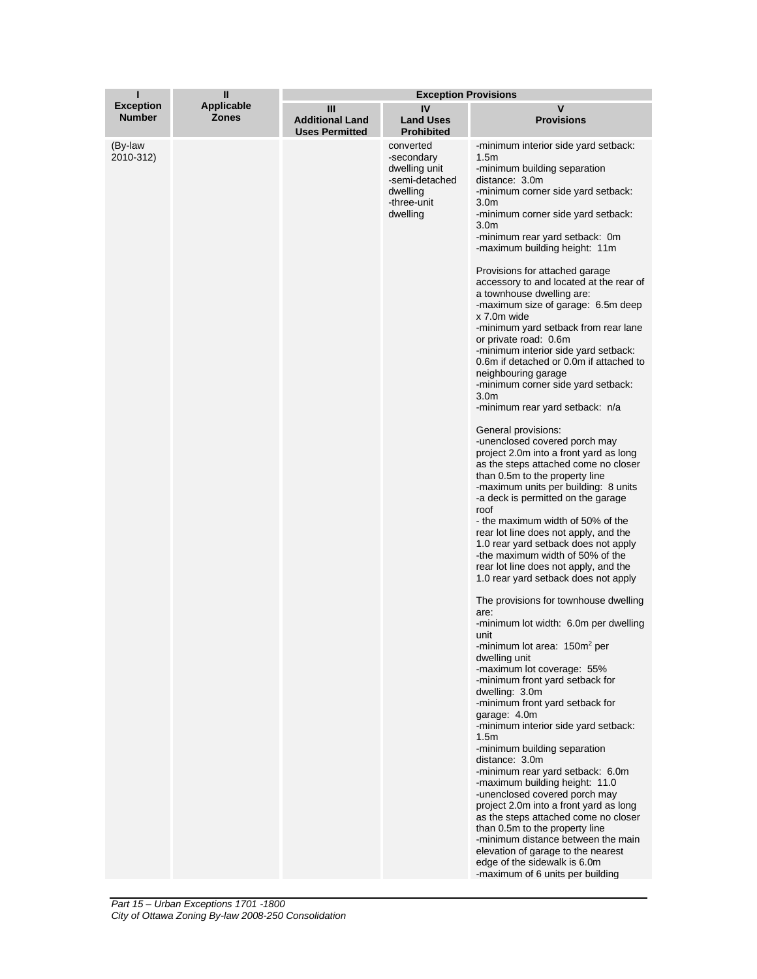| н                                 | Ш                                 | <b>Exception Provisions</b>                          |                                                                                                   |                                                                                                                                                                                                                                                                                                                                                                                                                                                                                                                                                                                                                                                                                                                                                                                                                                                                                                                                                                                                                                                                                                                                                                                                                                                                                                                                                                                                                                                                                                                                                                                                                                                                                                                                                                                                                                                                                                                                                                                                                                                     |  |
|-----------------------------------|-----------------------------------|------------------------------------------------------|---------------------------------------------------------------------------------------------------|-----------------------------------------------------------------------------------------------------------------------------------------------------------------------------------------------------------------------------------------------------------------------------------------------------------------------------------------------------------------------------------------------------------------------------------------------------------------------------------------------------------------------------------------------------------------------------------------------------------------------------------------------------------------------------------------------------------------------------------------------------------------------------------------------------------------------------------------------------------------------------------------------------------------------------------------------------------------------------------------------------------------------------------------------------------------------------------------------------------------------------------------------------------------------------------------------------------------------------------------------------------------------------------------------------------------------------------------------------------------------------------------------------------------------------------------------------------------------------------------------------------------------------------------------------------------------------------------------------------------------------------------------------------------------------------------------------------------------------------------------------------------------------------------------------------------------------------------------------------------------------------------------------------------------------------------------------------------------------------------------------------------------------------------------------|--|
| <b>Exception</b><br><b>Number</b> | <b>Applicable</b><br><b>Zones</b> | Ш<br><b>Additional Land</b><br><b>Uses Permitted</b> | IV<br><b>Land Uses</b><br><b>Prohibited</b>                                                       | v<br><b>Provisions</b>                                                                                                                                                                                                                                                                                                                                                                                                                                                                                                                                                                                                                                                                                                                                                                                                                                                                                                                                                                                                                                                                                                                                                                                                                                                                                                                                                                                                                                                                                                                                                                                                                                                                                                                                                                                                                                                                                                                                                                                                                              |  |
| (By-law<br>2010-312)              |                                   |                                                      | converted<br>-secondary<br>dwelling unit<br>-semi-detached<br>dwelling<br>-three-unit<br>dwelling | -minimum interior side yard setback:<br>1.5 <sub>m</sub><br>-minimum building separation<br>distance: 3.0m<br>-minimum corner side yard setback:<br>3.0 <sub>m</sub><br>-minimum corner side yard setback:<br>3.0 <sub>m</sub><br>-minimum rear yard setback: 0m<br>-maximum building height: 11m<br>Provisions for attached garage<br>accessory to and located at the rear of<br>a townhouse dwelling are:<br>-maximum size of garage: 6.5m deep<br>x 7.0m wide<br>-minimum yard setback from rear lane<br>or private road: 0.6m<br>-minimum interior side yard setback:<br>0.6m if detached or 0.0m if attached to<br>neighbouring garage<br>-minimum corner side yard setback:<br>3.0 <sub>m</sub><br>-minimum rear yard setback: n/a<br>General provisions:<br>-unenclosed covered porch may<br>project 2.0m into a front yard as long<br>as the steps attached come no closer<br>than 0.5m to the property line<br>-maximum units per building: 8 units<br>-a deck is permitted on the garage<br>roof<br>- the maximum width of 50% of the<br>rear lot line does not apply, and the<br>1.0 rear yard setback does not apply<br>-the maximum width of 50% of the<br>rear lot line does not apply, and the<br>1.0 rear yard setback does not apply<br>The provisions for townhouse dwelling<br>are:<br>-minimum lot width: 6.0m per dwelling<br>unit<br>-minimum lot area: 150m <sup>2</sup> per<br>dwelling unit<br>-maximum lot coverage: 55%<br>-minimum front yard setback for<br>dwelling: 3.0m<br>-minimum front yard setback for<br>garage: 4.0m<br>-minimum interior side yard setback:<br>1.5 <sub>m</sub><br>-minimum building separation<br>distance: 3.0m<br>-minimum rear yard setback: 6.0m<br>-maximum building height: 11.0<br>-unenclosed covered porch may<br>project 2.0m into a front yard as long<br>as the steps attached come no closer<br>than 0.5m to the property line<br>-minimum distance between the main<br>elevation of garage to the nearest<br>edge of the sidewalk is 6.0m<br>-maximum of 6 units per building |  |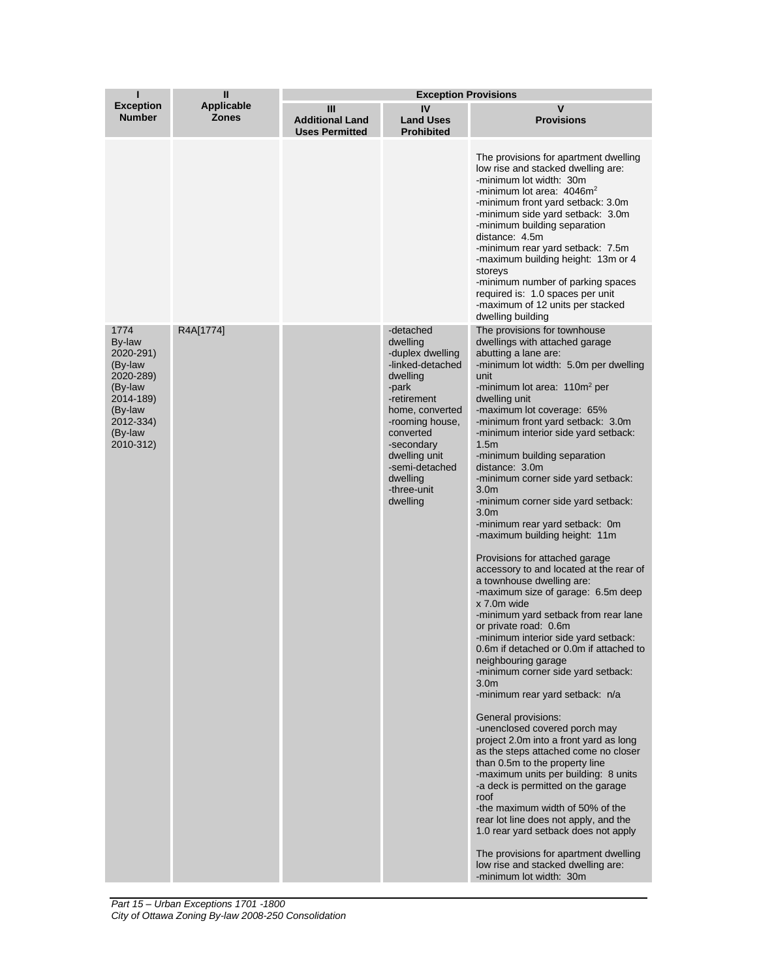|                                                                                                                             | $\mathbf{I}$               | <b>Exception Provisions</b>                          |                                                                                                                                                                                                                                              |                                                                                                                                                                                                                                                                                                                                                                                                                                                                                                                                                                                                                                                                                                                                                                                                                                                                                                                                                                                                                                                                                                                                                                                                                                                                                                                                                                                                                                                                                                                      |  |
|-----------------------------------------------------------------------------------------------------------------------------|----------------------------|------------------------------------------------------|----------------------------------------------------------------------------------------------------------------------------------------------------------------------------------------------------------------------------------------------|----------------------------------------------------------------------------------------------------------------------------------------------------------------------------------------------------------------------------------------------------------------------------------------------------------------------------------------------------------------------------------------------------------------------------------------------------------------------------------------------------------------------------------------------------------------------------------------------------------------------------------------------------------------------------------------------------------------------------------------------------------------------------------------------------------------------------------------------------------------------------------------------------------------------------------------------------------------------------------------------------------------------------------------------------------------------------------------------------------------------------------------------------------------------------------------------------------------------------------------------------------------------------------------------------------------------------------------------------------------------------------------------------------------------------------------------------------------------------------------------------------------------|--|
| <b>Exception</b><br><b>Number</b>                                                                                           | <b>Applicable</b><br>Zones | Ш<br><b>Additional Land</b><br><b>Uses Permitted</b> | IV<br><b>Land Uses</b><br><b>Prohibited</b>                                                                                                                                                                                                  | v<br><b>Provisions</b>                                                                                                                                                                                                                                                                                                                                                                                                                                                                                                                                                                                                                                                                                                                                                                                                                                                                                                                                                                                                                                                                                                                                                                                                                                                                                                                                                                                                                                                                                               |  |
|                                                                                                                             |                            |                                                      |                                                                                                                                                                                                                                              | The provisions for apartment dwelling<br>low rise and stacked dwelling are:<br>-minimum lot width: 30m<br>-minimum lot area: $4046m2$<br>-minimum front yard setback: 3.0m<br>-minimum side yard setback: 3.0m<br>-minimum building separation<br>distance: 4.5m<br>-minimum rear yard setback: 7.5m<br>-maximum building height: 13m or 4<br>storeys<br>-minimum number of parking spaces<br>required is: 1.0 spaces per unit<br>-maximum of 12 units per stacked<br>dwelling building                                                                                                                                                                                                                                                                                                                                                                                                                                                                                                                                                                                                                                                                                                                                                                                                                                                                                                                                                                                                                              |  |
| 1774<br>By-law<br>2020-291)<br>(By-law<br>2020-289)<br>(By-law<br>2014-189)<br>(By-law<br>2012-334)<br>(By-law<br>2010-312) | R4A[1774]                  |                                                      | -detached<br>dwelling<br>-duplex dwelling<br>-linked-detached<br>dwelling<br>-park<br>-retirement<br>home, converted<br>-rooming house,<br>converted<br>-secondary<br>dwelling unit<br>-semi-detached<br>dwelling<br>-three-unit<br>dwelling | The provisions for townhouse<br>dwellings with attached garage<br>abutting a lane are:<br>-minimum lot width: 5.0m per dwelling<br>unit<br>-minimum lot area: 110m <sup>2</sup> per<br>dwelling unit<br>-maximum lot coverage: 65%<br>-minimum front yard setback: 3.0m<br>-minimum interior side yard setback:<br>1.5 <sub>m</sub><br>-minimum building separation<br>distance: 3.0m<br>-minimum corner side yard setback:<br>3.0 <sub>m</sub><br>-minimum corner side yard setback:<br>3.0 <sub>m</sub><br>-minimum rear yard setback: 0m<br>-maximum building height: 11m<br>Provisions for attached garage<br>accessory to and located at the rear of<br>a townhouse dwelling are:<br>-maximum size of garage: 6.5m deep<br>x 7.0m wide<br>-minimum yard setback from rear lane<br>or private road: 0.6m<br>-minimum interior side yard setback:<br>0.6m if detached or 0.0m if attached to<br>neighbouring garage<br>-minimum corner side yard setback:<br>3.0 <sub>m</sub><br>-minimum rear yard setback: n/a<br>General provisions:<br>-unenclosed covered porch may<br>project 2.0m into a front yard as long<br>as the steps attached come no closer<br>than 0.5m to the property line<br>-maximum units per building: 8 units<br>-a deck is permitted on the garage<br>roof<br>-the maximum width of 50% of the<br>rear lot line does not apply, and the<br>1.0 rear yard setback does not apply<br>The provisions for apartment dwelling<br>low rise and stacked dwelling are:<br>-minimum lot width: 30m |  |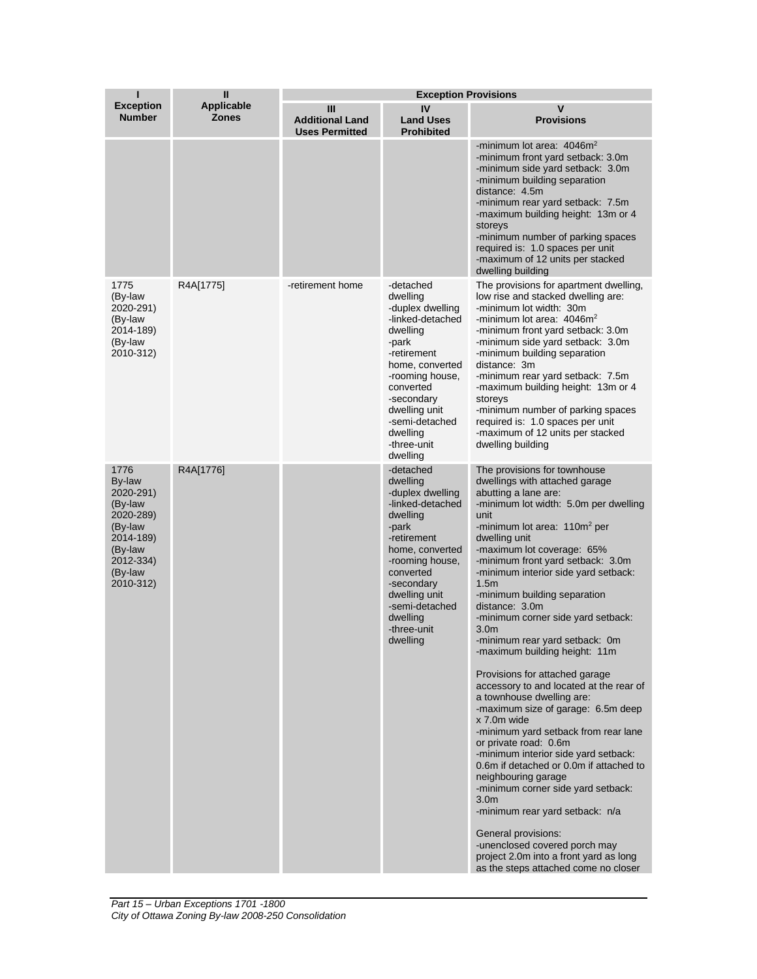| ı                                                                                                                           | Ш<br><b>Applicable</b><br><b>Zones</b> | <b>Exception Provisions</b>                          |                                                                                                                                                                                                                                              |                                                                                                                                                                                                                                                                                                                                                                                                                                                                                                                                                                                                                                                                                                                                                                                                                                                                                                                                                                                                                                                                                         |  |
|-----------------------------------------------------------------------------------------------------------------------------|----------------------------------------|------------------------------------------------------|----------------------------------------------------------------------------------------------------------------------------------------------------------------------------------------------------------------------------------------------|-----------------------------------------------------------------------------------------------------------------------------------------------------------------------------------------------------------------------------------------------------------------------------------------------------------------------------------------------------------------------------------------------------------------------------------------------------------------------------------------------------------------------------------------------------------------------------------------------------------------------------------------------------------------------------------------------------------------------------------------------------------------------------------------------------------------------------------------------------------------------------------------------------------------------------------------------------------------------------------------------------------------------------------------------------------------------------------------|--|
| <b>Exception</b><br><b>Number</b>                                                                                           |                                        | Ш<br><b>Additional Land</b><br><b>Uses Permitted</b> | IV<br><b>Land Uses</b><br><b>Prohibited</b>                                                                                                                                                                                                  | $\mathbf v$<br><b>Provisions</b>                                                                                                                                                                                                                                                                                                                                                                                                                                                                                                                                                                                                                                                                                                                                                                                                                                                                                                                                                                                                                                                        |  |
|                                                                                                                             |                                        |                                                      |                                                                                                                                                                                                                                              | -minimum lot area: $4046m2$<br>-minimum front yard setback: 3.0m<br>-minimum side yard setback: 3.0m<br>-minimum building separation<br>distance: 4.5m<br>-minimum rear yard setback: 7.5m<br>-maximum building height: 13m or 4<br>storevs<br>-minimum number of parking spaces<br>required is: 1.0 spaces per unit<br>-maximum of 12 units per stacked<br>dwelling building                                                                                                                                                                                                                                                                                                                                                                                                                                                                                                                                                                                                                                                                                                           |  |
| 1775<br>(By-law<br>2020-291)<br>(By-law<br>2014-189)<br>(By-law<br>2010-312)                                                | R4A[1775]                              | -retirement home                                     | -detached<br>dwelling<br>-duplex dwelling<br>-linked-detached<br>dwelling<br>-park<br>-retirement<br>home, converted<br>-rooming house,<br>converted<br>-secondary<br>dwelling unit<br>-semi-detached<br>dwelling<br>-three-unit<br>dwelling | The provisions for apartment dwelling,<br>low rise and stacked dwelling are:<br>-minimum lot width: 30m<br>-minimum lot area: $4046m2$<br>-minimum front yard setback: 3.0m<br>-minimum side yard setback: 3.0m<br>-minimum building separation<br>distance: 3m<br>-minimum rear yard setback: 7.5m<br>-maximum building height: 13m or 4<br>storeys<br>-minimum number of parking spaces<br>required is: 1.0 spaces per unit<br>-maximum of 12 units per stacked<br>dwelling building                                                                                                                                                                                                                                                                                                                                                                                                                                                                                                                                                                                                  |  |
| 1776<br>By-law<br>2020-291)<br>(By-law<br>2020-289)<br>(By-law<br>2014-189)<br>(By-law<br>2012-334)<br>(By-law<br>2010-312) | R4A[1776]                              |                                                      | -detached<br>dwelling<br>-duplex dwelling<br>-linked-detached<br>dwelling<br>-park<br>-retirement<br>home, converted<br>-rooming house,<br>converted<br>-secondary<br>dwelling unit<br>-semi-detached<br>dwelling<br>-three-unit<br>dwelling | The provisions for townhouse<br>dwellings with attached garage<br>abutting a lane are:<br>-minimum lot width: 5.0m per dwelling<br>unit<br>-minimum lot area: 110m <sup>2</sup> per<br>dwelling unit<br>-maximum lot coverage: 65%<br>-minimum front yard setback: 3.0m<br>-minimum interior side yard setback:<br>1.5 <sub>m</sub><br>-minimum building separation<br>distance: 3.0m<br>-minimum corner side yard setback:<br>3.0m<br>-minimum rear yard setback: 0m<br>-maximum building height: 11m<br>Provisions for attached garage<br>accessory to and located at the rear of<br>a townhouse dwelling are:<br>-maximum size of garage: 6.5m deep<br>x 7.0m wide<br>-minimum yard setback from rear lane<br>or private road: 0.6m<br>-minimum interior side yard setback:<br>0.6m if detached or 0.0m if attached to<br>neighbouring garage<br>-minimum corner side yard setback:<br>3.0 <sub>m</sub><br>-minimum rear yard setback: n/a<br>General provisions:<br>-unenclosed covered porch may<br>project 2.0m into a front yard as long<br>as the steps attached come no closer |  |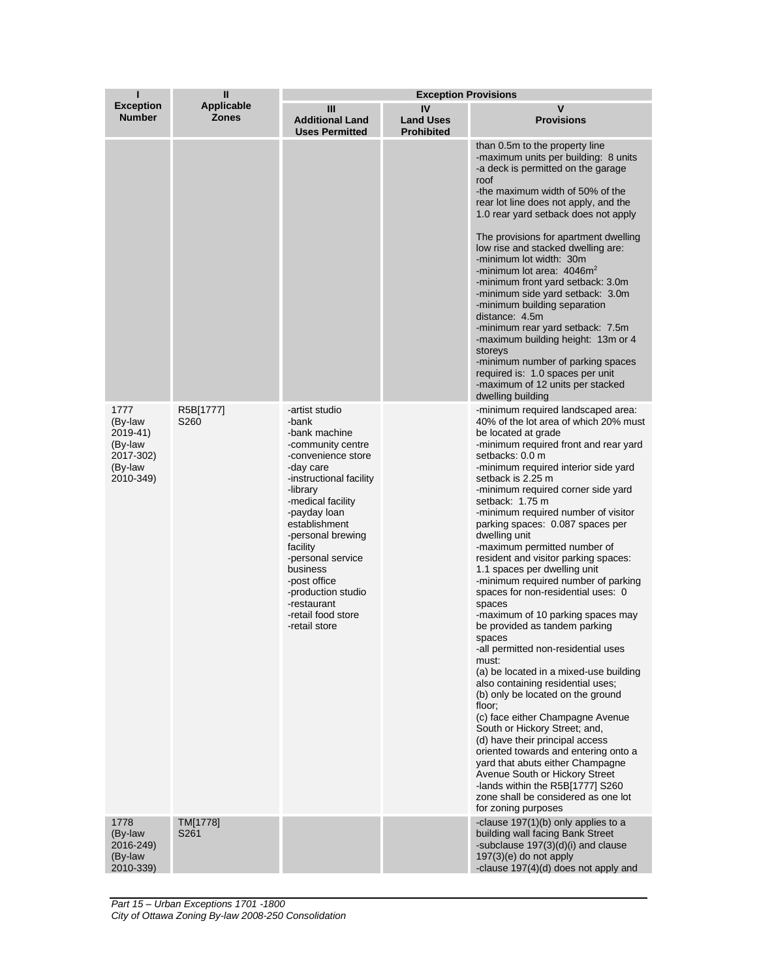| ı                                                                           | Ш                                 | <b>Exception Provisions</b>                                                                                                                                                                                                                                                                                                                                 |                                             |                                                                                                                                                                                                                                                                                                                                                                                                                                                                                                                                                                                                                                                                                                                                                                                                                                                                                                                                                                                                                                                                                                                                                                       |  |
|-----------------------------------------------------------------------------|-----------------------------------|-------------------------------------------------------------------------------------------------------------------------------------------------------------------------------------------------------------------------------------------------------------------------------------------------------------------------------------------------------------|---------------------------------------------|-----------------------------------------------------------------------------------------------------------------------------------------------------------------------------------------------------------------------------------------------------------------------------------------------------------------------------------------------------------------------------------------------------------------------------------------------------------------------------------------------------------------------------------------------------------------------------------------------------------------------------------------------------------------------------------------------------------------------------------------------------------------------------------------------------------------------------------------------------------------------------------------------------------------------------------------------------------------------------------------------------------------------------------------------------------------------------------------------------------------------------------------------------------------------|--|
| <b>Exception</b><br><b>Number</b>                                           | <b>Applicable</b><br><b>Zones</b> | Ш<br><b>Additional Land</b><br><b>Uses Permitted</b>                                                                                                                                                                                                                                                                                                        | IV<br><b>Land Uses</b><br><b>Prohibited</b> | V<br><b>Provisions</b>                                                                                                                                                                                                                                                                                                                                                                                                                                                                                                                                                                                                                                                                                                                                                                                                                                                                                                                                                                                                                                                                                                                                                |  |
|                                                                             |                                   |                                                                                                                                                                                                                                                                                                                                                             |                                             | than 0.5m to the property line<br>-maximum units per building: 8 units<br>-a deck is permitted on the garage<br>roof<br>-the maximum width of 50% of the<br>rear lot line does not apply, and the<br>1.0 rear yard setback does not apply<br>The provisions for apartment dwelling<br>low rise and stacked dwelling are:<br>-minimum lot width: 30m<br>-minimum lot area: $4046m^2$<br>-minimum front yard setback: 3.0m<br>-minimum side yard setback: 3.0m<br>-minimum building separation<br>distance: 4.5m<br>-minimum rear yard setback: 7.5m<br>-maximum building height: 13m or 4<br>storeys<br>-minimum number of parking spaces<br>required is: 1.0 spaces per unit<br>-maximum of 12 units per stacked<br>dwelling building                                                                                                                                                                                                                                                                                                                                                                                                                                 |  |
| 1777<br>(By-law<br>2019-41)<br>(By-law<br>2017-302)<br>(By-law<br>2010-349) | R5B[1777]<br>S260                 | -artist studio<br>-bank<br>-bank machine<br>-community centre<br>-convenience store<br>-day care<br>-instructional facility<br>-library<br>-medical facility<br>-payday loan<br>establishment<br>-personal brewing<br>facility<br>-personal service<br>business<br>-post office<br>-production studio<br>-restaurant<br>-retail food store<br>-retail store |                                             | -minimum required landscaped area:<br>40% of the lot area of which 20% must<br>be located at grade<br>-minimum required front and rear yard<br>setbacks: 0.0 m<br>-minimum required interior side yard<br>setback is 2.25 m<br>-minimum required corner side yard<br>setback: 1.75 m<br>-minimum required number of visitor<br>parking spaces: 0.087 spaces per<br>dwelling unit<br>-maximum permitted number of<br>resident and visitor parking spaces:<br>1.1 spaces per dwelling unit<br>-minimum required number of parking<br>spaces for non-residential uses: 0<br>spaces<br>-maximum of 10 parking spaces may<br>be provided as tandem parking<br>spaces<br>-all permitted non-residential uses<br>must:<br>(a) be located in a mixed-use building<br>also containing residential uses;<br>(b) only be located on the ground<br>floor;<br>(c) face either Champagne Avenue<br>South or Hickory Street; and,<br>(d) have their principal access<br>oriented towards and entering onto a<br>yard that abuts either Champagne<br>Avenue South or Hickory Street<br>-lands within the R5B[1777] S260<br>zone shall be considered as one lot<br>for zoning purposes |  |
| 1778<br>(By-law<br>2016-249)<br>(By-law<br>2010-339)                        | TM[1778]<br>S <sub>261</sub>      |                                                                                                                                                                                                                                                                                                                                                             |                                             | -clause 197(1)(b) only applies to a<br>building wall facing Bank Street<br>-subclause 197(3)(d)(i) and clause<br>$197(3)(e)$ do not apply<br>-clause 197(4)(d) does not apply and                                                                                                                                                                                                                                                                                                                                                                                                                                                                                                                                                                                                                                                                                                                                                                                                                                                                                                                                                                                     |  |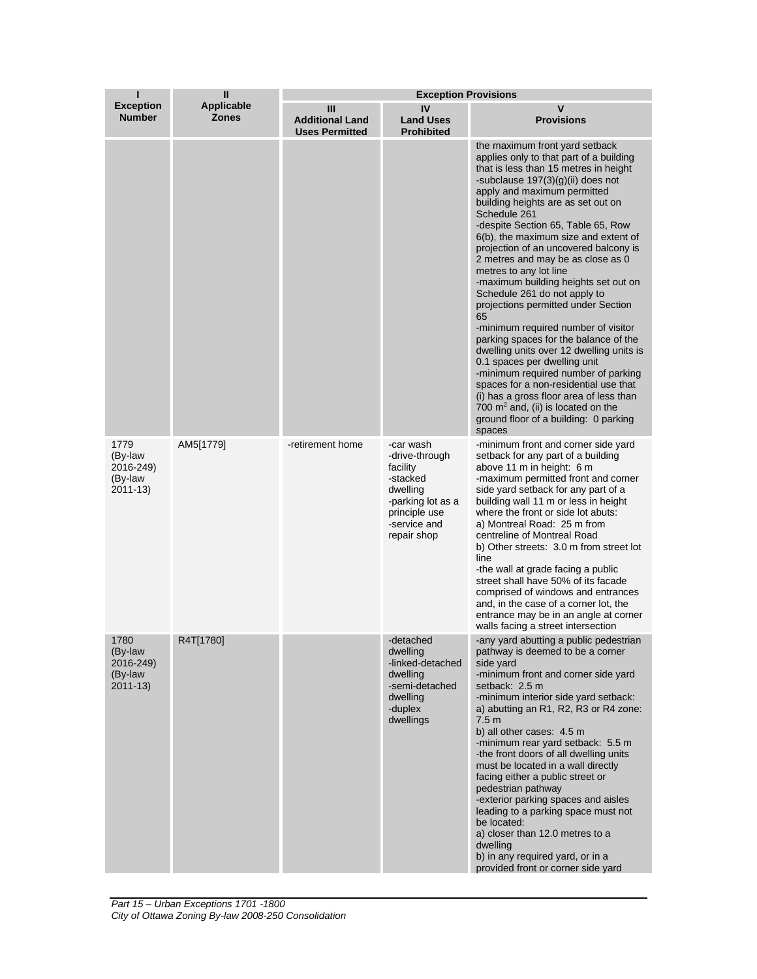| ı                                                       | $\mathbf{I}$                      |                                                      | <b>Exception Provisions</b>                                                                                                          |                                                                                                                                                                                                                                                                                                                                                                                                                                                                                                                                                                                                                                                                                                                                                                                                                                                                                                                                             |  |  |
|---------------------------------------------------------|-----------------------------------|------------------------------------------------------|--------------------------------------------------------------------------------------------------------------------------------------|---------------------------------------------------------------------------------------------------------------------------------------------------------------------------------------------------------------------------------------------------------------------------------------------------------------------------------------------------------------------------------------------------------------------------------------------------------------------------------------------------------------------------------------------------------------------------------------------------------------------------------------------------------------------------------------------------------------------------------------------------------------------------------------------------------------------------------------------------------------------------------------------------------------------------------------------|--|--|
| <b>Exception</b><br><b>Number</b>                       | <b>Applicable</b><br><b>Zones</b> | Ш<br><b>Additional Land</b><br><b>Uses Permitted</b> | IV<br><b>Land Uses</b><br><b>Prohibited</b>                                                                                          | v<br><b>Provisions</b>                                                                                                                                                                                                                                                                                                                                                                                                                                                                                                                                                                                                                                                                                                                                                                                                                                                                                                                      |  |  |
|                                                         |                                   |                                                      |                                                                                                                                      | the maximum front yard setback<br>applies only to that part of a building<br>that is less than 15 metres in height<br>-subclause $197(3)(g)(ii)$ does not<br>apply and maximum permitted<br>building heights are as set out on<br>Schedule 261<br>-despite Section 65, Table 65, Row<br>6(b), the maximum size and extent of<br>projection of an uncovered balcony is<br>2 metres and may be as close as 0<br>metres to any lot line<br>-maximum building heights set out on<br>Schedule 261 do not apply to<br>projections permitted under Section<br>65<br>-minimum required number of visitor<br>parking spaces for the balance of the<br>dwelling units over 12 dwelling units is<br>0.1 spaces per dwelling unit<br>-minimum required number of parking<br>spaces for a non-residential use that<br>(i) has a gross floor area of less than<br>700 $m2$ and, (ii) is located on the<br>ground floor of a building: 0 parking<br>spaces |  |  |
| 1779<br>(By-law<br>2016-249)<br>(By-law<br>$2011 - 13$  | AM5[1779]                         | -retirement home                                     | -car wash<br>-drive-through<br>facility<br>-stacked<br>dwelling<br>-parking lot as a<br>principle use<br>-service and<br>repair shop | -minimum front and corner side yard<br>setback for any part of a building<br>above 11 m in height: 6 m<br>-maximum permitted front and corner<br>side yard setback for any part of a<br>building wall 11 m or less in height<br>where the front or side lot abuts:<br>a) Montreal Road: 25 m from<br>centreline of Montreal Road<br>b) Other streets: 3.0 m from street lot<br>line<br>-the wall at grade facing a public<br>street shall have 50% of its facade<br>comprised of windows and entrances<br>and, in the case of a corner lot, the<br>entrance may be in an angle at corner<br>walls facing a street intersection                                                                                                                                                                                                                                                                                                              |  |  |
| 1780<br>(By-law<br>2016-249)<br>(By-law)<br>$2011 - 13$ | R4T[1780]                         |                                                      | -detached<br>dwelling<br>-linked-detached<br>dwelling<br>-semi-detached<br>dwelling<br>-duplex<br>dwellings                          | -any yard abutting a public pedestrian<br>pathway is deemed to be a corner<br>side yard<br>-minimum front and corner side yard<br>setback: 2.5 m<br>-minimum interior side yard setback:<br>a) abutting an R1, R2, R3 or R4 zone:<br>7.5 <sub>m</sub><br>b) all other cases: 4.5 m<br>-minimum rear yard setback: 5.5 m<br>-the front doors of all dwelling units<br>must be located in a wall directly<br>facing either a public street or<br>pedestrian pathway<br>-exterior parking spaces and aisles<br>leading to a parking space must not<br>be located:<br>a) closer than 12.0 metres to a<br>dwelling<br>b) in any required yard, or in a<br>provided front or corner side yard                                                                                                                                                                                                                                                     |  |  |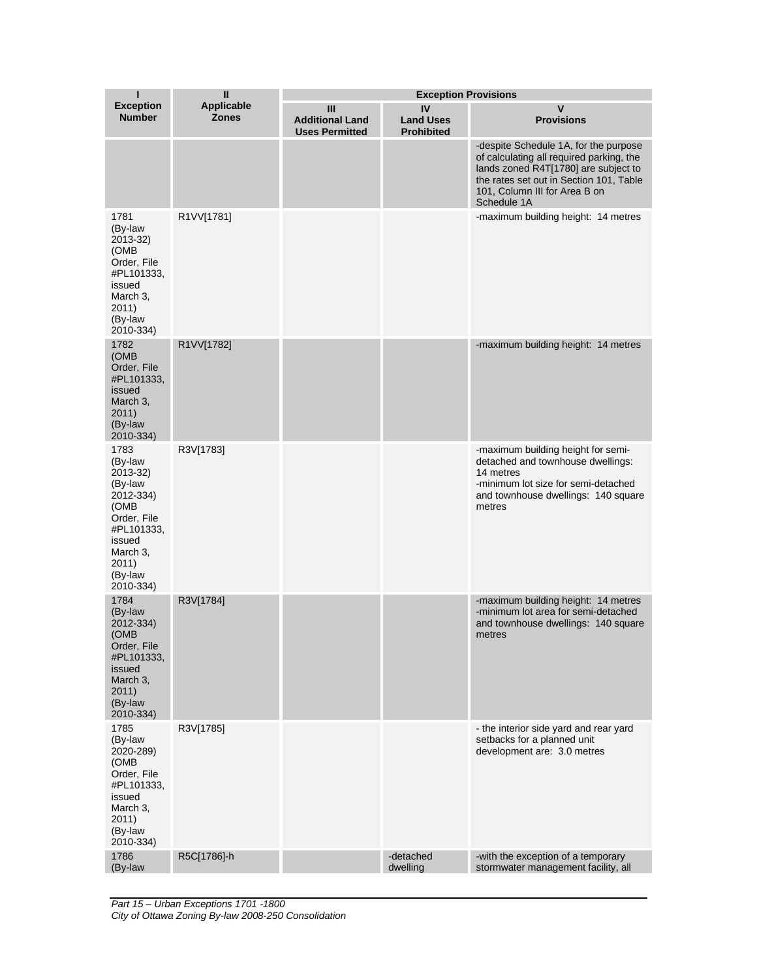| ı                                                                                                                                               | $\mathbf{I}$                      | <b>Exception Provisions</b>                          |                                             |                                                                                                                                                                                                                      |  |
|-------------------------------------------------------------------------------------------------------------------------------------------------|-----------------------------------|------------------------------------------------------|---------------------------------------------|----------------------------------------------------------------------------------------------------------------------------------------------------------------------------------------------------------------------|--|
| <b>Exception</b><br><b>Number</b>                                                                                                               | <b>Applicable</b><br><b>Zones</b> | Ш<br><b>Additional Land</b><br><b>Uses Permitted</b> | IV<br><b>Land Uses</b><br><b>Prohibited</b> | v<br><b>Provisions</b>                                                                                                                                                                                               |  |
|                                                                                                                                                 |                                   |                                                      |                                             | -despite Schedule 1A, for the purpose<br>of calculating all required parking, the<br>lands zoned R4T[1780] are subject to<br>the rates set out in Section 101, Table<br>101, Column III for Area B on<br>Schedule 1A |  |
| 1781<br>(By-law<br>2013-32)<br>(OMB<br>Order, File<br>#PL101333,<br>issued<br>March 3,<br>2011)<br>(By-law<br>2010-334)                         | R1VV[1781]                        |                                                      |                                             | -maximum building height: 14 metres                                                                                                                                                                                  |  |
| 1782<br>(OMB<br>Order, File<br>#PL101333,<br>issued<br>March 3,<br>2011)<br>(By-law<br>2010-334)                                                | R1VV[1782]                        |                                                      |                                             | -maximum building height: 14 metres                                                                                                                                                                                  |  |
| 1783<br>(By-law<br>2013-32)<br>(By-law<br>2012-334)<br>(OMB<br>Order, File<br>#PL101333,<br>issued<br>March 3,<br>2011)<br>(By-law<br>2010-334) | R3V[1783]                         |                                                      |                                             | -maximum building height for semi-<br>detached and townhouse dwellings:<br>14 metres<br>-minimum lot size for semi-detached<br>and townhouse dwellings: 140 square<br>metres                                         |  |
| 1784<br>(By-law<br>2012-334)<br>(OMB<br>Order, File<br>#PL101333,<br>issued<br>March 3,<br>2011)<br>(By-law<br>2010-334)                        | R3V[1784]                         |                                                      |                                             | -maximum building height: 14 metres<br>-minimum lot area for semi-detached<br>and townhouse dwellings: 140 square<br>metres                                                                                          |  |
| 1785<br>(By-law<br>2020-289)<br>(OMB<br>Order, File<br>#PL101333,<br>issued<br>March 3,<br>2011)<br>(By-law<br>2010-334)                        | R3V[1785]                         |                                                      |                                             | - the interior side yard and rear yard<br>setbacks for a planned unit<br>development are: 3.0 metres                                                                                                                 |  |
| 1786<br>(By-law                                                                                                                                 | R5C[1786]-h                       |                                                      | -detached<br>dwelling                       | -with the exception of a temporary<br>stormwater management facility, all                                                                                                                                            |  |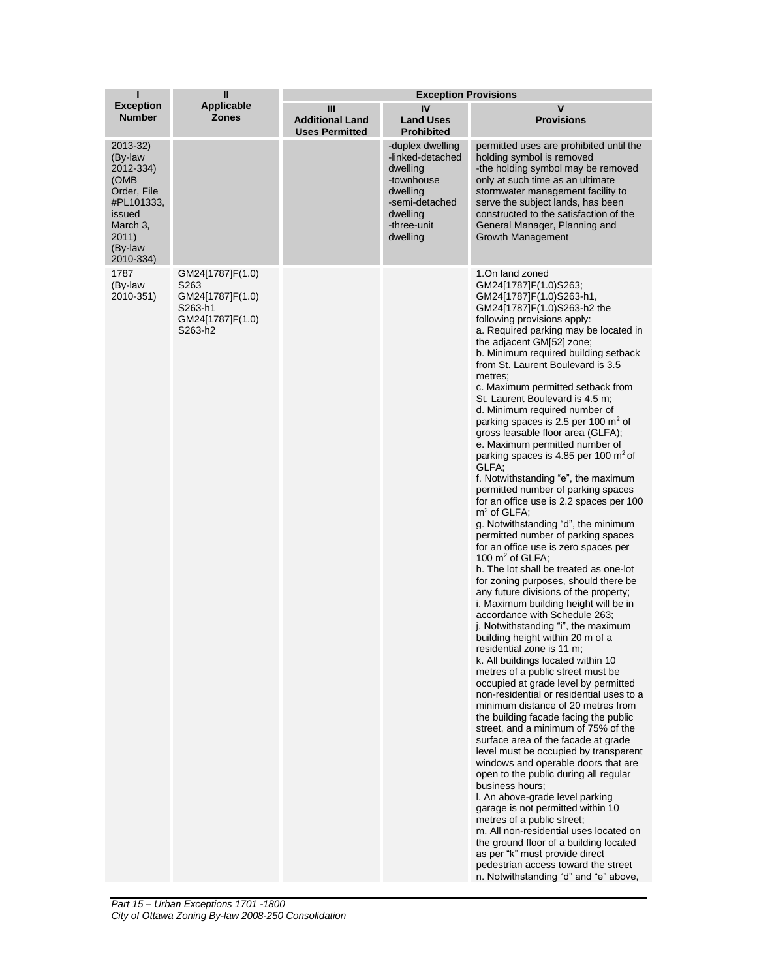| н                                                                                                                            | Ш                                                                                                  | <b>Exception Provisions</b>                          |                                                                                                                                     |                                                                                                                                                                                                                                                                                                                                                                                                                                                                                                                                                                                                                                                                                                                                                                                                                                                                                                                                                                                                                                                                                                                                                                                                                                                                                                                                                                                                                                                                                                                                                                                                                                                                                                                                                                                                                                                                                                                                                                  |  |
|------------------------------------------------------------------------------------------------------------------------------|----------------------------------------------------------------------------------------------------|------------------------------------------------------|-------------------------------------------------------------------------------------------------------------------------------------|------------------------------------------------------------------------------------------------------------------------------------------------------------------------------------------------------------------------------------------------------------------------------------------------------------------------------------------------------------------------------------------------------------------------------------------------------------------------------------------------------------------------------------------------------------------------------------------------------------------------------------------------------------------------------------------------------------------------------------------------------------------------------------------------------------------------------------------------------------------------------------------------------------------------------------------------------------------------------------------------------------------------------------------------------------------------------------------------------------------------------------------------------------------------------------------------------------------------------------------------------------------------------------------------------------------------------------------------------------------------------------------------------------------------------------------------------------------------------------------------------------------------------------------------------------------------------------------------------------------------------------------------------------------------------------------------------------------------------------------------------------------------------------------------------------------------------------------------------------------------------------------------------------------------------------------------------------------|--|
| <b>Exception</b><br><b>Number</b>                                                                                            | <b>Applicable</b><br><b>Zones</b>                                                                  | Ш<br><b>Additional Land</b><br><b>Uses Permitted</b> | IV<br><b>Land Uses</b><br><b>Prohibited</b>                                                                                         | V<br><b>Provisions</b>                                                                                                                                                                                                                                                                                                                                                                                                                                                                                                                                                                                                                                                                                                                                                                                                                                                                                                                                                                                                                                                                                                                                                                                                                                                                                                                                                                                                                                                                                                                                                                                                                                                                                                                                                                                                                                                                                                                                           |  |
| 2013-32)<br>(By-law<br>2012-334)<br>(OMB<br>Order, File<br>#PL101333,<br>issued<br>March 3,<br>2011)<br>(By-law<br>2010-334) |                                                                                                    |                                                      | -duplex dwelling<br>-linked-detached<br>dwelling<br>-townhouse<br>dwelling<br>-semi-detached<br>dwelling<br>-three-unit<br>dwelling | permitted uses are prohibited until the<br>holding symbol is removed<br>-the holding symbol may be removed<br>only at such time as an ultimate<br>stormwater management facility to<br>serve the subject lands, has been<br>constructed to the satisfaction of the<br>General Manager, Planning and<br><b>Growth Management</b>                                                                                                                                                                                                                                                                                                                                                                                                                                                                                                                                                                                                                                                                                                                                                                                                                                                                                                                                                                                                                                                                                                                                                                                                                                                                                                                                                                                                                                                                                                                                                                                                                                  |  |
| 1787<br>(By-law<br>2010-351)                                                                                                 | GM24[1787]F(1.0)<br>S <sub>263</sub><br>GM24[1787]F(1.0)<br>S263-h1<br>GM24[1787]F(1.0)<br>S263-h2 |                                                      |                                                                                                                                     | 1.On land zoned<br>GM24[1787]F(1.0)S263;<br>GM24[1787]F(1.0)S263-h1,<br>GM24[1787]F(1.0)S263-h2 the<br>following provisions apply:<br>a. Required parking may be located in<br>the adjacent GM[52] zone;<br>b. Minimum required building setback<br>from St. Laurent Boulevard is 3.5<br>metres:<br>c. Maximum permitted setback from<br>St. Laurent Boulevard is 4.5 m:<br>d. Minimum required number of<br>parking spaces is 2.5 per 100 $m2$ of<br>gross leasable floor area (GLFA);<br>e. Maximum permitted number of<br>parking spaces is 4.85 per 100 $m2$ of<br>GLFA;<br>f. Notwithstanding "e", the maximum<br>permitted number of parking spaces<br>for an office use is 2.2 spaces per 100<br>$m2$ of GLFA;<br>g. Notwithstanding "d", the minimum<br>permitted number of parking spaces<br>for an office use is zero spaces per<br>100 $m2$ of GLFA;<br>h. The lot shall be treated as one-lot<br>for zoning purposes, should there be<br>any future divisions of the property;<br>i. Maximum building height will be in<br>accordance with Schedule 263;<br>j. Notwithstanding "i", the maximum<br>building height within 20 m of a<br>residential zone is 11 m;<br>k. All buildings located within 10<br>metres of a public street must be<br>occupied at grade level by permitted<br>non-residential or residential uses to a<br>minimum distance of 20 metres from<br>the building facade facing the public<br>street, and a minimum of 75% of the<br>surface area of the facade at grade<br>level must be occupied by transparent<br>windows and operable doors that are<br>open to the public during all regular<br>business hours:<br>I. An above-grade level parking<br>garage is not permitted within 10<br>metres of a public street;<br>m. All non-residential uses located on<br>the ground floor of a building located<br>as per "k" must provide direct<br>pedestrian access toward the street<br>n. Notwithstanding "d" and "e" above, |  |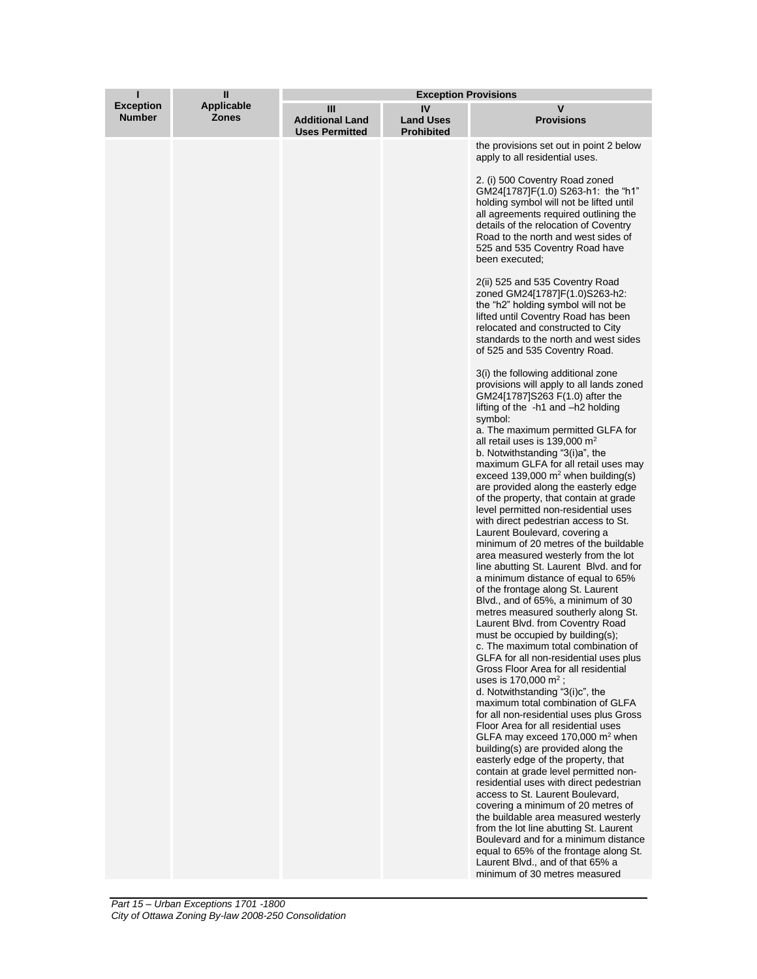| ı                                 | Ш                          | <b>Exception Provisions</b>                          |                                             |                                                                                                                                                                                                                                                                                                                                                                                                                                                                                                                                                                                                                                                                                                                                                                                                                                                                                                                                                                                                                                                                                                                                                                                                                                                                                                                                                                                                                                                                                                                                                                                                                                                                                                                                                                                                                                                                                                                                                                                                                                                                                                                                                                                                                                                                                                                                                                                                                    |
|-----------------------------------|----------------------------|------------------------------------------------------|---------------------------------------------|--------------------------------------------------------------------------------------------------------------------------------------------------------------------------------------------------------------------------------------------------------------------------------------------------------------------------------------------------------------------------------------------------------------------------------------------------------------------------------------------------------------------------------------------------------------------------------------------------------------------------------------------------------------------------------------------------------------------------------------------------------------------------------------------------------------------------------------------------------------------------------------------------------------------------------------------------------------------------------------------------------------------------------------------------------------------------------------------------------------------------------------------------------------------------------------------------------------------------------------------------------------------------------------------------------------------------------------------------------------------------------------------------------------------------------------------------------------------------------------------------------------------------------------------------------------------------------------------------------------------------------------------------------------------------------------------------------------------------------------------------------------------------------------------------------------------------------------------------------------------------------------------------------------------------------------------------------------------------------------------------------------------------------------------------------------------------------------------------------------------------------------------------------------------------------------------------------------------------------------------------------------------------------------------------------------------------------------------------------------------------------------------------------------------|
| <b>Exception</b><br><b>Number</b> | Applicable<br><b>Zones</b> | Ш<br><b>Additional Land</b><br><b>Uses Permitted</b> | IV<br><b>Land Uses</b><br><b>Prohibited</b> | ۷<br><b>Provisions</b>                                                                                                                                                                                                                                                                                                                                                                                                                                                                                                                                                                                                                                                                                                                                                                                                                                                                                                                                                                                                                                                                                                                                                                                                                                                                                                                                                                                                                                                                                                                                                                                                                                                                                                                                                                                                                                                                                                                                                                                                                                                                                                                                                                                                                                                                                                                                                                                             |
|                                   |                            |                                                      |                                             | the provisions set out in point 2 below<br>apply to all residential uses.<br>2. (i) 500 Coventry Road zoned<br>GM24[1787]F(1.0) S263-h1: the "h1"<br>holding symbol will not be lifted until<br>all agreements required outlining the<br>details of the relocation of Coventry<br>Road to the north and west sides of<br>525 and 535 Coventry Road have<br>been executed;<br>2(ii) 525 and 535 Coventry Road<br>zoned GM24[1787]F(1.0)S263-h2:<br>the "h2" holding symbol will not be<br>lifted until Coventry Road has been<br>relocated and constructed to City<br>standards to the north and west sides<br>of 525 and 535 Coventry Road.<br>3(i) the following additional zone<br>provisions will apply to all lands zoned<br>GM24[1787]S263 F(1.0) after the<br>lifting of the -h1 and -h2 holding<br>symbol:<br>a. The maximum permitted GLFA for<br>all retail uses is 139,000 $m2$<br>b. Notwithstanding "3(i)a", the<br>maximum GLFA for all retail uses may<br>exceed 139,000 $m^2$ when building(s)<br>are provided along the easterly edge<br>of the property, that contain at grade<br>level permitted non-residential uses<br>with direct pedestrian access to St.<br>Laurent Boulevard, covering a<br>minimum of 20 metres of the buildable<br>area measured westerly from the lot<br>line abutting St. Laurent Blvd. and for<br>a minimum distance of equal to 65%<br>of the frontage along St. Laurent<br>Blvd., and of 65%, a minimum of 30<br>metres measured southerly along St.<br>Laurent Blvd. from Coventry Road<br>must be occupied by building(s);<br>c. The maximum total combination of<br>GLFA for all non-residential uses plus<br>Gross Floor Area for all residential<br>uses is 170,000 $m^2$ ;<br>d. Notwithstanding "3(i)c", the<br>maximum total combination of GLFA<br>for all non-residential uses plus Gross<br>Floor Area for all residential uses<br>GLFA may exceed 170,000 $m2$ when<br>building(s) are provided along the<br>easterly edge of the property, that<br>contain at grade level permitted non-<br>residential uses with direct pedestrian<br>access to St. Laurent Boulevard,<br>covering a minimum of 20 metres of<br>the buildable area measured westerly<br>from the lot line abutting St. Laurent<br>Boulevard and for a minimum distance<br>equal to 65% of the frontage along St.<br>Laurent Blvd., and of that 65% a<br>minimum of 30 metres measured |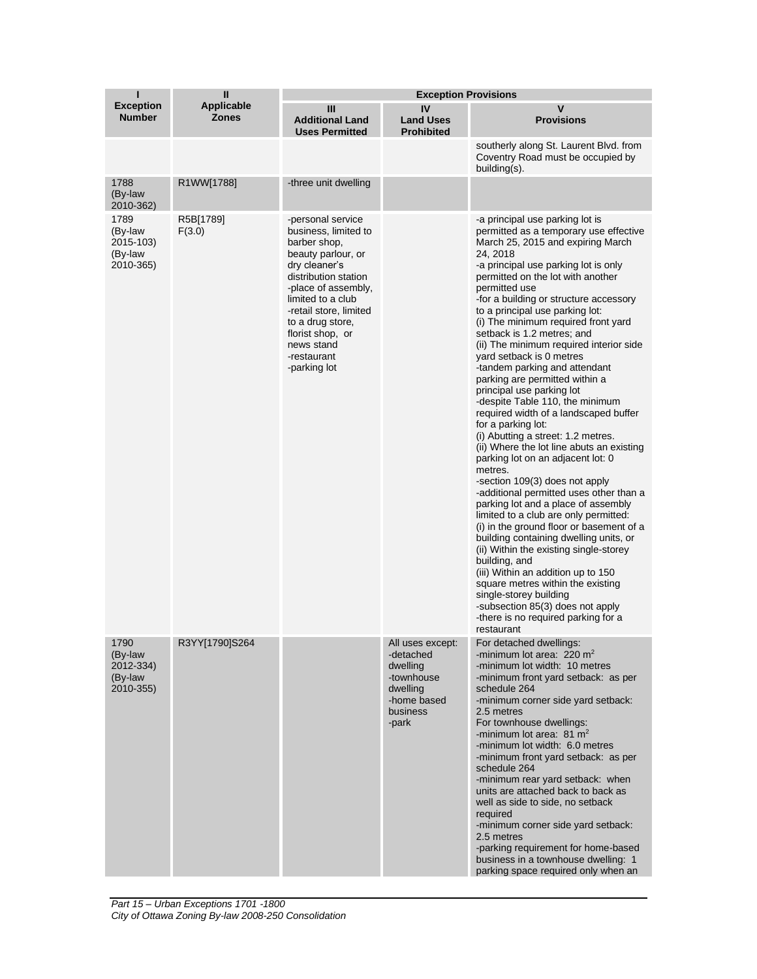| ı                                                    | $\mathbf{I}$                      | <b>Exception Provisions</b>                                                                                                                                                                                                                                                         |                                                                                                         |                                                                                                                                                                                                                                                                                                                                                                                                                                                                                                                                                                                                                                                                                                                                                                                                                                                                                                                                                                                                                                                                                                                                                                                                                                                                                                    |  |
|------------------------------------------------------|-----------------------------------|-------------------------------------------------------------------------------------------------------------------------------------------------------------------------------------------------------------------------------------------------------------------------------------|---------------------------------------------------------------------------------------------------------|----------------------------------------------------------------------------------------------------------------------------------------------------------------------------------------------------------------------------------------------------------------------------------------------------------------------------------------------------------------------------------------------------------------------------------------------------------------------------------------------------------------------------------------------------------------------------------------------------------------------------------------------------------------------------------------------------------------------------------------------------------------------------------------------------------------------------------------------------------------------------------------------------------------------------------------------------------------------------------------------------------------------------------------------------------------------------------------------------------------------------------------------------------------------------------------------------------------------------------------------------------------------------------------------------|--|
| <b>Exception</b><br><b>Number</b>                    | <b>Applicable</b><br><b>Zones</b> | Ш<br><b>Additional Land</b><br><b>Uses Permitted</b>                                                                                                                                                                                                                                | IV<br><b>Land Uses</b><br><b>Prohibited</b>                                                             | $\mathsf{v}$<br><b>Provisions</b>                                                                                                                                                                                                                                                                                                                                                                                                                                                                                                                                                                                                                                                                                                                                                                                                                                                                                                                                                                                                                                                                                                                                                                                                                                                                  |  |
|                                                      |                                   |                                                                                                                                                                                                                                                                                     |                                                                                                         | southerly along St. Laurent Blvd. from<br>Coventry Road must be occupied by<br>building(s).                                                                                                                                                                                                                                                                                                                                                                                                                                                                                                                                                                                                                                                                                                                                                                                                                                                                                                                                                                                                                                                                                                                                                                                                        |  |
| 1788<br>(By-law<br>2010-362)                         | R1WW[1788]                        | -three unit dwelling                                                                                                                                                                                                                                                                |                                                                                                         |                                                                                                                                                                                                                                                                                                                                                                                                                                                                                                                                                                                                                                                                                                                                                                                                                                                                                                                                                                                                                                                                                                                                                                                                                                                                                                    |  |
| 1789<br>(By-law<br>2015-103)<br>(By-law<br>2010-365) | R5B[1789]<br>F(3.0)               | -personal service<br>business, limited to<br>barber shop,<br>beauty parlour, or<br>dry cleaner's<br>distribution station<br>-place of assembly,<br>limited to a club<br>-retail store, limited<br>to a drug store,<br>florist shop, or<br>news stand<br>-restaurant<br>-parking lot |                                                                                                         | -a principal use parking lot is<br>permitted as a temporary use effective<br>March 25, 2015 and expiring March<br>24, 2018<br>-a principal use parking lot is only<br>permitted on the lot with another<br>permitted use<br>-for a building or structure accessory<br>to a principal use parking lot:<br>(i) The minimum required front yard<br>setback is 1.2 metres; and<br>(ii) The minimum required interior side<br>yard setback is 0 metres<br>-tandem parking and attendant<br>parking are permitted within a<br>principal use parking lot<br>-despite Table 110, the minimum<br>required width of a landscaped buffer<br>for a parking lot:<br>(i) Abutting a street: 1.2 metres.<br>(ii) Where the lot line abuts an existing<br>parking lot on an adjacent lot: 0<br>metres.<br>-section 109(3) does not apply<br>-additional permitted uses other than a<br>parking lot and a place of assembly<br>limited to a club are only permitted:<br>(i) in the ground floor or basement of a<br>building containing dwelling units, or<br>(ii) Within the existing single-storey<br>building, and<br>(iii) Within an addition up to 150<br>square metres within the existing<br>single-storey building<br>-subsection 85(3) does not apply<br>-there is no required parking for a<br>restaurant |  |
| 1790<br>(By-law<br>2012-334)<br>(By-law<br>2010-355) | R3YY[1790]S264                    |                                                                                                                                                                                                                                                                                     | All uses except:<br>-detached<br>dwelling<br>-townhouse<br>dwelling<br>-home based<br>business<br>-park | For detached dwellings:<br>-minimum lot area: $220 \text{ m}^2$<br>-minimum lot width: 10 metres<br>-minimum front yard setback: as per<br>schedule 264<br>-minimum corner side yard setback:<br>2.5 metres<br>For townhouse dwellings:<br>-minimum lot area: $81 \text{ m}^2$<br>-minimum lot width: 6.0 metres<br>-minimum front yard setback: as per<br>schedule 264<br>-minimum rear yard setback: when<br>units are attached back to back as<br>well as side to side, no setback<br>required<br>-minimum corner side yard setback:<br>2.5 metres<br>-parking requirement for home-based<br>business in a townhouse dwelling: 1<br>parking space required only when an                                                                                                                                                                                                                                                                                                                                                                                                                                                                                                                                                                                                                         |  |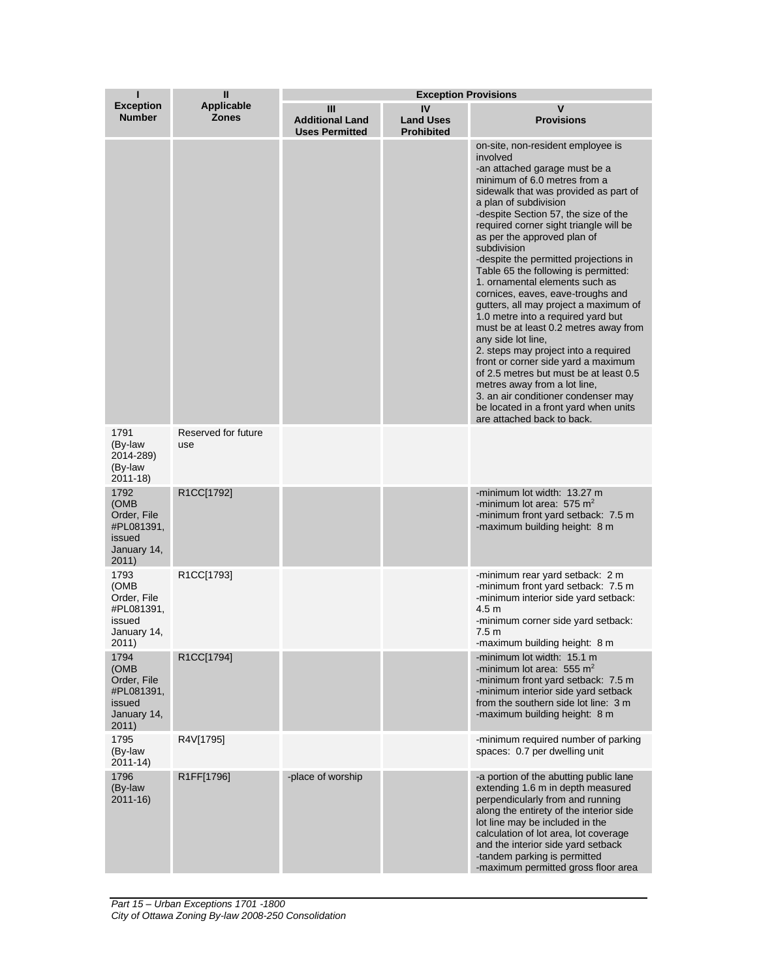| п                                                                           | $\mathbf{I}$                      | <b>Exception Provisions</b>                          |                                             |                                                                                                                                                                                                                                                                                                                                                                                                                                                                                                                                                                                                                                                                                                                                                                                                                                                                                               |  |
|-----------------------------------------------------------------------------|-----------------------------------|------------------------------------------------------|---------------------------------------------|-----------------------------------------------------------------------------------------------------------------------------------------------------------------------------------------------------------------------------------------------------------------------------------------------------------------------------------------------------------------------------------------------------------------------------------------------------------------------------------------------------------------------------------------------------------------------------------------------------------------------------------------------------------------------------------------------------------------------------------------------------------------------------------------------------------------------------------------------------------------------------------------------|--|
| <b>Exception</b><br><b>Number</b>                                           | <b>Applicable</b><br><b>Zones</b> | Ш<br><b>Additional Land</b><br><b>Uses Permitted</b> | IV<br><b>Land Uses</b><br><b>Prohibited</b> | v<br><b>Provisions</b>                                                                                                                                                                                                                                                                                                                                                                                                                                                                                                                                                                                                                                                                                                                                                                                                                                                                        |  |
|                                                                             |                                   |                                                      |                                             | on-site, non-resident employee is<br>involved<br>-an attached garage must be a<br>minimum of 6.0 metres from a<br>sidewalk that was provided as part of<br>a plan of subdivision<br>-despite Section 57, the size of the<br>required corner sight triangle will be<br>as per the approved plan of<br>subdivision<br>-despite the permitted projections in<br>Table 65 the following is permitted:<br>1. ornamental elements such as<br>cornices, eaves, eave-troughs and<br>gutters, all may project a maximum of<br>1.0 metre into a required yard but<br>must be at least 0.2 metres away from<br>any side lot line.<br>2. steps may project into a required<br>front or corner side yard a maximum<br>of 2.5 metres but must be at least 0.5<br>metres away from a lot line,<br>3. an air conditioner condenser may<br>be located in a front yard when units<br>are attached back to back. |  |
| 1791<br>(By-law<br>2014-289)<br>(By-law<br>2011-18)                         | Reserved for future<br>use        |                                                      |                                             |                                                                                                                                                                                                                                                                                                                                                                                                                                                                                                                                                                                                                                                                                                                                                                                                                                                                                               |  |
| 1792<br>(OMB<br>Order, File<br>#PL081391,<br>issued<br>January 14,<br>2011) | R1CC[1792]                        |                                                      |                                             | -minimum lot width: 13.27 m<br>-minimum lot area: $575 \text{ m}^2$<br>-minimum front yard setback: 7.5 m<br>-maximum building height: 8 m                                                                                                                                                                                                                                                                                                                                                                                                                                                                                                                                                                                                                                                                                                                                                    |  |
| 1793<br>(OMB<br>Order, File<br>#PL081391,<br>issued<br>January 14,<br>2011) | R1CC[1793]                        |                                                      |                                             | -minimum rear yard setback: 2 m<br>-minimum front yard setback: 7.5 m<br>-minimum interior side yard setback:<br>4.5 <sub>m</sub><br>-minimum corner side yard setback:<br>7.5 <sub>m</sub><br>-maximum building height: 8 m                                                                                                                                                                                                                                                                                                                                                                                                                                                                                                                                                                                                                                                                  |  |
| 1794<br>(OMB<br>Order, File<br>#PL081391,<br>issued<br>January 14,<br>2011) | R1CC[1794]                        |                                                      |                                             | -minimum lot width: 15.1 m<br>-minimum lot area: 555 $m2$<br>-minimum front yard setback: 7.5 m<br>-minimum interior side yard setback<br>from the southern side lot line: 3 m<br>-maximum building height: 8 m                                                                                                                                                                                                                                                                                                                                                                                                                                                                                                                                                                                                                                                                               |  |
| 1795<br>(By-law<br>$2011 - 14$                                              | R4V[1795]                         |                                                      |                                             | -minimum required number of parking<br>spaces: 0.7 per dwelling unit                                                                                                                                                                                                                                                                                                                                                                                                                                                                                                                                                                                                                                                                                                                                                                                                                          |  |
| 1796<br>(By-law<br>$2011 - 16$                                              | R1FF[1796]                        | -place of worship                                    |                                             | -a portion of the abutting public lane<br>extending 1.6 m in depth measured<br>perpendicularly from and running<br>along the entirety of the interior side<br>lot line may be included in the<br>calculation of lot area, lot coverage<br>and the interior side yard setback<br>-tandem parking is permitted<br>-maximum permitted gross floor area                                                                                                                                                                                                                                                                                                                                                                                                                                                                                                                                           |  |